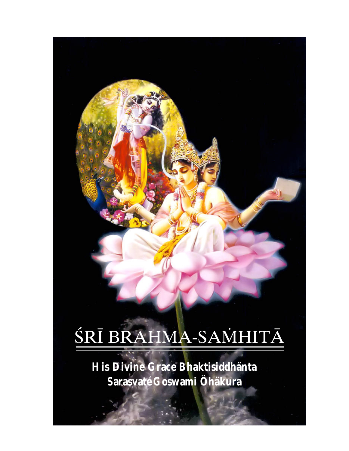# ŚRĪ BRAHMA-SAMHITĀ

His Divine Grace Bhaktisiddhänta Sarasvaté Goswami Öhäkura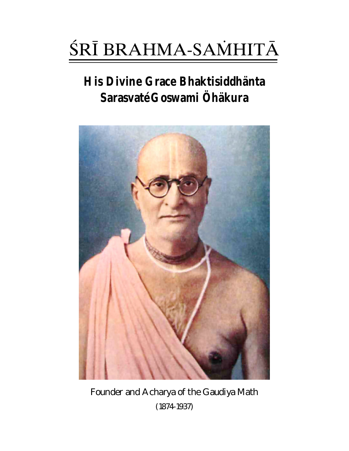# ŚRĪ BRAHMA-SAMHITĀ

# His Divine Grace Bhaktisiddhänta Sarasvaté Goswami Öhäkura



Founder and Acharya of the Gaudiya Math  $(1874 - 1937)$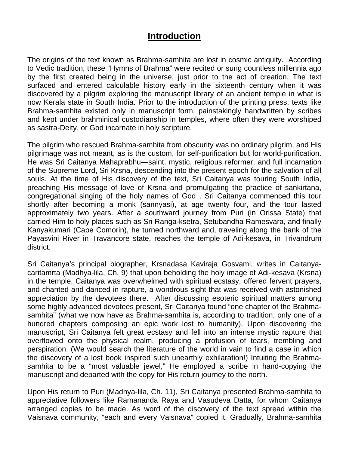#### **Introduction**

The origins of the text known as Brahma-samhita are lost in cosmic antiquity. According to Vedic tradition, these "Hymns of Brahma" were recited or sung countless millennia ago by the first created being in the universe, just prior to the act of creation. The text surfaced and entered calculable history early in the sixteenth century when it was discovered by a pilgrim exploring the manuscript library of an ancient temple in what is now Kerala state in South India. Prior to the introduction of the printing press, texts like Brahma-samhita existed only in manuscript form, painstakingly handwritten by scribes and kept under brahminical custodianship in temples, where often they were worshiped as sastra-Deity, or God incarnate in holy scripture.

The pilgrim who rescued Brahma-samhita from obscurity was no ordinary pilgrim, and His pilgrimage was not meant, as is the custom, for self-purification but for world-purification. He was Sri Caitanya Mahaprabhu—saint, mystic, religious reformer, and full incarnation of the Supreme Lord, Sri Krsna, descending into the present epoch for the salvation of all souls. At the time of His discovery of the text, Sri Caitanya was touring South India, preaching His message of love of Krsna and promulgating the practice of sankirtana, congregational singing of the holy names of God . Sri Caitanya commenced this tour shortly after becoming a monk (sannyasi), at age twenty four, and the tour lasted approximately two years. After a southward journey from Puri (in Orissa State) that carried Him to holy places such as Sri Ranga-ksetra, Setubandha Ramesvara, and finally Kanyakumari (Cape Comorin), he turned northward and, traveling along the bank of the Payasvini River in Travancore state, reaches the temple of Adi-kesava, in Trivandrum district.

Sri Caitanya's principal biographer, Krsnadasa Kaviraja Gosvami, writes in Caitanyacaritamrta (Madhya-lila, Ch. 9) that upon beholding the holy image of Adi-kesava (Krsna) in the temple, Caitanya was overwhelmed with spiritual ecstasy, offered fervent prayers, and chanted and danced in rapture, a wondrous sight that was received with astonished appreciation by the devotees there. After discussing esoteric spiritual matters among some highly advanced devotees present, Sri Caitanya found "one chapter of the Brahmasamhita" (what we now have as Brahma-samhita is, according to tradition, only one of a hundred chapters composing an epic work lost to humanity). Upon discovering the manuscript, Sri Caitanya felt great ecstasy and fell into an intense mystic rapture that overflowed onto the physical realm, producing a profusion of tears, trembling and perspiration. (We would search the literature of the world in vain to find a case in which the discovery of a lost book inspired such unearthly exhilaration!) Intuiting the Brahmasamhita to be a "most valuable jewel," He employed a scribe in hand-copying the manuscript and departed with the copy for His return journey to the north.

Upon His return to Puri (Madhya-lila, Ch. 11), Sri Caitanya presented Brahma-samhita to appreciative followers like Ramananda Raya and Vasudeva Datta, for whom Caitanya arranged copies to be made. As word of the discovery of the text spread within the Vaisnava community, "each and every Vaisnava" copied it. Gradually, Brahma-samhita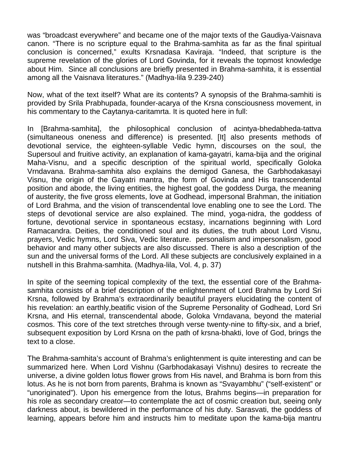was "broadcast everywhere" and became one of the major texts of the Gaudiya-Vaisnava canon. "There is no scripture equal to the Brahma-samhita as far as the final spiritual conclusion is concerned," exults Krsnadasa Kaviraja. "Indeed, that scripture is the supreme revelation of the glories of Lord Govinda, for it reveals the topmost knowledge about Him. Since all conclusions are briefly presented in Brahma-samhita, it is essential among all the Vaisnava literatures." (Madhya-lila 9.239-240)

Now, what of the text itself? What are its contents? A synopsis of the Brahma-samhiti is provided by Srila Prabhupada, founder-acarya of the Krsna consciousness movement, in his commentary to the Caytanya-caritamrta. It is quoted here in full:

In [Brahma-samhita], the philosophical conclusion of acintya-bhedabheda-tattva (simultaneous oneness and difference) is presented. [It] also presents methods of devotional service, the eighteen-syllable Vedic hymn, discourses on the soul, the Supersoul and fruitive activity, an explanation of kama-gayatri, kama-bija and the original Maha-Visnu, and a specific description of the spiritual world, specifically Goloka Vrndavana. Brahma-samhita also explains the demigod Ganesa, the Garbhodakasayi Visnu, the origin of the Gayatri mantra, the form of Govinda and His transcendental position and abode, the living entities, the highest goal, the goddess Durga, the meaning of austerity, the five gross elements, love at Godhead, impersonal Brahman, the initiation of Lord Brahma, and the vision of transcendental love enabling one to see the Lord. The steps of devotional service are also explained. The mind, yoga-nidra, the goddess of fortune, devotional service in spontaneous ecstasy, incarnations beginning with Lord Ramacandra. Deities, the conditioned soul and its duties, the truth about Lord Visnu, prayers, Vedic hymns, Lord Siva, Vedic literature. personalism and impersonalism, good behavior and many other subjects are also discussed. There is also a description of the sun and the universal forms of the Lord. All these subjects are conclusively explained in a nutshell in this Brahma-samhita. (Madhya-lila, Vol. 4, p. 37)

In spite of the seeming topical complexity of the text, the essential core of the Brahmasamhita consists of a brief description of the enlightenment of Lord Brahma by Lord Sri Krsna, followed by Brahma's extraordinarily beautiful prayers elucidating the content of his revelation: an earthly,beatific vision of the Supreme Personality of Godhead, Lord Sri Krsna, and His eternal, transcendental abode, Goloka Vrndavana, beyond the material cosmos. This core of the text stretches through verse twenty-nine to fifty-six, and a brief, subsequent exposition by Lord Krsna on the path of krsna-bhakti, love of God, brings the text to a close.

The Brahma-samhita's account of Brahma's enlightenment is quite interesting and can be summarized here. When Lord Vishnu (Garbhodakasayi Vishnu) desires to recreate the universe, a divine golden lotus flower grows from His navel, and Brahma is born from this lotus. As he is not born from parents, Brahma is known as "Svayambhu" ("self-existent" or "unoriginated"). Upon his emergence from the lotus, Brahms begins—in preparation for his role as secondary creator—to contemplate the act of cosmic creation but, seeing only darkness about, is bewildered in the performance of his duty. Sarasvati, the goddess of learning, appears before him and instructs him to meditate upon the kama-bija mantru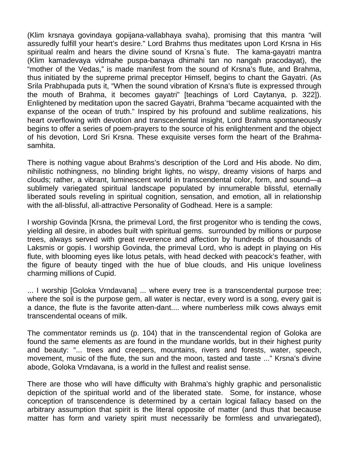(Klim krsnaya govindaya gopijana-vallabhaya svaha), promising that this mantra "will assuredly fulfill your heart's desire." Lord Brahms thus meditates upon Lord Krsna in His spiritual realm and hears the divine sound of Krsna`s flute. The kama-gayatri mantra (Klim kamadevaya vidmahe puspa-banaya dhimahi tan no nangah pracodayat), the "mother of the Vedas," is made manifest from the sound of Krsna's flute, and Brahma, thus initiated by the supreme primal preceptor Himself, begins to chant the Gayatri. (As Srila Prabhupada puts it, "When the sound vibration of Krsna's flute is expressed through the mouth of Brahma, it becomes gayatri" [teachings of Lord Caytanya, p. 322]). Enlightened by meditation upon the sacred Gayatri, Brahma "became acquainted with the expanse of the ocean of truth." Inspired by his profound and sublime realizations, his heart overflowing with devotion and transcendental insight, Lord Brahma spontaneously begins to offer a series of poem-prayers to the source of his enlightenment and the object of his devotion, Lord Sri Krsna. These exquisite verses form the heart of the Brahmasamhita.

There is nothing vague about Brahms's description of the Lord and His abode. No dim, nihilistic nothingness, no blinding bright lights, no wispy, dreamy visions of harps and clouds; rather, a vibrant, luminescent world in transcendental color, form, and sound—a sublimely variegated spiritual landscape populated by innumerable blissful, eternally liberated souls reveling in spiritual cognition, sensation, and emotion, all in relationship with the all-blissful, all-attractive Personality of Godhead. Here is a sample:

I worship Govinda [Krsna, the primeval Lord, the first progenitor who is tending the cows, yielding all desire, in abodes built with spiritual gems. surrounded by millions or purpose trees, always served with great reverence and affection by hundreds of thousands of Laksmis or gopis. I worship Govinda, the primeval Lord, who is adept in playing on His flute, with blooming eyes like lotus petals, with head decked with peacock's feather, with the figure of beauty tinged with the hue of blue clouds, and His unique loveliness charming millions of Cupid.

... I worship [Goloka Vrndavana] ... where every tree is a transcendental purpose tree; where the soil is the purpose gem, all water is nectar, every word is a song, every gait is a dance, the flute is the favorite atten-dant.... where numberless milk cows always emit transcendental oceans of milk.

The commentator reminds us (p. 104) that in the transcendental region of Goloka are found the same elements as are found in the mundane worlds, but in their highest purity and beauty: "... trees and creepers, mountains, rivers and forests, water, speech, movement, music of the flute, the sun and the moon, tasted and taste ..." Krsna's divine abode, Goloka Vrndavana, is a world in the fullest and realist sense.

There are those who will have difficulty with Brahma's highly graphic and personalistic depiction of the spiritual world and of the liberated state. Some, for instance, whose conception of transcendence is determined by a certain logical fallacy based on the arbitrary assumption that spirit is the literal opposite of matter (and thus that because matter has form and variety spirit must necessarily be formless and unvariegated),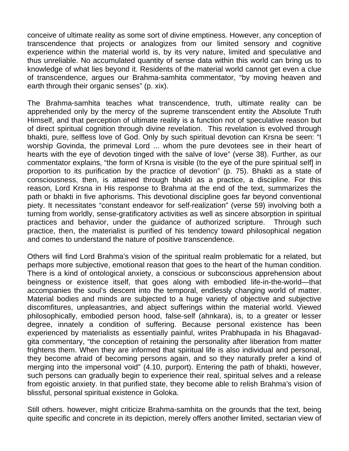conceive of ultimate reality as some sort of divine emptiness. However, any conception of transcendence that projects or analogizes from our limited sensory and cognitive experience within the material world is, by its very nature, limited and speculative and thus unreliable. No accumulated quantity of sense data within this world can bring us to knowledge of what lies beyond it. Residents of the material world cannot get even a clue of transcendence, argues our Brahma-samhita commentator, "by moving heaven and earth through their organic senses" (p. xix).

The Brahma-samhita teaches what transcendence, truth, ultimate reality can be apprehended only by the mercy of the supreme transcendent entity the Absolute Truth Himself, and that perception of ultimate reality is a function not of speculative reason but of direct spiritual cognition through divine revelation. This revelation is evolved through bhakti, pure, selfless love of God. Only by such spiritual devotion can Krsna be seen: "I worship Govinda, the primeval Lord ... whom the pure devotees see in their heart of hearts with the eye of devotion tinged with the salve of love" (verse 38). Further, as our commentator explains, "the form of Krsna is visible (to the eye of the pure spiritual self] in proportion to its purification by the practice of devotion" (p. 75). Bhakti as a state of consciousness, then, is attained through bhakti as a practice, a discipline. For this reason, Lord Krsna in His response to Brahma at the end of the text, summarizes the path or bhakti in five aphorisms. This devotional discipline goes far beyond conventional piety. It necessitates "constant endeavor for self-realization" (verse 59) involving both a turning from worldly, sense-gratificatory activities as well as sincere absorption in spiritual practices and behavior, under the guidance of authorized scripture. Through such practice, then, the materialist is purified of his tendency toward philosophical negation and comes to understand the nature of positive transcendence.

Others will find Lord Brahma's vision of the spiritual realm problematic for a related, but perhaps more subjective, emotional reason that goes to the heart of the human condition. There is a kind of ontological anxiety, a conscious or subconscious apprehension about beingness or existence itself, that goes along with embodied life-in-the-world—that accompanies the soul's descent into the temporal, endlessly changing world of matter. Material bodies and minds are subjected to a huge variety of objective and subjective discomfitures, unpleasantries, and abject sufferings within the material world. Viewed philosophically, embodied person hood, false-self (ahnkara), is, to a greater or lesser degree, innately a condition of suffering. Because personal existence has been experienced by materialists as essentially painful, writes Prabhupada in his Bhagavadgita commentary, "the conception of retaining the personality after liberation from matter frightens them. When they are informed that spiritual life is also individual and personal, they become afraid of becoming persons again, and so they naturally prefer a kind of merging into the impersonal void" (4.10, purport). Entering the path of bhakti, however, such persons can gradually begin to experience their real, spiritual selves and a release from egoistic anxiety. In that purified state, they become able to relish Brahma's vision of blissful, personal spiritual existence in Goloka.

Still others. however, might criticize Brahma-samhita on the grounds that the text, being quite specific and concrete in its depiction, merely offers another limited, sectarian view of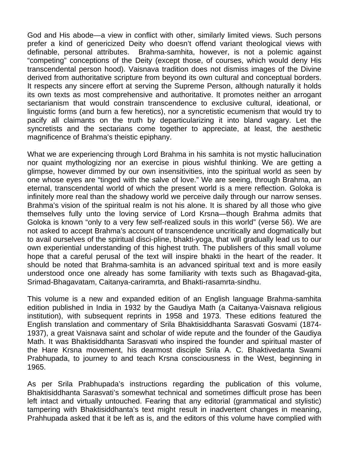God and His abode—a view in conflict with other, similarly limited views. Such persons prefer a kind of genericized Deity who doesn't offend variant theological views with definable, personal attributes. Brahma-samhita, however, is not a polemic against "competing" conceptions of the Deity (except those, of courses, which would deny His transcendental person hood). Vaisnava tradition does not dismiss images of the Divine derived from authoritative scripture from beyond its own cultural and conceptual borders. It respects any sincere effort at serving the Supreme Person, although naturally it holds its own texts as most comprehensive and authoritative. It promotes neither an arrogant sectarianism that would constrain transcendence to exclusive cultural, ideational, or linguistic forms (and burn a few heretics), nor a syncretistic ecumenism that would try to pacify all claimants on the truth by departicularizing it into bland vagary. Let the syncretists and the sectarians come together to appreciate, at least, the aesthetic magnificence of Brahma's theistic epiphany.

What we are experiencing through Lord Brahma in his samhita is not mystic hallucination nor quaint mythologizing nor an exercise in pious wishful thinking. We are getting a glimpse, however dimmed by our own insensitivities, into the spiritual world as seen by one whose eyes are "tinged with the salve of love." We are seeing, through Brahma, an eternal, transcendental world of which the present world is a mere reflection. Goloka is infinitely more real than the shadowy world we perceive daily through our narrow senses. Brahma's vision of the spiritual realm is not his alone. It is shared by all those who give themselves fully unto the loving service of Lord Krsna—though Brahma admits that Goloka is known "only to a very few self-realized souls in this world" (verse 56). We are not asked to accept Brahma's account of transcendence uncritically and dogmatically but to avail ourselves of the spiritual disci-pline, bhakti-yoga, that will gradually lead us to our own experiential understanding of this highest truth. The publishers of this small volume hope that a careful perusal of the text will inspire bhakti in the heart of the reader. It should be noted that Brahma-samhita is an advanced spiritual text and is more easily understood once one already has some familiarity with texts such as Bhagavad-gita, Srimad-Bhagavatam, Caitanya-cariramrta, and Bhakti-rasamrta-sindhu.

This volume is a new and expanded edition of an English language Brahma-samhita edition published in India in 1932 by the Gaudiya Math (a Caitanya-Vaisnava religious institution), with subsequent reprints in 1958 and 1973. These editions featured the English translation and commentary of Srila Bhaktisiddhanta Sarasvati Gosvami (1874- 1937), a great Vaisnava saint and scholar of wide repute and the founder of the Gaudiya Math. It was Bhaktisiddhanta Sarasvati who inspired the founder and spiritual master of the Hare Krsna movement, his dearmost disciple Srila A. C. Bhaktivedanta Swami Prabhupada, to journey to and teach Krsna consciousness in the West, beginning in 1965.

As per Srila Prabhupada's instructions regarding the publication of this volume, Bhaktisiddhanta Sarasvati's somewhat technical and sometimes difficult prose has been left intact and virtually untouched. Fearing that any editorial (grammatical and stylistic) tampering with Bhaktisiddhanta's text might result in inadvertent changes in meaning, Prahhupada asked that it be left as is, and the editors of this volume have complied with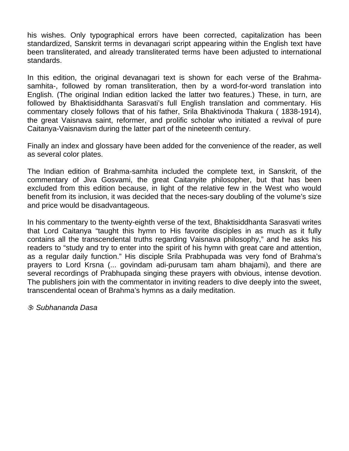his wishes. Only typographical errors have been corrected, capitalization has been standardized, Sanskrit terms in devanagari script appearing within the English text have been transliterated, and already transliterated terms have been adjusted to international standards.

In this edition, the original devanagari text is shown for each verse of the Brahmasamhita-, followed by roman transliteration, then by a word-for-word translation into English. (The original Indian edition lacked the latter two features.) These, in turn, are followed by Bhaktisiddhanta Sarasvati's full English translation and commentary. His commentary closely follows that of his father, Srila Bhaktivinoda Thakura ( 1838-1914), the great Vaisnava saint, reformer, and prolific scholar who initiated a revival of pure Caitanya-Vaisnavism during the latter part of the nineteenth century.

Finally an index and glossary have been added for the convenience of the reader, as well as several color plates.

The Indian edition of Brahma-samhita included the complete text, in Sanskrit, of the commentary of Jiva Gosvami, the great Caitanyite philosopher, but that has been excluded from this edition because, in light of the relative few in the West who would benefit from its inclusion, it was decided that the neces-sary doubling of the volume's size and price would be disadvantageous.

In his commentary to the twenty-eighth verse of the text, Bhaktisiddhanta Sarasvati writes that Lord Caitanya "taught this hymn to His favorite disciples in as much as it fully contains all the transcendental truths regarding Vaisnava philosophy," and he asks his readers to "study and try to enter into the spirit of his hymn with great care and attention, as a regular daily function." His disciple Srila Prabhupada was very fond of Brahma's prayers to Lord Krsna (... govindam adi-purusam tam aham bhajami), and there are several recordings of Prabhupada singing these prayers with obvious, intense devotion. The publishers join with the commentator in inviting readers to dive deeply into the sweet, transcendental ocean of Brahma's hymns as a daily meditation.

C *Subhananda Dasa*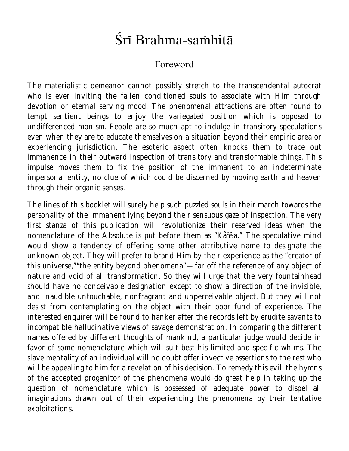# Śrī Brahma-samhitā

#### Foreword

The materialistic demeanor cannot possibly stretch to the transcendental autocrat who is ever inviting the fallen conditioned souls to associate with Him through devotion or eternal serving mood. The phenomenal attractions are often found to tempt sentient beings to enjoy the variegated position which is opposed to undifferenced monism. People are so much apt to indulge in transitory speculations even when they are to educate themselves on a situation beyond their empiric area or experiencing jurisdiction. The esoteric aspect often knocks them to trace out immanence in their outward inspection of transitory and transformable things. This impulse moves them to fix the position of the immanent to an indeterminate impersonal entity, no clue of which could be discerned by moving earth and heaven through their organic senses.

The lines of this booklet will surely help such puzzled souls in their march towards the personality of the immanent lying beyond their sensuous gaze of inspection. The very first stanza of this publication will revolutionize their reserved ideas when the nomenclature of the Absolute is put before them as "Kåñëa." The speculative mind would show a tendency of offering some other attributive name to designate the unknown object. They will prefer to brand Him by their experience as the "creator of this universe,""the entity beyond phenomena"—far off the reference of any object of nature and void of all transformation. So they will urge that the very fountainhead should have no conceivable designation except to show a direction of the invisible, and inaudible untouchable, nonfragrant and unperceivable object. But they will not desist from contemplating on the object with their poor fund of experience. The interested enquirer will be found to hanker after the records left by erudite savants to incompatible hallucinative views of savage demonstration. In comparing the different names offered by different thoughts of mankind, a particular judge would decide in favor of some nomenclature which will suit best his limited and specific whims. The slave mentality of an individual will no doubt offer invective assertions to the rest who will be appealing to him for a revelation of his decision. To remedy this evil, the hymns of the accepted progenitor of the phenomena would do great help in taking up the question of nomenclature which is possessed of adequate power to dispel all imaginations drawn out of their experiencing the phenomena by their tentative exploitations.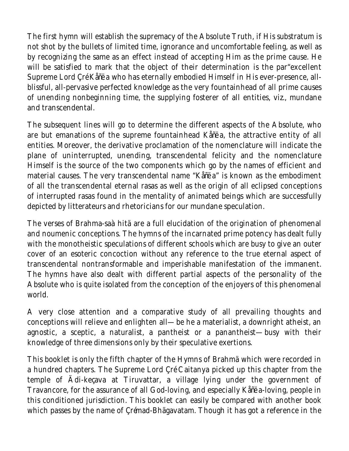The first hymn will establish the supremacy of the Absolute Truth, if His substratum is not shot by the bullets of limited time, ignorance and uncomfortable feeling, as well as by recognizing the same as an effect instead of accepting Him as the prime cause. He will be satisfied to mark that the object of their determination is the par"excellent Supreme Lord Çré Kåñëa who has eternally embodied Himself in His ever-presence, allblissful, all-pervasive perfected knowledge as the very fountainhead of all prime causes of unending nonbeginning time, the supplying fosterer of all entities, viz., mundane and transcendental.

The subsequent lines will go to determine the different aspects of the Absolute, who are but emanations of the supreme fountainhead Kåñëa, the attractive entity of all entities. Moreover, the derivative proclamation of the nomenclature will indicate the plane of uninterrupted, unending, transcendental felicity and the nomenclature Himself is the source of the two components which go by the names of efficient and material causes. The very transcendental name "Kåñëa" is known as the embodiment of all the transcendental eternal rasas as well as the origin of all eclipsed conceptions of interrupted rasas found in the mentality of animated beings which are successfully depicted by litterateurs and rhetoricians for our mundane speculation.

The verses of Brahma-saàhitä are a full elucidation of the origination of phenomenal and noumenic conceptions. The hymns of the incarnated prime potency has dealt fully with the monotheistic speculations of different schools which are busy to give an outer cover of an esoteric concoction without any reference to the true eternal aspect of transcendental nontransformable and imperishable manifestation of the immanent. The hymns have also dealt with different partial aspects of the personality of the Absolute who is quite isolated from the conception of the enjoyers of this phenomenal world.

A very close attention and a comparative study of all prevailing thoughts and conceptions will relieve and enlighten all—be he a materialist, a downright atheist, an agnostic, a sceptic, a naturalist, a pantheist or a panantheist—busy with their knowledge of three dimensions only by their speculative exertions.

This booklet is only the fifth chapter of the Hymns of Brahmä which were recorded in a hundred chapters. The Supreme Lord Çré Caitanya picked up this chapter from the temple of Ädi-keçava at Tiruvattar, a village lying under the government of Travancore, for the assurance of all God-loving, and especially Kåñëa-loving, people in this conditioned jurisdiction. This booklet can easily be compared with another book which passes by the name of Çrémad-Bhägavatam. Though it has got a reference in the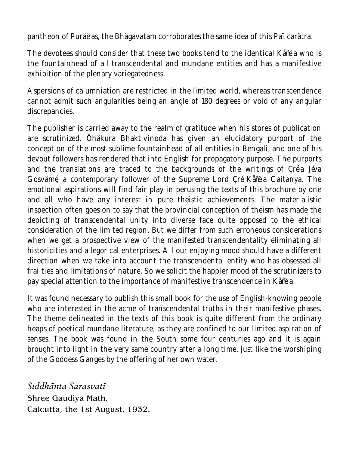pantheon of Puräëas, the Bhägavatam corroborates the same idea of this Païcarätra.

The devotees should consider that these two books tend to the identical Kåñëa who is the fountainhead of all transcendental and mundane entities and has a manifestive exhibition of the plenary variegatedness.

Aspersions of calumniation are restricted in the limited world, whereas transcendence cannot admit such angularities being an angle of 180 degrees or void of any angular discrepancies.

The publisher is carried away to the realm of gratitude when his stores of publication are scrutinized. Öhäkura Bhaktivinoda has given an elucidatory purport of the conception of the most sublime fountainhead of all entities in Bengali, and one of his devout followers has rendered that into English for propagatory purpose. The purports and the translations are traced to the backgrounds of the writings of Çréla Jéva Gosvämé, a contemporary follower of the Supreme Lord Çré Kåñëa Caitanya. The emotional aspirations will find fair play in perusing the texts of this brochure by one and all who have any interest in pure theistic achievements. The materialistic inspection often goes on to say that the provincial conception of theism has made the depicting of transcendental unity into diverse face quite opposed to the ethical consideration of the limited region. But we differ from such erroneous considerations when we get a prospective view of the manifested transcendentality eliminating all historicities and allegorical enterprises. All our enjoying mood should have a different direction when we take into account the transcendental entity who has obsessed all frailties and limitations of nature. So we solicit the happier mood of the scrutinizers to pay special attention to the importance of manifestive transcendence in Kåñëa.

It was found necessary to publish this small book for the use of English-knowing people who are interested in the acme of transcendental truths in their manifestive phases. The theme delineated in the texts of this book is quite different from the ordinary heaps of poetical mundane literature, as they are confined to our limited aspiration of senses. The book was found in the South some four centuries ago and it is again brought into light in the very same country after a long time, just like the worshiping of the Goddess Ganges by the offering of her own water.

*Siddhänta Sarasvaté*  Shree Gaudiya Math, Calcutta, the 1st August, 1932.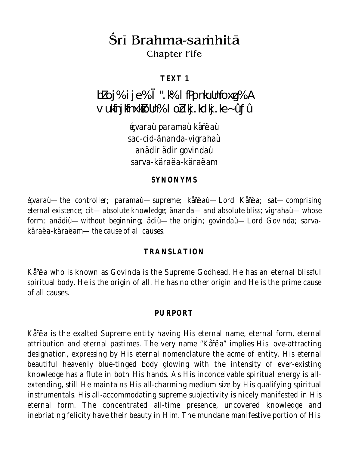# Śrī Brahma-samhitā **Chapter Fife**

#### TFXT1

# bloj% i je% I ". K% I PpnluUnfoxg% A vulinjlinxlibUr% I odlj.ldlj.le~ ûfû

éçvaraù paramaù kåñëaù sac-cid-änanda-vigrahaù anädir ädir govindaù sarva-käraëa-käraëam

#### **SYNONYMS**

éçvaraù—the controller; paramaù—supreme; kåñëaù—Lord Kåñëa; sat—comprising eternal existence; cit—absolute knowledge; änanda—and absolute bliss; vigrahaù—whose form; anädiù—without beginning; ädiù—the origin; govindaù—Lord Govinda; sarvakäraëa-käraëam—the cause of all causes.

#### **TRANSLATION**

Kåñëa who is known as Govinda is the Supreme Godhead. He has an eternal blissful spiritual body. He is the origin of all. He has no other origin and He is the prime cause of all causes.

#### **PURPORT**

Kåñëa is the exalted Supreme entity having His eternal name, eternal form, eternal attribution and eternal pastimes. The very name "Kånea" implies His love-attracting designation, expressing by His eternal nomenclature the acme of entity. His eternal beautiful heavenly blue-tinged body glowing with the intensity of ever-existing knowledge has a flute in both His hands. As His inconceivable spiritual energy is allextending, still He maintains His all-charming medium size by His qualifying spiritual instrumentals. His all-accommodating supreme subjectivity is nicely manifested in His eternal form. The concentrated all-time presence, uncovered knowledge and inebriating felicity have their beauty in Him. The mundane manifestive portion of His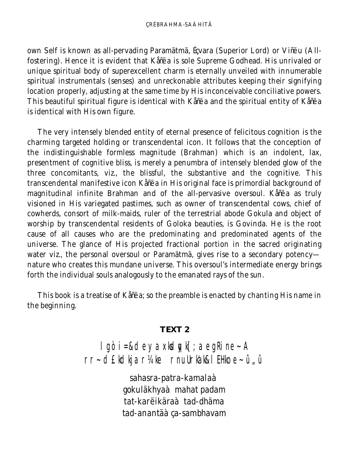own Self is known as all-pervading Paramätmä, Éçvara (Superior Lord) or Viñëu (Allfostering). Hence it is evident that Kåñëa is sole Supreme Godhead. His unrivaled or unique spiritual body of superexcellent charm is eternally unveiled with innumerable spiritual instrumentals (senses) and unreckonable attributes keeping their signifying location properly, adjusting at the same time by His inconceivable conciliative powers. This beautiful spiritual figure is identical with Kåñëa and the spiritual entity of Kåñëa is identical with His own figure.

The very intensely blended entity of eternal presence of felicitous cognition is the charming targeted holding or transcendental icon. It follows that the conception of the indistinguishable formless magnitude (Brahman) which is an indolent, lax, presentment of cognitive bliss, is merely a penumbra of intensely blended glow of the three concomitants, viz., the blissful, the substantive and the cognitive. This transcendental manifestive icon Kåñëa in His original face is primordial background of magnitudinal infinite Brahman and of the all-pervasive oversoul. Kåñëa as truly visioned in His variegated pastimes, such as owner of transcendental cows, chief of cowherds, consort of milk-maids, ruler of the terrestrial abode Gokula and object of worship by transcendental residents of Goloka beauties, is Govinda. He is the root cause of all causes who are the predominating and predominated agents of the universe. The glance of His projected fractional portion in the sacred originating water viz., the personal oversoul or Paramätmä, gives rise to a secondary potencynature who creates this mundane universe. This oversoul's intermediate energy brings forth the individual souls analogously to the emanated rays of the sun.

This book is a treatise of Kåñëa; so the preamble is enacted by chanting His name in the beginning.

#### **TEXT 2**

# **lgòi=&deya xkdyl{; a egline~ A rr~ d£ kdija r¼e rnuUrkk&l EHoe~ û,,û**

*sahasra-patra-kamalaà gokuläkhyaà mahat padam tat-karëikäraà tad-dhäma tad-anantäàça-sambhavam*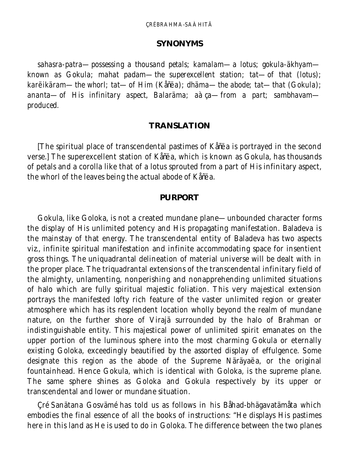#### **SYNONYMS**

*sahasra-patra—possessing a thousand petals; kamalam—a lotus; gokula-äkhyam known as Gokula; mahat padam—the superexcellent station; tat—of that (lotus); karëikäram—the whorl; tat—of Him (Kåñëa); dhäma—the abode; tat—that (Gokula); ananta—of His infinitary aspect, Balaräma; aàça—from a part; sambhavam produced.* 

#### **TRANSLATION**

[The spiritual place of transcendental pastimes of Kåñëa is portrayed in the second verse.] The superexcellent station of Kåñëa, which is known as Gokula, has thousands of petals and a corolla like that of a lotus sprouted from a part of His infinitary aspect, the whorl of the leaves being the actual abode of Kåñëa.

#### **PURPORT**

Gokula, like Goloka, is not a created mundane plane—unbounded character forms the display of His unlimited potency and His propagating manifestation. Baladeva is the mainstay of that energy. The transcendental entity of Baladeva has two aspects viz., infinite spiritual manifestation and infinite accommodating space for insentient gross things. The uniquadrantal delineation of material universe will be dealt with in the proper place. The triquadrantal extensions of the transcendental infinitary field of the almighty, unlamenting, nonperishing and nonapprehending unlimited situations of halo which are fully spiritual majestic foliation. This very majestical extension portrays the manifested lofty rich feature of the vaster unlimited region or greater atmosphere which has its resplendent location wholly beyond the realm of mundane nature, on the further shore of Virajä surrounded by the halo of Brahman or indistinguishable entity. This majestical power of unlimited spirit emanates on the upper portion of the luminous sphere into the most charming Gokula or eternally existing Goloka, exceedingly beautified by the assorted display of effulgence. Some designate this region as the abode of the Supreme Näräyaëa, or the original fountainhead. Hence Gokula, which is identical with Goloka, is the supreme plane. The same sphere shines as Goloka and Gokula respectively by its upper or transcendental and lower or mundane situation.

Çré Sanätana Gosvämé has told us as follows in his Båhad-bhägavatämåta which embodies the final essence of all the books of instructions: "He displays His pastimes here in this land as He is used to do in Goloka. The difference between the two planes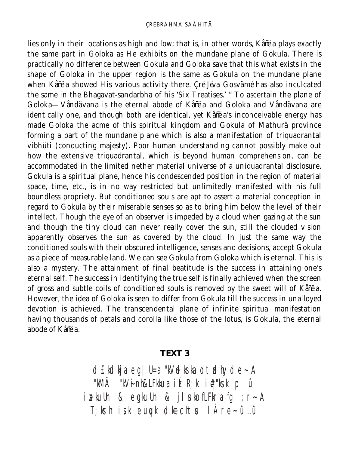lies only in their locations as high and low; that is, in other words, Kåñëa plays exactly the same part in Goloka as He exhibits on the mundane plane of Gokula. There is practically no difference between Gokula and Goloka save that this what exists in the shape of Goloka in the upper region is the same as Gokula on the mundane plane when Kåñëa showed His various activity there. Çré Jéva Gosvämé has also inculcated the same in the Bhagavat-sandarbha of his 'Six Treatises.' " To ascertain the plane of Goloka—Våndävana is the eternal abode of Kåñëa and Goloka and Våndävana are identically one, and though both are identical, yet Kåñëa's inconceivable energy has made Goloka the acme of this spiritual kingdom and Gokula of Mathurä province forming a part of the mundane plane which is also a manifestation of triquadrantal vibhüti (conducting majesty). Poor human understanding cannot possibly make out how the extensive triquadrantal, which is beyond human comprehension, can be accommodated in the limited nether material universe of a uniquadrantal disclosure. Gokula is a spiritual plane, hence his condescended position in the region of material space, time, etc., is in no way restricted but unlimitedly manifested with his full boundless propriety. But conditioned souls are apt to assert a material conception in regard to Gokula by their miserable senses so as to bring him below the level of their intellect. Though the eye of an observer is impeded by a cloud when gazing at the sun and though the tiny cloud can never really cover the sun, still the clouded vision apparently observes the sun as covered by the cloud. In just the same way the conditioned souls with their obscured intelligence, senses and decisions, accept Gokula as a piece of measurable land. We can see Gokula from Goloka which is eternal. This is also a mystery. The attainment of final beatitude is the success in attaining one's eternal self. The success in identifying the true self is finally achieved when the screen of gross and subtle coils of conditioned souls is removed by the sweet will of Kåñëa. However, the idea of Goloka is seen to differ from Gokula till the success in unalloyed devotion is achieved. The transcendental plane of infinite spiritual manifestation having thousands of petals and corolla like those of the lotus, is Gokula, the eternal abode of Kåñëa.

#### **TEXT 3**

d£ ldlja eg | U=a 'lVellsla otzllyde~ A "MÂ "WinkelFlua il R;k iq"ksk p û istuut & egtuut & jlstofLFkrafg  $r - A$ T; ish: isk euqk diechte lâre~ û…û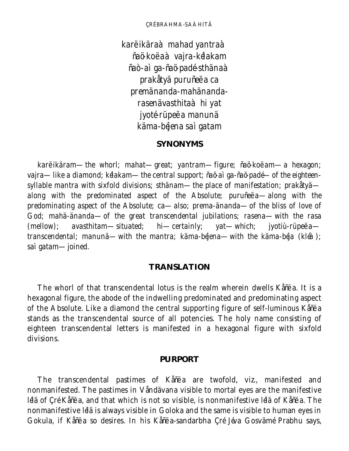#### ÇRÉ BRAHMA-SAÀHITÄ

*karëikäraà mahad yantraà ñaö-koëaà vajra-kélakam ñaò-aìga-ñaö-padé-sthänaà prakåtyä puruñeëa ca premänanda-mahänandarasenävasthitaà hi yat jyoté-rüpeëa manunä käma-béjena saìgatam* 

#### **SYNONYMS**

*karëikäram—the whorl; mahat—great; yantram—figure; ñaö-koëam—a hexagon; vajra—like a diamond; kélakam—the central support; ñaö-aìga-ñaö-padé—of the eighteensyllable mantra with sixfold divisions; sthänam—the place of manifestation; prakåtyä along with the predominated aspect of the Absolute; puruñeëa—along with the predominating aspect of the Absolute; ca—also; prema-änanda—of the bliss of love of God; mahä-änanda—of the great transcendental jubilations; rasena—with the rasa (mellow); avasthitam—situated; hi—certainly; yat—which; jyotiù-rüpeëa transcendental; manunä—with the mantra; käma-béjena—with the käma-béja (kléà); saìgatam—joined.* 

#### **TRANSLATION**

The whorl of that transcendental lotus is the realm wherein dwells Kåñëa. It is a hexagonal figure, the abode of the indwelling predominated and predominating aspect of the Absolute. Like a diamond the central supporting figure of self-luminous Kåñëa stands as the transcendental source of all potencies. The holy name consisting of eighteen transcendental letters is manifested in a hexagonal figure with sixfold divisions.

#### **PURPORT**

The transcendental pastimes of Kåñëa are twofold, viz., manifested and nonmanifested. The pastimes in Våndävana visible to mortal eyes are the manifestive lélä of Çré Kåñëa, and that which is not so visible, is nonmanifestive lélä of Kåñëa. The nonmanifestive lélä is always visible in Goloka and the same is visible to human eyes in Gokula, if Kåñëa so desires. In his Kåñëa-sandarbha Çré Jéva Gosvämé Prabhu says,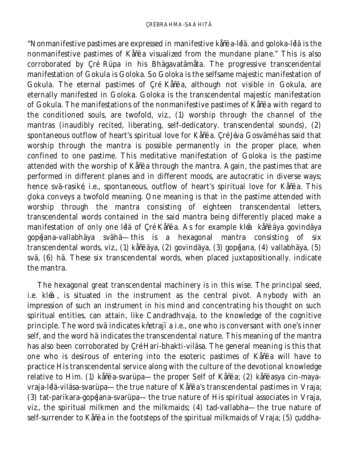"Nonmanifestive pastimes are expressed in manifestive kåñëa-lélä. and goloka-lélä is the nonmanifestive pastimes of Kåñëa visualized from the mundane plane." This is also corroborated by Çré Rüpa in his Bhägavatämåta. The progressive transcendental manifestation of Gokula is Goloka. So Goloka is the selfsame majestic manifestation of Gokula. The eternal pastimes of Çré Kåñëa, although not visible in Gokula, are eternally manifested in Goloka. Goloka is the transcendental majestic manifestation of Gokula. The manifestations of the nonmanifestive pastimes of Kåñëa with regard to the conditioned souls, are twofold, viz., (1) worship through the channel of the mantras (inaudibly recited, liberating, self-dedicatory. transcendental sounds), (2) spontaneous outflow of heart's spiritual love for Kåñëa. Çré Jéva Gosvämé has said that worship through the mantra is possible permanently in the proper place, when confined to one pastime. This meditative manifestation of Goloka is the pastime attended with the worship of Kåñëa through the mantra. Again, the pastimes that are performed in different planes and in different moods, are autocratic in diverse ways; hence svä-rasiké, i.e., spontaneous, outflow of heart's spiritual love for Kåñëa. This çloka conveys a twofold meaning. One meaning is that in the pastime attended with worship through the mantra consisting of eighteen transcendental letters, transcendental words contained in the said mantra being differently placed make a manifestation of only one lélä of Çré Kåñëa. As for example kléà kåñëäya govindäya gopéjana-vallabhäya svähä—this is a hexagonal mantra consisting of six transcendental words, viz., (1) kåñëäya, (2) govindäya, (3) gopéjana, (4) vallabhäya, (5) svä, (6) hä. These six transcendental words, when placed juxtapositionally. indicate the mantra.

The hexagonal great transcendental machinery is in this wise. The principal seed, i.e. kléà, is situated in the instrument as the central pivot. Anybody with an impression of such an instrument in his mind and concentrating his thought on such spiritual entities, can attain, like Candradhvaja, to the knowledge of the cognitive principle. The word svä indicates kñetrajïa i.e., one who is conversant with one's inner self, and the word hä indicates the transcendental nature. This meaning of the mantra has also been corroborated by Çré Hari-bhakti-viläsa. The general meaning is this that one who is desirous of entering into the esoteric pastimes of Kåñëa will have to practice His transcendental service along with the culture of the devotional knowledge relative to Him. (1) kåñëa-svarüpa—the proper Self of Kåñëa; (2) kåñëasya cin-mayavraja-lélä-viläsa-svarüpa—the true nature of Kåñëa's transcendental pastimes in Vraja; (3) tat-parikara-gopéjana-svarüpa—the true nature of His spiritual associates in Vraja, viz., the spiritual milkmen and the milkmaids; (4) tad-vallabha—the true nature of self-surrender to Kåñëa in the footsteps of the spiritual milkmaids of Vraja; (5) çuddha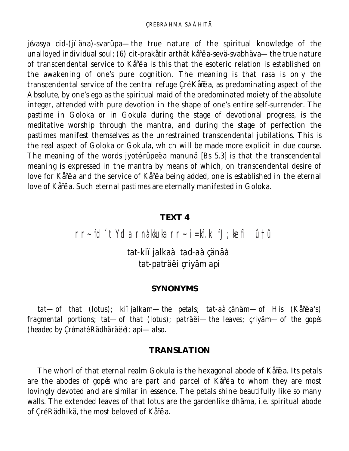jévasya cid-(jïäna)-svarüpa—the true nature of the spiritual knowledge of the unalloyed individual soul; (6) cit-prakåtir arthät kåñëa-sevä-svabhäva—the true nature of transcendental service to Kåñëa is this that the esoteric relation is established on the awakening of one's pure cognition. The meaning is that rasa is only the transcendental service of the central refuge Çré Kåñëa, as predominating aspect of the Absolute, by one's ego as the spiritual maid of the predominated moiety of the absolute integer, attended with pure devotion in the shape of one's entire self-surrender. The pastime in Goloka or in Gokula during the stage of devotional progress, is the meditative worship through the mantra, and during the stage of perfection the pastimes manifest themselves as the unrestrained transcendental jubilations. This is the real aspect of Goloka or Gokula, which will be made more explicit in due course. The meaning of the words jyoté-rüpeëa manunä [Bs 5.3] is that the transcendental meaning is expressed in the mantra by means of which, on transcendental desire of love for Kåñëa and the service of Kåñëa being added, one is established in the eternal love of Kåñëa. Such eternal pastimes are eternally manifested in Goloka.

#### **TEXT 4**

### **rr~ fd´tYda rnallula rr~ i=lf.k fJ;lefi** û†û

*tat-kiïjalkaà tad-aàçänäà tat-paträëi çriyäm api* 

#### **SYNONYMS**

*tat—of that (lotus); kiïjalkam—the petals; tat-aàçänäm—of His (Kåñëa's) fragmental portions; tat—of that (lotus); paträëi—the leaves; çriyäm—of the gopés (headed by Çrématé Rädhäräëé); api—also.* 

#### **TRANSLATION**

The whorl of that eternal realm Gokula is the hexagonal abode of Kåñëa. Its petals are the abodes of gopés who are part and parcel of Kåñëa to whom they are most lovingly devoted and are similar in essence. The petals shine beautifully like so many walls. The extended leaves of that lotus are the gardenlike dhäma, i.e. spiritual abode of Çré Rädhikä, the most beloved of Kåñëa.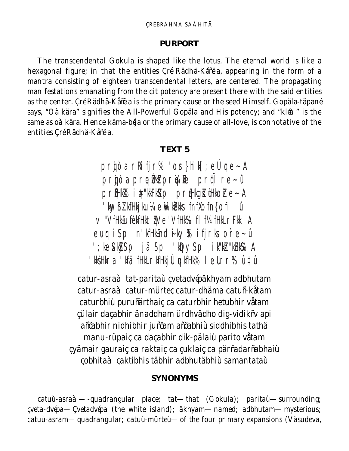#### **PURPORT**

The transcendental Gokula is shaped like the lotus. The eternal world is like a hexagonal figure; in that the entities Cré Rädhä-Kåñëa, appearing in the form of a mantra consisting of eighteen transcendental letters, are centered. The propagating manifestations emanating from the cit potency are present there with the said entities as the center. Çré Rädhä-Kåñëa is the primary cause or the seed Himself. Gopäla-täpané says, "Oàkära" signifies the All-Powerful Gopäla and His potency; and "kléà" is the same as oà kära. Hence käma-béja or the primary cause of all-love, is connotative of the entities Cré Rädhä-Kåñëa.

#### TFXT<sub>5</sub>

# prioa rhijr% 'os}hi[;eÚqe~A prioapreikpri/le pril re-û print id Wisp prings the re-A **' hy 82 lillig la 1/2e triale is in Dio in { ofi** a v'Vilineille d/e'Vili% fi f%lik Fik A euq iSp n'lllindily % if jrls o`re~ û ";le**sys**p jä**sp "llysp ikinus.**A **'N<del>ilr</del>a 'KäfitrifljÚqlfi% i elrr%û‡û**

catur-asraà tat-paritaù çvetadvépäkhyam adbhutam catur-asraà catur-mürteç catur-dhäma catuñ-kåtam caturbhiù puruñärthaic ca caturbhir hetubhir våtam çülair daçabhir änaddham ürdhvädho dig-vidikñy api añöabhir nidhibhir juñöam añöabhiù siddhibhis tathä manu-rüpaiç ca daçabhir dik-pälaiù parito våtam cyämair gauraic ca raktaic ca cuklaic ca pärñadarñabhaiù cobhitaà caktibhis täbhir adbhutäbhiù samantataù

#### **SYNONYMS**

catuù-asraà—-quadrangular place; tat—that (Gokula); paritaù—surrounding; çveta-dvépa-Cvetadvépa (the white island); äkhyam-named; adbhutam-mysterious; catuù-asram—quadrangular; catuù-mürteù—of the four primary expansions (Väsudeva,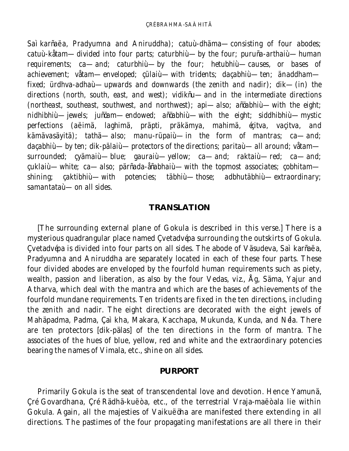*Saìkarñaëa, Pradyumna and Aniruddha); catuù-dhäma—consisting of four abodes; catuù-kåtam—divided into four parts; caturbhiù—by the four; puruña-arthaiù—human requirements; ca—and; caturbhiù—by the four; hetubhiù—causes, or bases of achievement; våtam—enveloped; çülaiù—with tridents; daçabhiù—ten; änaddham fixed; ürdhva-adhaù—upwards and downwards (the zenith and nadir); dik—(in) the directions (north, south, east, and west); vidikñu—and in the intermediate directions (northeast, southeast, southwest, and northwest); api—also; añöabhiù—with the eight; nidhibhiù—jewels; juñöam—endowed; añöabhiù—with the eight; siddhibhiù—mystic perfections (aëimä, laghimä, präpti, präkämya, mahimä, éçitva, vaçitva, and kämävasäyitä); tathä—also; manu-rüpaiù—in the form of mantras; ca—and; daçabhiù—by ten; dik-pälaiù—protectors of the directions; paritaù—all around; våtam surrounded; çyämaiù—blue; gauraiù—yellow; ca—and; raktaiù—red; ca—and; çuklaiù—white; ca—also; pärñada-åñabhaiù—with the topmost associates; çobhitam shining; çaktibhiù—with potencies; täbhiù—those; adbhutäbhiù—extraordinary; samantataù—on all sides.* 

#### **TRANSLATION**

[The surrounding external plane of Gokula is described in this verse.] There is a mysterious quadrangular place named Çvetadvépa surrounding the outskirts of Gokula. Çvetadvépa is divided into four parts on all sides. The abode of Väsudeva, Saìkarñaëa, Pradyumna and Aniruddha are separately located in each of these four parts. These four divided abodes are enveloped by the fourfold human requirements such as piety, wealth, passion and liberation, as also by the four Vedas, viz., Åg, Säma, Yajur and Atharva, which deal with the mantra and which are the bases of achievements of the fourfold mundane requirements. Ten tridents are fixed in the ten directions, including the zenith and nadir. The eight directions are decorated with the eight jewels of Mahäpadma, Padma, Çaìkha, Makara, Kacchapa, Mukunda, Kunda, and Néla. There are ten protectors [dik-pälas] of the ten directions in the form of mantra. The associates of the hues of blue, yellow, red and white and the extraordinary potencies bearing the names of Vimala, etc., shine on all sides.

#### **PURPORT**

Primarily Gokula is the seat of transcendental love and devotion. Hence Yamunä, Çré Govardhana, Çré Rädhä-kuëòa, etc., of the terrestrial Vraja-maëòala lie within Gokula. Again, all the majesties of Vaikuëöha are manifested there extending in all directions. The pastimes of the four propagating manifestations are all there in their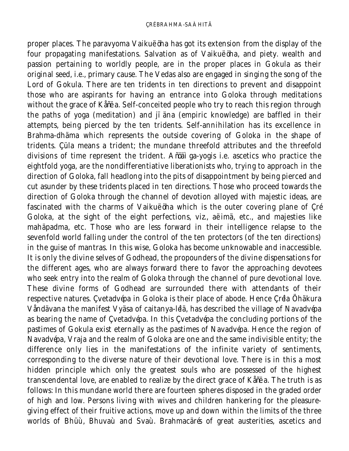proper places. The paravyoma Vaikuëöha has got its extension from the display of the four propagating manifestations. Salvation as of Vaikuëöha, and piety. wealth and passion pertaining to worldly people, are in the proper places in Gokula as their original seed, i.e., primary cause. The Vedas also are engaged in singing the song of the Lord of Gokula. There are ten tridents in ten directions to prevent and disappoint those who are aspirants for having an entrance into Goloka through meditations without the grace of Kåñëa. Self-conceited people who try to reach this region through the paths of yoga (meditation) and jïäna (empiric knowledge) are baffled in their attempts, being pierced by the ten tridents. Self-annihilation has its excellence in Brahma-dhäma which represents the outside covering of Goloka in the shape of tridents. Çüla means a trident; the mundane threefold attributes and the threefold divisions of time represent the trident. Añöäìga-yogis i.e. ascetics who practice the eightfold yoga, are the nondifferentiative liberationists who, trying to approach in the direction of Goloka, fall headlong into the pits of disappointment by being pierced and cut asunder by these tridents placed in ten directions. Those who proceed towards the direction of Goloka through the channel of devotion alloyed with majestic ideas, are fascinated with the charms of Vaikuëöha which is the outer covering plane of Çré Goloka, at the sight of the eight perfections, viz., aëimä, etc., and majesties like mahäpadma, etc. Those who are less forward in their intelligence relapse to the sevenfold world falling under the control of the ten protectors (of the ten directions) in the guise of mantras. In this wise, Goloka has become unknowable and inaccessible. It is only the divine selves of Godhead, the propounders of the divine dispensations for the different ages, who are always forward there to favor the approaching devotees who seek entry into the realm of Goloka through the channel of pure devotional love. These divine forms of Godhead are surrounded there with attendants of their respective natures. Çvetadvépa in Goloka is their place of abode. Hence Çréla Öhäkura Våndävana the manifest Vyäsa of caitanya-lélä, has described the village of Navadvépa as bearing the name of Çvetadvépa. In this Çvetadvépa the concluding portions of the pastimes of Gokula exist eternally as the pastimes of Navadvépa. Hence the region of Navadvépa, Vraja and the realm of Goloka are one and the same indivisible entity; the difference only lies in the manifestations of the infinite variety of sentiments, corresponding to the diverse nature of their devotional love. There is in this a most hidden principle which only the greatest souls who are possessed of the highest transcendental love, are enabled to realize by the direct grace of Kåñëa. The truth is as follows: In this mundane world there are fourteen spheres disposed in the graded order of high and low. Persons living with wives and children hankering for the pleasuregiving effect of their fruitive actions, move up and down within the limits of the three worlds of Bhüù, Bhuvaù and Svaù. Brahmacärés of great austerities, ascetics and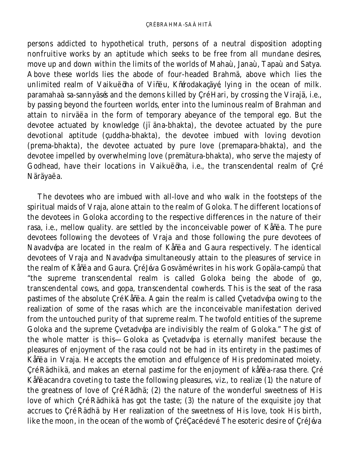persons addicted to hypothetical truth, persons of a neutral disposition adopting nonfruitive works by an aptitude which seeks to be free from all mundane desires, move up and down within the limits of the worlds of Mahaù, Janaù, Tapaù and Satya. Above these worlds lies the abode of four-headed Brahmä, above which lies the unlimited realm of Vaikuëöha of Viñëu, Kñérodakaçäyé, lying in the ocean of milk. paramahaàsa-sannyäsés and the demons killed by Çré Hari, by crossing the Virajä, i.e., by passing beyond the fourteen worlds, enter into the luminous realm of Brahman and attain to nirväëa in the form of temporary abeyance of the temporal ego. But the devotee actuated by knowledge (jïäna-bhakta), the devotee actuated by the pure devotional aptitude (çuddha-bhakta), the devotee imbued with loving devotion (prema-bhakta), the devotee actuated by pure love (premapara-bhakta), and the devotee impelled by overwhelming love (premätura-bhakta), who serve the majesty of Godhead, have their locations in Vaikuëöha, i.e., the transcendental realm of Çré Näräyaëa.

The devotees who are imbued with all-love and who walk in the footsteps of the spiritual maids of Vraja, alone attain to the realm of Goloka. The different locations of the devotees in Goloka according to the respective differences in the nature of their rasa, i.e., mellow quality. are settled by the inconceivable power of Kåñëa. The pure devotees following the devotees of Vraja and those following the pure devotees of Navadvépa are located in the realm of Kåñëa and Gaura respectively. The identical devotees of Vraja and Navadvépa simultaneously attain to the pleasures of service in the realm of Kåñëa and Gaura. Çré Jéva Gosvämé writes in his work Gopäla-campü that "the supreme transcendental realm is called Goloka being the abode of go, transcendental cows, and gopa, transcendental cowherds. This is the seat of the rasa pastimes of the absolute Çré Kåñëa. Again the realm is called Çvetadvépa owing to the realization of some of the rasas which are the inconceivable manifestation derived from the untouched purity of that supreme realm. The twofold entities of the supreme Goloka and the supreme Çvetadvépa are indivisibly the realm of Goloka." The gist of the whole matter is this—Goloka as Çvetadvépa is eternally manifest because the pleasures of enjoyment of the rasa could not be had in its entirety in the pastimes of Kåñëa in Vraja. He accepts the emotion and effulgence of His predominated moiety. Çré Rädhikä, and makes an eternal pastime for the enjoyment of kåñëa-rasa there. Çré Kåñëacandra coveting to taste the following pleasures, viz., to realize (1) the nature of the greatness of love of Çré Rädhä; (2) the nature of the wonderful sweetness of His love of which Çré Rädhikä has got the taste; (3) the nature of the exquisite joy that accrues to Çré Rädhä by Her realization of the sweetness of His love, took His birth, like the moon, in the ocean of the womb of Çré Çacé-devé. The esoteric desire of Çré Jéva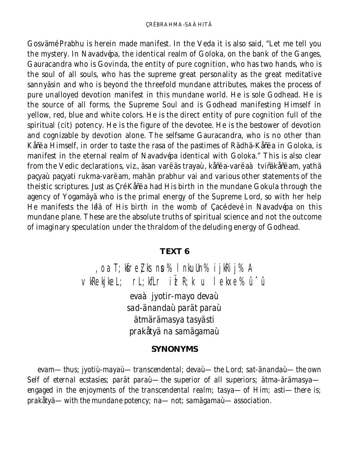Gosvämé Prabhu is herein made manifest. In the Veda it is also said, "Let me tell you the mystery. In Navadvépa, the identical realm of Goloka, on the bank of the Ganges, Gauracandra who is Govinda, the entity of pure cognition, who has two hands, who is the soul of all souls, who has the supreme great personality as the great meditative sannyäsin and who is beyond the threefold mundane attributes, makes the process of pure unalloyed devotion manifest in this mundane world. He is sole Godhead. He is the source of all forms, the Supreme Soul and is Godhead manifesting Himself in yellow, red, blue and white colors. He is the direct entity of pure cognition full of the spiritual (cit) potency. He is the figure of the devotee. He is the bestower of devotion and cognizable by devotion alone. The selfsame Gauracandra, who is no other than Kåñëa Himself, in order to taste the rasa of the pastimes of Rädhä-Kåñëa in Goloka, is manifest in the eternal realm of Navadvépa identical with Goloka." This is also clear from the Vedic declarations, viz., äsan varëäs trayaù, kåñëa-varëaà tviñäkåñëam, yathä paçyaù paçyati rukma-varëam, mahän prabhur vai and various other statements of the theistic scriptures. Just as Çré Kåñëa had His birth in the mundane Gokula through the agency of Yogamäyä who is the primal energy of the Supreme Lord, so with her help He manifests the lélä of His birth in the womb of Çacé-devé in Navadvépa on this mundane plane. These are the absolute truths of spiritual science and not the outcome of imaginary speculation under the thraldom of the deluding energy of Godhead.

#### **TEXT 6**

# **, oa T; Krež is no% i nluur% i jilij j% A** vReljlel; rl;ltr ii R;k u lekxe% û^û

*evaà jyotir-mayo devaù sad-änandaù parät paraù ätmärämasya tasyästi prakåtyä na samägamaù* 

#### **SYNONYMS**

*evam—thus; jyotiù-mayaù—transcendental; devaù—the Lord; sat-änandaù—the own Self of eternal ecstasies; parät paraù—the superior of all superiors; ätma-ärämasya engaged in the enjoyments of the transcendental realm; tasya—of Him; asti—there is; prakåtyä—with the mundane potency; na—not; samägamaù—association.*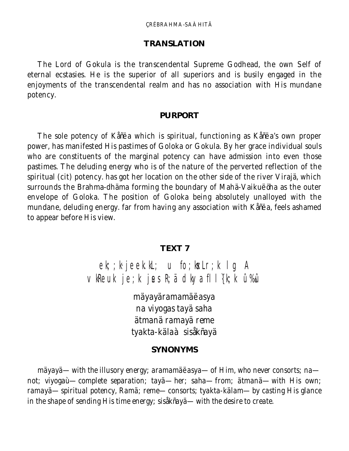#### **TRANSLATION**

The Lord of Gokula is the transcendental Supreme Godhead, the own Self of eternal ecstasies. He is the superior of all superiors and is busily engaged in the enjoyments of the transcendental realm and has no association with His mundane potency.

#### **PURPORT**

The sole potency of Kåñëa which is spiritual, functioning as Kåñëa's own proper power, has manifested His pastimes of Goloka or Gokula. By her grace individual souls who are constituents of the marginal potency can have admission into even those pastimes. The deluding energy who is of the nature of the perverted reflection of the spiritual (cit) potency. has got her location on the other side of the river Virajä, which surrounds the Brahma-dhäma forming the boundary of Mahä-Vaikuë oha as the outer envelope of Goloka. The position of Goloka being absolutely unalloyed with the mundane, deluding energy. far from having any association with Kåñëa, feels ashamed to appear before His view.

#### TFXT<sub>7</sub>

# ek;kjeekt; u fo;klr;k Ig A **viteuk je; k jes R; ädlyafl I {k k û%}**

mäyayäramamäëasya na viyogas taya saha ätmanä ramayä reme tyakta-kälaà sisåkñayä

#### **SYNONYMS**

mäyayä—with the illusory energy; aramamäëasya—of Him, who never consorts; na not; viyogaù-complete separation; tayä-her; saha-from; ätmanä-with His own; ramayä—spiritual potency, Ramä; reme—consorts; tyakta-kälam—by casting His glance in the shape of sending His time energy; sisåknaya—with the desire to create.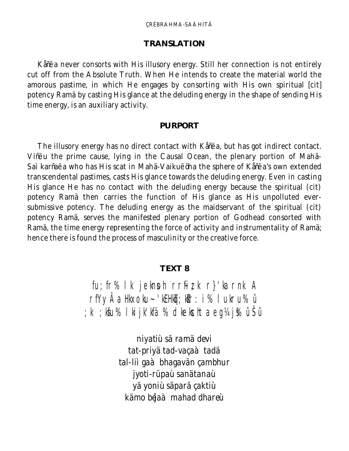#### **TRANSLATION**

Kåñëa never consorts with His illusory energy. Still her connection is not entirely cut off from the Absolute Truth. When He intends to create the material world the amorous pastime, in which He engages by consorting with His own spiritual [cit] potency Ramä by casting His glance at the deluding energy in the shape of sending His time energy, is an auxiliary activity.

#### **PURPORT**

The illusory energy has no direct contact with Kåñëa, but has got indirect contact. Viñëu the prime cause, lying in the Causal Ocean, the plenary portion of Mahä-Saì karñaëa who has His scat in Mahä-Vaikuë öha the sphere of Kåñëa's own extended transcendental pastimes, casts His glance towards the deluding energy. Even in casting His glance He has no contact with the deluding energy because the spiritual (cit) potency Ramä then carries the function of His glance as His unpolluted eversubmissive potency. The deluding energy as the maidservant of the spiritual (cit) potency Ramä, serves the manifested plenary portion of Godhead consorted with Ramä, the time energy representing the force of activity and instrumentality of Ramä; hence there is found the process of masculinity or the creative force.

#### **TEXT 8**

# fu;fr% lk jelneh rrfizk r}'la rnk A **rfYyÂa Hxolu~ 'EHq; ilr: i% lukru% û ;k; Ku% l kijk tä% dlelsit a eg¼j% ûŠû**

*niyatiù sä ramä devi tat-priyä tad-vaçaà tadä tal-liìgaà bhagavän çambhur jyoti-rüpaù sanätanaù yä yoniù säparä çaktiù kämo béjaà mahad dhareù*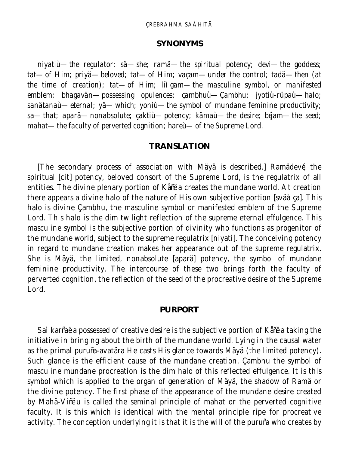#### **SYNONYMS**

*niyatiù—the regulator; sä—she; ramä—the spiritual potency; devi—the goddess; tat—of Him; priyä—beloved; tat—of Him; vaçam—under the control; tadä—then (at the time of creation); tat—of Him; liìgam—the masculine symbol, or manifested emblem; bhagavän—possessing opulences; çambhuù—Çambhu; jyotiù-rüpaù—halo; sanätanaù—eternal; yä—which; yoniù—the symbol of mundane feminine productivity; sa—that; aparä—nonabsolute; çaktiù—potency; kämaù—the desire; béjam—the seed; mahat—the faculty of perverted cognition; hareù—of the Supreme Lord.* 

#### **TRANSLATION**

[The secondary process of association with Mäyä is described.] Ramädevé, the spiritual [cit] potency, beloved consort of the Supreme Lord, is the regulatrix of all entities. The divine plenary portion of Kåñëa creates the mundane world. At creation there appears a divine halo of the nature of His own subjective portion [sväàça]. This halo is divine Çambhu, the masculine symbol or manifested emblem of the Supreme Lord. This halo is the dim twilight reflection of the supreme eternal effulgence. This masculine symbol is the subjective portion of divinity who functions as progenitor of the mundane world, subject to the supreme regulatrix [niyati]. The conceiving potency in regard to mundane creation makes her appearance out of the supreme regulatrix. She is Mäyä, the limited, nonabsolute [aparä] potency, the symbol of mundane feminine productivity. The intercourse of these two brings forth the faculty of perverted cognition, the reflection of the seed of the procreative desire of the Supreme Lord.

#### **PURPORT**

Saì karñaëa possessed of creative desire is the subjective portion of Kåñëa taking the initiative in bringing about the birth of the mundane world. Lying in the causal water as the primal puruña-avatära He casts His glance towards Mäyä (the limited potency). Such glance is the efficient cause of the mundane creation. Çambhu the symbol of masculine mundane procreation is the dim halo of this reflected effulgence. It is this symbol which is applied to the organ of generation of Mäyä, the shadow of Ramä or the divine potency. The first phase of the appearance of the mundane desire created by Mahä-Viñëu is called the seminal principle of mahat or the perverted cognitive faculty. It is this which is identical with the mental principle ripe for procreative activity. The conception underlying it is that it is the will of the puruña who creates by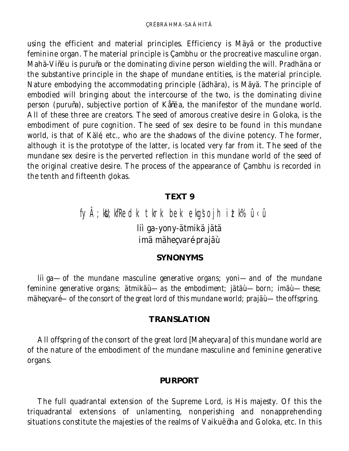using the efficient and material principles. Efficiency is Mäyä or the productive feminine organ. The material principle is Çambhu or the procreative masculine organ. Mahä-Viñëu is puruña or the dominating divine person wielding the will. Pradhäna or the substantive principle in the shape of mundane entities, is the material principle. Nature embodying the accommodating principle (ädhära), is Mäyä. The principle of embodied will bringing about the intercourse of the two, is the dominating divine person (puruña), subjective portion of Kåñëa, the manifestor of the mundane world. All of these three are creators. The seed of amorous creative desire in Goloka, is the embodiment of pure cognition. The seed of sex desire to be found in this mundane world, is that of Kälé, etc., who are the shadows of the divine potency. The former, although it is the prototype of the latter, is located very far from it. The seed of the mundane sex desire is the perverted reflection in this mundane world of the seed of the original creative desire. The process of the appearance of Çambhu is recorded in the tenth and fifteenth çlokas.

#### **TEXT 9**

### fyÂ; **N; Iftedk tirk bek eigsojh izt‰û<û**

*liìga-yony-ätmikä jätä imä mäheçvaré-prajäù* 

#### **SYNONYMS**

*liìga—of the mundane masculine generative organs; yoni—and of the mundane feminine generative organs; ätmikäù—as the embodiment; jätäù—born; imäù—these; mäheçvaré—of the consort of the great lord of this mundane world; prajäù—the offspring.* 

#### **TRANSLATION**

All offspring of the consort of the great lord [Maheçvara] of this mundane world are of the nature of the embodiment of the mundane masculine and feminine generative organs.

#### **PURPORT**

The full quadrantal extension of the Supreme Lord, is His majesty. Of this the triquadrantal extensions of unlamenting, nonperishing and nonapprehending situations constitute the majesties of the realms of Vaikuëöha and Goloka, etc. In this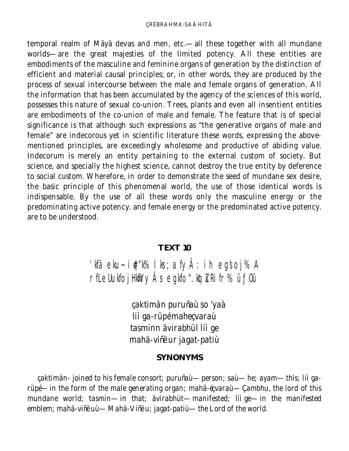temporal realm of Mäyä devas and men, etc.—all these together with all mundane worlds—are the great majesties of the limited potency. All these entities are embodiments of the masculine and feminine organs of generation by the distinction of efficient and material causal principles; or, in other words, they are produced by the process of sexual intercourse between the male and female organs of generation. All the information that has been accumulated by the agency of the sciences of this world, possesses this nature of sexual co-union. Trees, plants and even all insentient entities are embodiments of the co-union of male and female. The feature that is of special significance is that although such expressions as "the generative organs of male and female" are indecorous yet in scientific literature these words, expressing the abovementioned principles, are exceedingly wholesome and productive of abiding value. Indecorum is merely an entity pertaining to the external custom of society. But science, and specially the highest science, cannot destroy the true entity by deference to social custom. Wherefore, in order to demonstrate the seed of mundane sex desire, the basic principle of this phenomenal world, the use of those identical words is indispensable. By the use of all these words only the masculine energy or the predominating active potency, and female energy or the predominated active potency. are to be understood.

#### TEXT<sub>10</sub>

# **"Käelu~ i4"R% l ls; a fy** $\hat{A}$ **: ih egsoj% A ritellitioj HiVy Âs eglio". In ERi fr% û f 0û**

çaktimän puruñaù so 'yaà liì ga-rüpé maheçvaraù tasminn ävirabhül liì ge mahä-viñëur jagat-patiù

#### **SYNONYMS**

çaktimän- joined to his female consort; puruñaù—person; saù—he; ayam—this; liì garüpé-in the form of the male generating organ; mahä-éçvaraù-Çambhu, the lord of this mundane world; tasmin-in that; ävirabhüt-manifested; lii ge-in the manifested emblem; mahä-viñëuù-Mahä-Viñëu; jagat-patiù-the Lord of the world.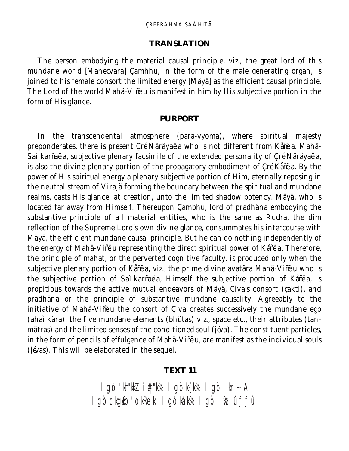#### **TRANSLATION**

The person embodying the material causal principle, viz., the great lord of this mundane world [Maheçvara] Çamhhu, in the form of the male generating organ, is joined to his female consort the limited energy [Mäyä] as the efficient causal principle. The Lord of the world Mahä-Viñëu is manifest in him by His subjective portion in the form of His glance.

#### **PURPORT**

In the transcendental atmosphere (para-vyoma), where spiritual majesty preponderates, there is present Çré Näräyaëa who is not different from Kåñëa. Mahä-Saìkarñaëa, subjective plenary facsimile of the extended personality of Çré Näräyaëa, is also the divine plenary portion of the propagatory embodiment of Çré Kåñëa. By the power of His spiritual energy a plenary subjective portion of Him, eternally reposing in the neutral stream of Virajä forming the boundary between the spiritual and mundane realms, casts His glance, at creation, unto the limited shadow potency. Mäyä, who is located far away from Himself. Thereupon Çambhu, lord of pradhäna embodying the substantive principle of all material entities, who is the same as Rudra, the dim reflection of the Supreme Lord's own divine glance, consummates his intercourse with Mäyä, the efficient mundane causal principle. But he can do nothing independently of the energy of Mahä-Viñëu representing the direct spiritual power of Kåñëa. Therefore, the principle of mahat, or the perverted cognitive faculty. is produced only when the subjective plenary portion of Kåñëa, viz., the prime divine avatära Mahä-Viñëu who is the subjective portion of Saìkarñaëa, Himself the subjective portion of Kåñëa, is propitious towards the active mutual endeavors of Mäyä, Çiva's consort (çakti), and pradhäna or the principle of substantive mundane causality. Agreeably to the initiative of Mahä-Viñëu the consort of Çiva creates successively the mundane ego (ahaì kära), the five mundane elements (bhütas) viz., space etc., their attributes (tanmätras) and the limited senses of the conditioned soul (jéva). The constituent particles, in the form of pencils of effulgence of Mahä-Viñëu, are manifest as the individual souls (jévas). This will be elaborated in the sequel.

#### **TEXT 11**

# **lgò'hiz iq'k% lgòkk% lgòik~ A lgòcigip 'olfek lgòlàk% lgòlik ûffû**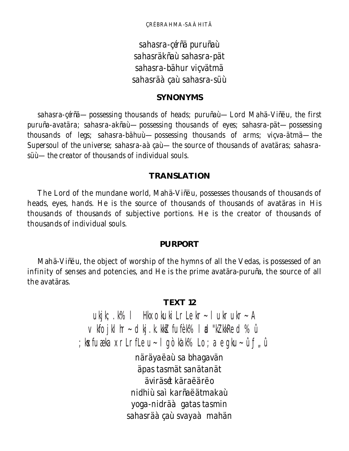*sahasra-çérñä puruñaù sahasräkñaù sahasra-pät sahasra-bähur viçvätmä sahasräàçaù sahasra-süù* 

#### **SYNONYMS**

*sahasra-çérñä—possessing thousands of heads; puruñaù—Lord Mahä-Viñëu, the first puruña-avatära; sahasra-akñaù—possessing thousands of eyes; sahasra-pät—possessing thousands of legs; sahasra-bähuù—possessing thousands of arms; viçva-ätmä—the Supersoul of the universe; sahasra-aàçaù—the source of thousands of avatäras; sahasrasüù—the creator of thousands of individual souls.* 

#### **TRANSLATION**

The Lord of the mundane world, Mahä-Viñëu, possesses thousands of thousands of heads, eyes, hands. He is the source of thousands of thousands of avatäras in His thousands of thousands of subjective portions. He is the creator of thousands of thousands of individual souls.

#### **PURPORT**

Mahä-Viñëu, the object of worship of the hymns of all the Vedas, is possessed of an infinity of senses and potencies, and He is the prime avatära-puruña, the source of all the avatäras.

# **TEXT 12**  uljk;.k% l HxolukiLrLelr~ lukrukr~ A **vlíojkhr~ dkj.k.kks fufèk% i al"kulled% û ; kríuala xr** $l$ **rfleu~ lgòkk% Lo;a eglu~ û** $f$ **,,û**

*näräyaëaù sa bhagavän äpas tasmät sanätanät äviräsét käraëärëo nidhiù saìkarñaëätmakaù yoga-nidräà gatas tasmin sahasräàçaù svayaà mahän*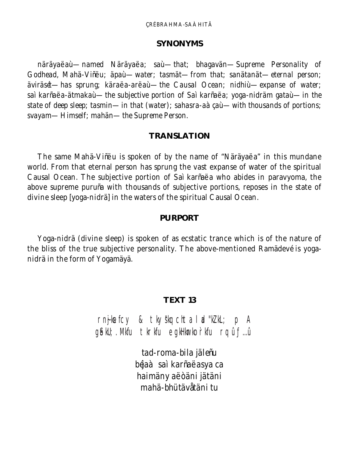#### ÇRÉ BRAHMA-SAÀHITÄ

#### **SYNONYMS**

*näräyaëaù—named Näräyaëa; saù—that; bhagavän—Supreme Personality of Godhead, Mahä-Viñëu; äpaù—water; tasmät—from that; sanätanät—eternal person; äviräsét—has sprung; käraëa-arëaù—the Causal Ocean; nidhiù—expanse of water; saìkarñaëa-ätmakaù—the subjective portion of Saìkarñaëa; yoga-nidräm gataù—in the state of deep sleep; tasmin—in that (water); sahasra-aàçaù—with thousands of portions; svayam—Himself; mahän—the Supreme Person.* 

#### **TRANSLATION**

The same Mahä-Viñëu is spoken of by the name of "Näräyaëa" in this mundane world. From that eternal person has sprung the vast expanse of water of the spiritual Causal Ocean. The subjective portion of Saìkarñaëa who abides in paravyoma, the above supreme puruña with thousands of subjective portions, reposes in the state of divine sleep [yoga-nidrä] in the waters of the spiritual Causal Ocean.

#### **PURPORT**

Yoga-nidrä (divine sleep) is spoken of as ecstatic trance which is of the nature of the bliss of the true subjective personality. The above-mentioned Ramädevé is yoganidrä in the form of Yogamäyä.

#### **TEXT 13**

#### rnjlefcy & tlystqchta lal"kZ"; p A g**SiU;. Mku tkriku egiHndo`riku rq û** $f$ **.. û**

*tad-roma-bila jäleñu béjaà saìkarñaëasya ca haimäny aëòäni jätäni mahä-bhütävåtäni tu*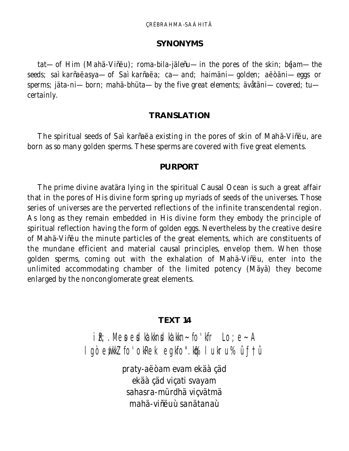#### **SYNONYMS**

tat—of Him (Mahä-Viñëu); roma-bila-jäleñu—in the pores of the skin; béjam—the seeds; sai karñaëasya—of Sai karñaëa; ca—and; haimäni—golden; aëòäni—eggs or sperms; jäta-ni-born; mahä-bhüta-by the five great elements; ävåtäni-covered; tucertainly.

#### **TRANSLATION**

The spiritual seeds of Sai karñaëa existing in the pores of skin of Mahä-Viñëu, are born as so many golden sperms. These sperms are covered with five great elements.

#### PURPORT

The prime divine avatara lying in the spiritual Causal Ocean is such a great affair that in the pores of His divine form spring up myriads of seeds of the universes. Those series of universes are the perverted reflections of the infinite transcendental region. As long as they remain embedded in His divine form they embody the principle of spiritual reflection having the form of golden eggs. Nevertheless by the creative desire of Mahä-Viñeu the minute particles of the great elements, which are constituents of the mundane efficient and material causal principles, envelop them. When those golden sperms, coming out with the exhalation of Mahä-Viñeu, enter into the unlimited accommodating chamber of the limited potency (Mäyä) they become enlarged by the nonconglomerate great elements.

#### TFXT<sub>14</sub>

# ik, . Wesed kind kin- fo'ir lo; e~ A **I goeil fo'ollek eglio". Kj. I ulru% û ftû**

praty-aëòam evam ekäàçäd ekäàçäd viçati svayam sahasra-mürdhä vicvätmä mahä-viñëuù sanätanaù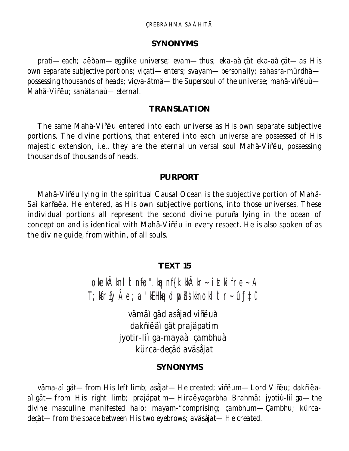#### **SYNONYMS**

prati—each; aëòam—egglike universe; evam—thus; eka-aàçät eka-aàçät—as His own separate subjective portions; vicati—enters; svayam—personally; sahasra-mürdhä possessing thousands of heads; vicva-ätmä—the Supersoul of the universe; mahä-viñëuù— Mahä-Viñëu: sanätanaù—eternal.

#### **TRANSLATION**

The same Mahä-Viñeu entered into each universe as His own separate subjective portions. The divine portions, that entered into each universe are possessed of His majestic extension, i.e., they are the eternal universal soul Mahä-Viñeu, possessing thousands of thousands of heads.

#### **PURPORT**

Mahä-Viñëu lying in the spiritual Causal Ocean is the subjective portion of Mahä-Saì karñaëa. He entered, as His own subjective portions, into those universes. These individual portions all represent the second divine puruña lying in the ocean of conception and is identical with Mahä-Viñeu in every respect. He is also spoken of as the divine guide, from within, of all souls.

#### TEXT<sub>15</sub>

# olelÂlni tnío".lqní{kliÂlr~ itlifre~A **T; lir£yÂe; a 'EHq cinislinoW tr~ûf‡û**

vämäì gäd asåjad viñëuà dakniëäi gät prajäpatim jyotir-liì ga-mayaà çambhuà kürca-deçäd aväsåjat

#### **SYNONYMS**

väma-aì gät-from His left limb; asåjat-He created; viñëum-Lord Viñëu; dakñiëaaì gät—from His right limb; prajäpatim—Hiraëyagarbha Brahmä; jyotiù-liì ga—the divine masculine manifested halo; mayam-"comprising; cambhum—Cambhu; kürcadeçät—from the space between His two eyebrows; aväsåjat—He created.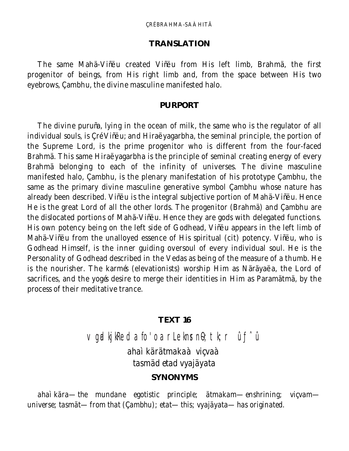#### **TRANSLATION**

The same Mahä-Viñëu created Viñëu from His left limb, Brahmä, the first progenitor of beings, from His right limb and, from the space between His two eyebrows, Çambhu, the divine masculine manifested halo.

#### **PURPORT**

The divine puruña, lying in the ocean of milk, the same who is the regulator of all individual souls, is Çré Viñëu; and Hiraëyagarbha, the seminal principle, the portion of the Supreme Lord, is the prime progenitor who is different from the four-faced Brahmä. This same Hiraëyagarbha is the principle of seminal creating energy of every Brahmä belonging to each of the infinity of universes. The divine masculine manifested halo, Çambhu, is the plenary manifestation of his prototype Çambhu, the same as the primary divine masculine generative symbol Çambhu whose nature has already been described. Viñëu is the integral subjective portion of Mahä-Viñëu. Hence He is the great Lord of all the other lords. The progenitor (Brahmä) and Çambhu are the dislocated portions of Mahä-Viñëu. Hence they are gods with delegated functions. His own potency being on the left side of Godhead, Viñëu appears in the left limb of Mahä-Viñëu from the unalloyed essence of His spiritual (cit) potency. Viñëu, who is Godhead Himself, is the inner guiding oversoul of every individual soul. He is the Personality of Godhead described in the Vedas as being of the measure of a thumb. He is the nourisher. The karmés (elevationists) worship Him as Näräyaëa, the Lord of sacrifices, and the yogés desire to merge their identities in Him as Paramätmä, by the process of their meditative trance.

## **TEXT 16**  vgalij Reda fo'oa rleinsn $\theta$ ;tk;r û $f^{\hat{}}$ û

*ahaìkärätmakaà viçvaà tasmäd etad vyajäyata* 

#### **SYNONYMS**

*ahaìkära—the mundane egotistic principle; ätmakam—enshrining; viçvam universe; tasmät—from that (Çambhu); etat—this; vyajäyata—has originated.*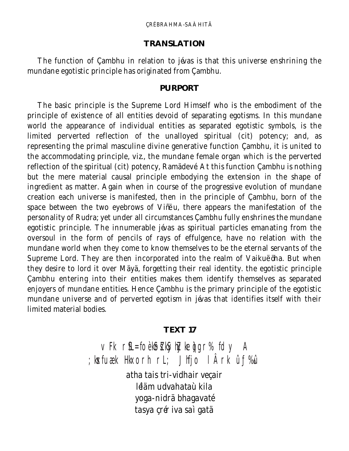#### **TRANSLATION**

The function of Cambhu in relation to jevas is that this universe enshrining the mundane egotistic principle has originated from Çambhu.

#### **PURPORT**

The basic principle is the Supreme Lord Himself who is the embodiment of the principle of existence of all entities devoid of separating egotisms. In this mundane world the appearance of individual entities as separated egotistic symbols, is the limited perverted reflection of the unalloyed spiritual (cit) potency; and, as representing the primal masculine divine generative function Çambhu, it is united to the accommodating principle, viz., the mundane female organ which is the perverted reflection of the spiritual (cit) potency, Ramädevé. At this function Cambhu is nothing but the mere material causal principle embodying the extension in the shape of ingredient as matter. Again when in course of the progressive evolution of mundane creation each universe is manifested, then in the principle of Cambhu, born of the space between the two eyebrows of Viñeu, there appears the manifestation of the personality of Rudra; yet under all circumstances Cambhu fully enshrines the mundane egotistic principle. The innumerable jevas as spiritual particles emanating from the oversoul in the form of pencils of rays of effulgence, have no relation with the mundane world when they come to know themselves to be the eternal servants of the Supreme Lord. They are then incorporated into the realm of Vaikuë oha. But when they desire to lord it over Mäyä, forgetting their real identity. the egotistic principle Cambhu entering into their entities makes them identify themselves as separated enjoyers of mundane entities. Hence Cambhu is the primary principle of the egotistic mundane universe and of perverted egotism in jevas that identifies itself with their limited material bodies.

#### TEXT<sub>17</sub>

# vFk rit=foelstlig byleggr%fdy A ; kluak Hxorh rl; Jljo IÂrk ûf%

atha tais tri-vidhair vecair léläm udvahataù kila yoga-nidrä bhagavaté tasya çrér iva saì gatä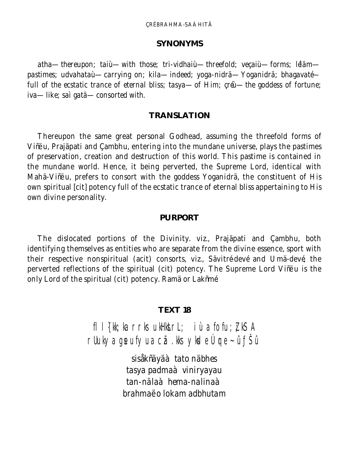#### **SYNONYMS**

atha—thereupon; taiù—with those; tri-vidhaiù—threefold; veçaiù—forms; léläm pastimes; udvahataù—carrying on; kila—indeed; yoga-nidrä—Yoganidrä; bhagavaté full of the ecstatic trance of eternal bliss; tasya—of Him; créù—the goddess of fortune; iva-like; saì gata-consorted with.

#### **TRANSLATION**

Thereupon the same great personal Godhead, assuming the threefold forms of Viñeu, Prajäpati and Çambhu, entering into the mundane universe, plays the pastimes of preservation, creation and destruction of this world. This pastime is contained in the mundane world. Hence, it being perverted, the Supreme Lord, identical with Mahä-Viñeu, prefers to consort with the goddess Yoganidrä, the constituent of His own spiritual [cit] potency full of the ecstatic trance of eternal bliss appertaining to His own divine personality.

#### **PURPORT**

The dislocated portions of the Divinity. viz., Prajäpati and Çambhu, both identifying themselves as entities who are separate from the divine essence, sport with their respective nonspiritual (acit) consorts, viz., Sävitré-devé and Umä-devé, the perverted reflections of the spiritual (cit) potency. The Supreme Lord Viñeu is the only Lord of the spiritual (cit) potency. Ramä or Lakñmé.

#### TEXT<sub>18</sub>

# **fi I (II; la rris ulifferl**; i ù a fofu ;  $\zeta$  is A **rüliya geufyua cã. Is yisleÚqe~ ûfŠû**

sisåkñäyäà tato näbhes tasya padmaà viniryayau tan-nälaà hema-nalinaà brahmaëo lokam adbhutam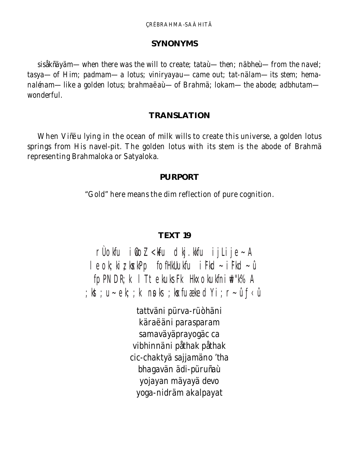### **SYNONYMS**

sisåknäyäm—when there was the will to create; tataù—then; näbheù—from the navel; tasya—of Him; padmam—a lotus; viniryayau—came out; tat-nälam—its stem; hemanalénam—like a golden lotus; brahmaëaù—of Brahmä; lokam—the abode; adbhutam wonderful.

### **TRANSLATION**

When Viñeu lying in the ocean of milk wills to create this universe, a golden lotus springs from His navel-pit. The golden lotus with its stem is the abode of Brahmä representing Brahmaloka or Satyaloka.

### **PURPORT**

"Gold" here means the dim reflection of pure cognition.

### TEXT<sub>19</sub>

# r**ùolíu i tož díu dij. Mu i ji i je~ A leokizkPp folitulu i Hd~ i Hd~ û fpPNDR; k ITtelulsFk Hxolulini#1%A ; it ; u~ ek; ; k nols ; ixfualed Yi ; r~ ûf <û**

tattväni pürva-rüòhäni käraëäni parasparam samaväyäprayogäc ca vibhinnäni påthak påthak cic-chaktyä sajjamäno 'tha bhagavän ädi-püruñaù yojayan mäyayä devo yoga-nidräm akalpayat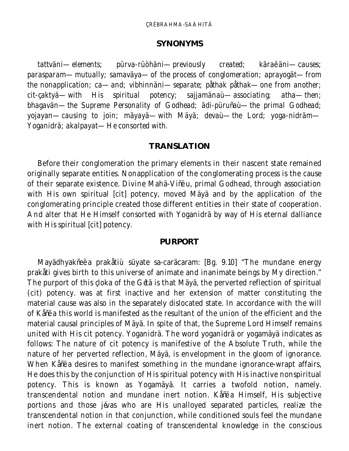#### **SYNONYMS**

*tattväni—elements; pürva-rüòhäni—previously created; käraëäni—causes; parasparam—mutually; samaväya—of the process of conglomeration; aprayogät—from the nonapplication; ca—and; vibhinnäni—separate; påthak påthak—one from another; cit-çaktyä—with His spiritual potency; sajjamänaù—associating; atha—then; bhagavän—the Supreme Personality of Godhead; ädi-püruñaù—the primal Godhead; yojayan—causing to join; mäyayä—with Mäyä; devaù—the Lord; yoga-nidräm— Yoganidrä; akalpayat—He consorted with.* 

#### **TRANSLATION**

Before their conglomeration the primary elements in their nascent state remained originally separate entities. Nonapplication of the conglomerating process is the cause of their separate existence. Divine Mahä-Viñëu, primal Godhead, through association with His own spiritual [cit] potency, moved Mäyä and by the application of the conglomerating principle created those different entities in their state of cooperation. And alter that He Himself consorted with Yoganidrä by way of His eternal dalliance with His spiritual [cit] potency.

### **PURPORT**

Mayädhyakñeëa prakåtiù süyate sa-caräcaram: [Bg. 9.10] "The mundane energy prakåti gives birth to this universe of animate and inanimate beings by My direction." The purport of this çloka of the Gétä is that Mäyä, the perverted reflection of spiritual (cit) potency. was at first inactive and her extension of matter constituting the material cause was also in the separately dislocated state. In accordance with the will of Kåñëa this world is manifested as the resultant of the union of the efficient and the material causal principles of Mäyä. In spite of that, the Supreme Lord Himself remains united with His cit potency. Yoganidrä. The word yoganidrä or yogamäyä indicates as follows: The nature of cit potency is manifestive of the Absolute Truth, while the nature of her perverted reflection, Mäyä, is envelopment in the gloom of ignorance. When Kåñëa desires to manifest something in the mundane ignorance-wrapt affairs, He does this by the conjunction of His spiritual potency with His inactive nonspiritual potency. This is known as Yogamäyä. It carries a twofold notion, namely. transcendental notion and mundane inert notion. Kåñëa Himself, His subjective portions and those jévas who are His unalloyed separated particles, realize the transcendental notion in that conjunction, while conditioned souls feel the mundane inert notion. The external coating of transcendental knowledge in the conscious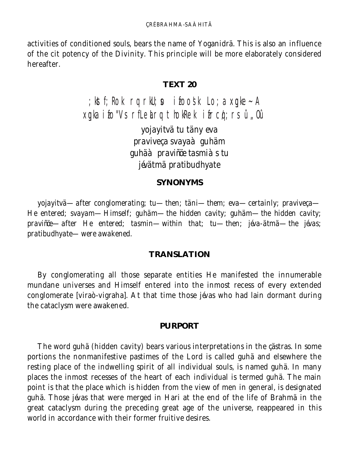activities of conditioned souls, bears the name of Yoganidra. This is also an influence of the cit potency of the Divinity. This principle will be more elaborately considered hereafter.

### TEXT<sub>20</sub>

# ; ktf; Rok rq ritt; o ifoosk Lo; axgle~A **xgla if o'Vs rilearq thollek if rcd; rs û, Qu**

yojayitvä tu täny eva praviveça svayaà guhäm guhäà praviñve tasmiàs tu jévätmä pratibudhyate

### **SYNONYMS**

yojayitvä—after conglomerating; tu—then; täni—them; eva—certainly; praviveça— He entered; svayam—Himself; guhäm—the hidden cavity; guhäm—the hidden cavity; praviñoe—after He entered; tasmin—within that; tu—then; jéva-ätmä—the jévas; pratibudhyate-were awakened.

### **TRANSLATION**

By conglomerating all those separate entities He manifested the innumerable mundane universes and Himself entered into the inmost recess of every extended conglomerate [viraò-vigraha]. At that time those jévas who had lain dormant during the cataclysm were awakened.

### **PURPORT**

The word guhä (hidden cavity) bears various interpretations in the castras. In some portions the nonmanifestive pastimes of the Lord is called guha and elsewhere the resting place of the indwelling spirit of all individual souls, is named guha. In many places the inmost recesses of the heart of each individual is termed guhä. The main point is that the place which is hidden from the view of men in general, is designated guhä. Those jevas that were merged in Hari at the end of the life of Brahmä in the great cataclysm during the preceding great age of the universe, reappeared in this world in accordance with their former fruitive desires.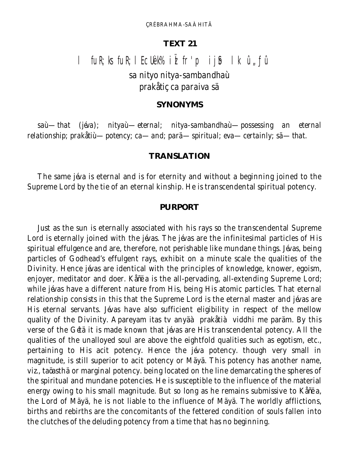### TEXT<sub>21</sub>

# I fuR; is fuR; I EcleR% i i fr'p i j 6 I k û<sub>n</sub> fû

sa nityo nitya-sambandhaù prakåtic ca paraiva sä

#### **SYNONYMS**

saù—that (jéva); nityaù—eternal; nitya-sambandhaù—possessing an eternal relationship; prakåtiù—potency; ca—and; parä—spiritual; eva—certainly; sä—that.

#### **TRANSLATION**

The same jeva is eternal and is for eternity and without a beginning joined to the Supreme Lord by the tie of an eternal kinship. He is transcendental spiritual potency.

#### **PURPORT**

Just as the sun is eternally associated with his rays so the transcendental Supreme Lord is eternally joined with the jevas. The jevas are the infinitesimal particles of His spiritual effulgence and are, therefore, not perishable like mundane things. Jévas, being particles of Godhead's effulgent rays, exhibit on a minute scale the qualities of the Divinity. Hence jévas are identical with the principles of knowledge, knower, egoism, enjoyer, meditator and doer. Kåñëa is the all-pervading, all-extending Supreme Lord; while jévas have a different nature from His, being His atomic particles. That eternal relationship consists in this that the Supreme Lord is the eternal master and jevas are His eternal servants. Jévas have also sufficient eligibility in respect of the mellow quality of the Divinity. Apareyam itas tv anya a prakatia viddhi me param. By this verse of the Gétä it is made known that jévas are His transcendental potency. All the qualities of the unalloyed soul are above the eightfold qualities such as egotism, etc., pertaining to His acit potency. Hence the jeva potency, though very small in magnitude, is still superior to acit potency or Mäyä. This potency has another name, viz., taöasthä or marginal potency, being located on the line demarcating the spheres of the spiritual and mundane potencies. He is susceptible to the influence of the material energy owing to his small magnitude. But so long as he remains submissive to Kanea, the Lord of Mäyä, he is not liable to the influence of Mäyä. The worldly afflictions, births and rebirths are the concomitants of the fettered condition of souls fallen into the clutches of the deluding potency from a time that has no beginning.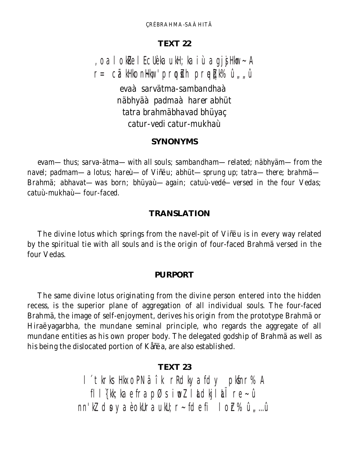## TEXT<sub>22</sub>

# **, oa i olle i Eclela ulii; la i ù a gj <del>ji lw</del>~ A** r= cã**HonHy'proih preāk**⁄oû,,,û

evaà sarvätma-sambandhaà näbhyäà padmaà harer abhüt tatra brahmäbhavad bhüyaç catur-yedi catur-mukhaù

### **SYNONYMS**

evam—thus; sarva-ätma—with all souls; sambandham—related; näbhyäm—from the navel; padmam—a lotus; hareù—of Viñëu; abhüt—sprung up; tatra—there; brahmä— Brahmä; abhavat-was born; bhüyaù-again; catuù-vedé-versed in the four Vedas; catuù-mukhaù-four-faced.

## **TRANSI ATION**

The divine lotus which springs from the navel-pit of Vineu is in every way related by the spiritual tie with all souls and is the origin of four-faced Brahmä versed in the four Vedas.

## **PURPORT**

The same divine lotus originating from the divine person entered into the hidden recess, is the superior plane of aggregation of all individual souls. The four-faced Brahmä, the image of self-enjoyment, derives his origin from the prototype Brahmä or Hiraëyagarbha, the mundane seminal principle, who regards the aggregate of all mundane entities as his own proper body. The delegated godship of Brahmä as well as his being the dislocated portion of Kåñëa, are also established.

### TEXT<sub>23</sub>

I tiris HixoPNäîk ridiya fdy plinr%A **fi I (k; la efra pØs i uZ I ladij I bij re~ û m<sup>'</sup>E deya èoltra ult; r~ fdefi lor%û,...û**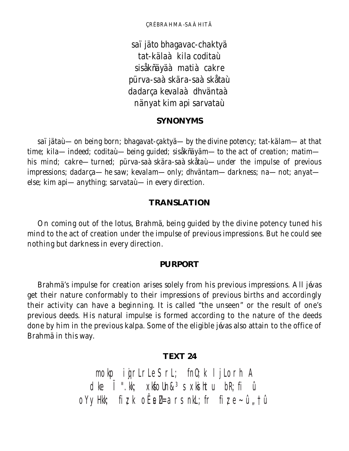#### ÇRÉ BRAHMA-SAÀHITÄ

*saïjäto bhagavac-chaktyä tat-kälaà kila coditaù sisåkñäyäà matià cakre pürva-saàskära-saàskåtaù dadarça kevalaà dhväntaà nänyat kim api sarvataù* 

#### **SYNONYMS**

*saïjätaù—on being born; bhagavat-çaktyä—by the divine potency; tat-kälam—at that time; kila—indeed; coditaù—being guided; sisåkñäyäm—to the act of creation; matim his mind; cakre—turned; pürva-saàskära-saàskåtaù—under the impulse of previous impressions; dadarça—he saw; kevalam—only; dhväntam—darkness; na—not; anyat else; kim api—anything; sarvataù—in every direction.* 

### **TRANSLATION**

On coming out of the lotus, Brahmä, being guided by the divine potency tuned his mind to the act of creation under the impulse of previous impressions. But he could see nothing but darkness in every direction.

#### **PURPORT**

Brahmä's impulse for creation arises solely from his previous impressions. All jévas get their nature conformably to their impressions of previous births and accordingly their activity can have a beginning. It is called "the unseen" or the result of one's previous deeds. His natural impulse is formed according to the nature of the deeds done by him in the previous kalpa. Some of the eligible jévas also attain to the office of Brahmä in this way.

#### **TEXT 24**

mokp iqjrLrLeS rL; fnO;k ljLorh A dle  $\mathbf{i}$  ". It; xifoun& $3$ s xishtu bR;fi û oYyHk; fizk oÊelbars nk;fr fize~ $\hat{u}_n$ tû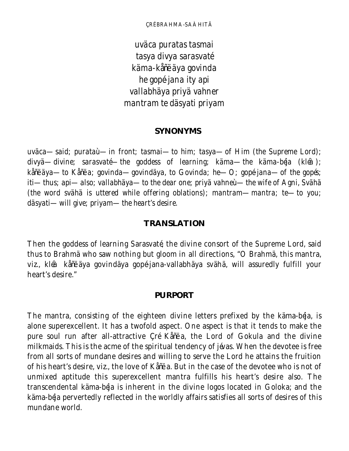#### ÇRÉ BRAHMA-SAÀHITÄ

*uväca puratas tasmai tasya divya sarasvaté käma-kåñëäya govinda he gopé-jana ity api vallabhäya priyä vahner mantram te däsyati priyam* 

### **SYNONYMS**

*uväca—said; purataù—in front; tasmai—to him; tasya—of Him (the Supreme Lord); divyä—divine; sarasvaté—the goddess of learning; käma—the käma-béja (kléà); kåñëäya—to Kåñëa; govinda—govindäya, to Govinda; he—O; gopé-jana—of the gopés; iti—thus; api—also; vallabhäya—to the dear one; priyä vahneù—the wife of Agni, Svähä (the word svähä is uttered while offering oblations); mantram—mantra; te—to you; däsyati—will give; priyam—the heart's desire.* 

### **TRANSLATION**

Then the goddess of learning Sarasvaté, the divine consort of the Supreme Lord, said thus to Brahmä who saw nothing but gloom in all directions, "O Brahmä, this mantra, viz., kléà kåñëäya govindäya gopé-jana-vallabhäya svähä, will assuredly fulfill your heart's desire."

### **PURPORT**

The mantra, consisting of the eighteen divine letters prefixed by the käma-béja, is alone superexcellent. It has a twofold aspect. One aspect is that it tends to make the pure soul run after all-attractive Çré Kåñëa, the Lord of Gokula and the divine milkmaids. This is the acme of the spiritual tendency of jévas. When the devotee is free from all sorts of mundane desires and willing to serve the Lord he attains the fruition of his heart's desire, viz., the love of Kåñëa. But in the case of the devotee who is not of unmixed aptitude this superexcellent mantra fulfills his heart's desire also. The transcendental käma-béja is inherent in the divine logos located in Goloka; and the käma-béja pervertedly reflected in the worldly affairs satisfies all sorts of desires of this mundane world.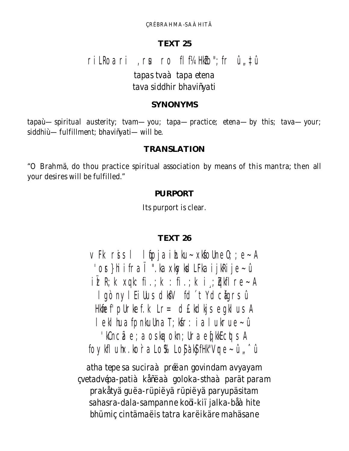### TEXT<sub>25</sub>

## ril $\mathbf{R}$ ari ,ra ro fif $\mathcal{H}$ lio";fr û, $\ddagger$ û

tapas tvaà tapa etena tava siddhir bhaviñyati

#### **SYNONYMS**

tapaù—spiritual austerity; tvam—you; tapa—practice; etena—by this; tava—your; siddhiù-fulfillment; bhaviñyati-will be.

### **TRANSLATION**

"O Brahmä, do thou practice spiritual association by means of this mantra; then all your desires will be fulfilled."

### **PURPORT**

Its purport is clear.

### TEXT<sub>26</sub>

# **vFk ris I lipja ihlu~ xliothe0; ; e~ A 'or}li ifra I ".la xlykil.Fla i jili je~ û ii R, k xqlc fi. ; k : fi. ; k i , ; qlfl re~ A** I gòny I Eillis di III fd tYdcigrs û **Hief purlef.k Lr= d£ldljsegil us A I ell lua fontulha T; lír: i a I ulrue~ û 'lûncãe; a oslq oin; tra eqlécit s A foylfluix.lora LoS.loSal@HKVqe~ û,,^û**

atha tepe sa suciraà préëan govindam avyayam cvetadvépa-patià kåñëaà goloka-sthaà parät param prakåtyä guëa-rüpiëyä rüpiëyä paryupäsitam sahasra-dala-sampanne koöi-kii jalka-båàhite bhümic cintämaëis tatra karëikäre mahäsane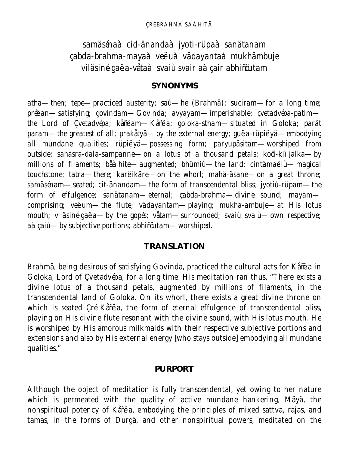*samäsénaà cid-änandaà jyoti-rüpaà sanätanam çabda-brahma-mayaà veëuà vädayantaà mukhämbuje viläsiné-gaëa-våtaà svaiù svair aàçair abhiñöutam* 

### **SYNONYMS**

*atha—then; tepe—practiced austerity; saù—he (Brahmä); suciram—for a long time; préëan—satisfying; govindam—Govinda; avyayam—imperishable; çvetadvépa-patim the Lord of Çvetadvépa; kåñëam—Kåñëa; goloka-stham—situated in Goloka; parät param—the greatest of all; prakåtyä—by the external energy; guëa-rüpiëyä—embodying all mundane qualities; rüpiëyä—possessing form; paryupäsitam—worshiped from outside; sahasra-dala-sampanne—on a lotus of a thousand petals; koöi-kiïjalka—by millions of filaments; båàhite—augmented; bhümiù—the land; cintämaëiù—magical touchstone; tatra—there; karëikäre—on the whorl; mahä-äsane—on a great throne; samäsénam—seated; cit-änandam—the form of transcendental bliss; jyotiù-rüpam—the form of effulgence; sanätanam—eternal; çabda-brahma—divine sound; mayam comprising; veëum—the flute; vädayantam—playing; mukha-ambuje—at His lotus mouth; viläsiné-gaëa—by the gopés; våtam—surrounded; svaiù svaiù—own respective; aàçaiù—by subjective portions; abhiñöutam—worshiped.* 

### **TRANSLATION**

Brahmä, being desirous of satisfying Govinda, practiced the cultural acts for Kåñëa in Goloka, Lord of Çvetadvépa, for a long time. His meditation ran thus, "There exists a divine lotus of a thousand petals, augmented by millions of filaments, in the transcendental land of Goloka. On its whorl, there exists a great divine throne on which is seated Çré Kåñëa, the form of eternal effulgence of transcendental bliss, playing on His divine flute resonant with the divine sound, with His lotus mouth. He is worshiped by His amorous milkmaids with their respective subjective portions and extensions and also by His external energy [who stays outside] embodying all mundane qualities."

### **PURPORT**

Although the object of meditation is fully transcendental, yet owing to her nature which is permeated with the quality of active mundane hankering, Mäyä, the nonspiritual potency of Kåñëa, embodying the principles of mixed sattva, rajas, and tamas, in the forms of Durgä, and other nonspiritual powers, meditated on the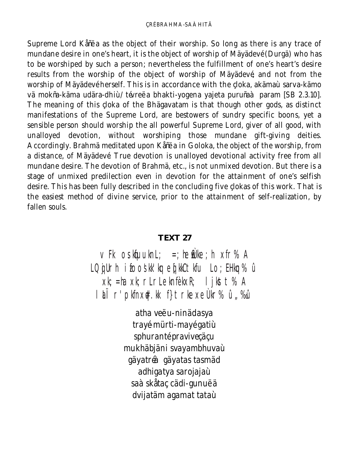Supreme Lord Kåñëa as the object of their worship. So long as there is any trace of mundane desire in one's heart, it is the object of worship of Mäyädeve (Durgä) who has to be worshiped by such a person; nevertheless the fulfillment of one's heart's desire results from the worship of the object of worship of Mäyädeve, and not from the worship of Mäyädevé herself. This is in accordance with the cloka, akämaù sarva-kämo vä mokña-käma udära-dhiù/ tévreëa bhakti-yogena yajeta puruñaà param [SB 2.3.10]. The meaning of this cloka of the Bhägavatam is that though other gods, as distinct manifestations of the Supreme Lord, are bestowers of sundry specific boons, yet a sensible person should worship the all powerful Supreme Lord, giver of all good, with unalloyed devotion, without worshiping those mundane gift-giving deities. Accordingly. Brahmä meditated upon Kåñëa in Goloka, the object of the worship, from a distance, of Mäyädevé. True devotion is unalloyed devotional activity free from all mundane desire. The devotion of Brahmä, etc., is not unmixed devotion. But there is a stage of unmixed predilection even in devotion for the attainment of one's selfish desire. This has been fully described in the concluding five clokas of this work. That is the easiest method of divine service, prior to the attainment of self-realization, by fallen souls.

### TEXT<sub>27</sub>

# $\mathbf{v}$ Fk oslípulni;  $=$ ; lefile; h xfr%A LQğurh ifoosk iq eğlüct ifu Lo; EHq% û xk; = la xk; rirle hielskR; ljkt%A **I bi r'plinxq. Ik f}t riexeùlr%û,,%**

atha veëu-ninädasya trayé-mürti-mayé gatiù sphuranté praviveçãçu mukhäbjäni svayambhuvaù gäyatréà gäyatas tasmäd adhigatya sarojajaù saàskåtaç cädi-gunuëä dvijatäm agamat tataù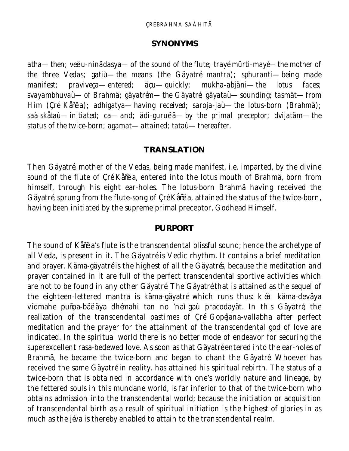### **SYNONYMS**

*atha—then; veëu-ninädasya—of the sound of the flute; trayé-mürti-mayé—the mother of the three Vedas; gatiù—the means (the Gäyatré mantra); sphuranti—being made manifest; praviveça—entered; äçu—quickly; mukha-abjäni—the lotus faces; svayambhuvaù—of Brahmä; gäyatrém—the Gäyatré; gäyataù—sounding; tasmät—from Him (Çré Kåñëa); adhigatya—having received; saroja-jaù—the lotus-born (Brahmä); saàskåtaù—initiated; ca—and; ädi-guruëä—by the primal preceptor; dvijatäm—the status of the twice-born; agamat—attained; tataù—thereafter.* 

### **TRANSLATION**

Then Gäyatré, mother of the Vedas, being made manifest, i.e. imparted, by the divine sound of the flute of Çré Kåñëa, entered into the lotus mouth of Brahmä, born from himself, through his eight ear-holes. The lotus-born Brahmä having received the Gäyatré, sprung from the flute-song of Çré Kåñëa, attained the status of the twice-born, having been initiated by the supreme primal preceptor, Godhead Himself.

### **PURPORT**

The sound of Kåñëa's flute is the transcendental blissful sound; hence the archetype of all Veda, is present in it. The Gäyatré is Vedic rhythm. It contains a brief meditation and prayer. Käma-gäyatré is the highest of all the Gäyatrés, because the meditation and prayer contained in it are full of the perfect transcendental sportive activities which are not to be found in any other Gäyatré. The Gäyatré that is attained as the sequel of the eighteen-lettered mantra is käma-gäyatré which runs thus: kléà käma-deväya vidmahe puñpa-bäëäya dhémahi tan no 'naìgaù pracodayät. In this Gäyatré, the realization of the transcendental pastimes of Çré Gopéjana-vallabha after perfect meditation and the prayer for the attainment of the transcendental god of love are indicated. In the spiritual world there is no better mode of endeavor for securing the superexcellent rasa-bedewed love. As soon as that Gäyatré entered into the ear-holes of Brahmä, he became the twice-born and began to chant the Gäyatré. Whoever has received the same Gäyatré in reality. has attained his spiritual rebirth. The status of a twice-born that is obtained in accordance with one's worldly nature and lineage, by the fettered souls in this mundane world, is far inferior to that of the twice-born who obtains admission into the transcendental world; because the initiation or acquisition of transcendental birth as a result of spiritual initiation is the highest of glories in as much as the jéva is thereby enabled to attain to the transcendental realm.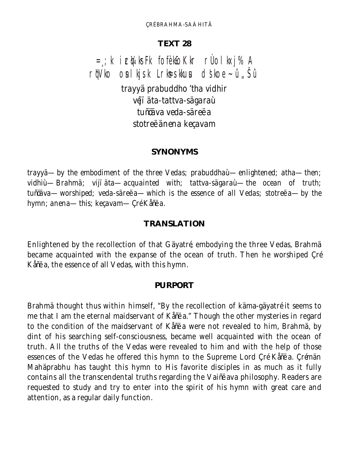## TEXT<sub>28</sub>

# $=$ ; k i citylsfk fofellokk rublikj% A **rijio onlijsk Lrissinu cišloe~ û,,Šû**

trayyä prabuddho 'tha vidhir véji áta-tattva-sägaraù tuñöäva veda-säreëa stotreëänena kecavam

### **SYNONYMS**

trayyä—by the embodiment of the three Vedas; prabuddhaù—enlightened; atha—then; vidhiù—Brahmä; vijï äta—acquainted with; tattva-sägaraù—the ocean of truth; tuñöäva-worshiped; veda-säreëa-which is the essence of all Vedas; stotreëa-by the hymn; anena-this; keçavam-Cré Kåñëa.

## **TRANSLATION**

Enlightened by the recollection of that Gäyatré, embodying the three Vedas, Brahmä became acquainted with the expanse of the ocean of truth. Then he worshiped Cré Kåñëa, the essence of all Vedas, with this hymn.

## **PURPORT**

Brahmä thought thus within himself, "By the recollection of käma-gäyatré it seems to me that I am the eternal maidservant of Kanea." Though the other mysteries in regard to the condition of the maidservant of Kånea were not revealed to him, Brahmä, by dint of his searching self-consciousness, became well acquainted with the ocean of truth. All the truths of the Vedas were revealed to him and with the help of those essences of the Vedas he offered this hymn to the Supreme Lord Cré Kåñëa. Crémän Mahäprabhu has taught this hymn to His favorite disciples in as much as it fully contains all the transcendental truths regarding the Vaiñeava philosophy. Readers are requested to study and try to enter into the spirit of his hymn with great care and attention, as a regular daily function.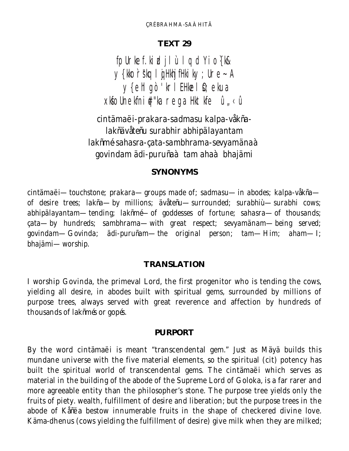## **TEXT 29**

# fpUrkef.kizdjlùlq dYio`{k& y{lor**sq ljHjHiky;Ure~ A** y {ell gò'lr i Elle i 6; elua **xko ühelini q'la rega Hit lie û**  $\mu$  **< û**

*cintämaëi-prakara-sadmasu kalpa-våkñalakñävåteñu surabhir abhipälayantam lakñmé-sahasra-çata-sambhrama-sevyamänaà govindam ädi-puruñaà tam ahaà bhajämi* 

## **SYNONYMS**

*cintämaëi—touchstone; prakara—groups made of; sadmasu—in abodes; kalpa-våkña of desire trees; lakña—by millions; ävåteñu—surrounded; surabhiù—surabhi cows; abhipälayantam—tending; lakñmé—of goddesses of fortune; sahasra—of thousands; çata—by hundreds; sambhrama—with great respect; sevyamänam—being served; govindam—Govinda; ädi-puruñam—the original person; tam—Him; aham—I; bhajämi—worship.* 

## **TRANSLATION**

I worship Govinda, the primeval Lord, the first progenitor who is tending the cows, yielding all desire, in abodes built with spiritual gems, surrounded by millions of purpose trees, always served with great reverence and affection by hundreds of thousands of lakñmés or gopés.

## **PURPORT**

By the word cintämaëi is meant "transcendental gem." Just as Mäyä builds this mundane universe with the five material elements, so the spiritual (cit) potency has built the spiritual world of transcendental gems. The cintämaëi which serves as material in the building of the abode of the Supreme Lord of Goloka, is a far rarer and more agreeable entity than the philosopher's stone. The purpose tree yields only the fruits of piety. wealth, fulfillment of desire and liberation; but the purpose trees in the abode of Kåñëa bestow innumerable fruits in the shape of checkered divine love. Käma-dhenus (cows yielding the fulfillment of desire) give milk when they are milked;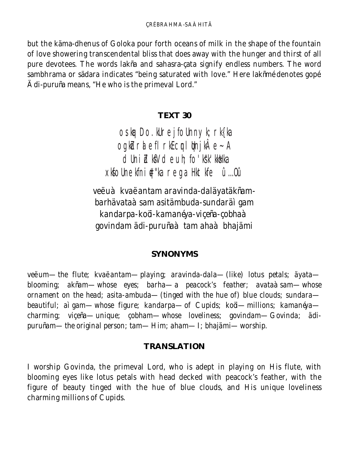but the käma-dhenus of Goloka pour forth oceans of milk in the shape of the fountain of love showering transcendental bliss that does away with the hunger and thirst of all pure devotees. The words lakna and sahasra-cata signify endless numbers. The word sambhrama or sädara indicates "being saturated with love." Here laknme denotes gope. Adi-puruña means, "He who is the primeval Lord."

## TEXT 30

# **oslą Do. Itrej folhnyk, rKla ogbråefi rikcqi thjíÂe~ A dUni ZHA/deult fo ' HK Mile xliothelini q'la rega Hit lie û.. Qû**

veëuà kvaëantam aravinda-daläyatäkñambarhävataàsam asitämbuda-sundaräì gam kandarpa-koöi-kamanéya-viçeña-çobhaà govindam ädi-puruñaà tam ahaà bhajämi

### **SYNONYMS**

veëum-the flute; kvaëantam-playing; aravinda-dala-(like) lotus petals; äyatablooming; akñam—whose eyes; barha—a peacock's feather; avataàsam—whose ornament on the head; asita-ambuda—(tinged with the hue of) blue clouds; sundara beautiful; aì gam—whose figure; kandarpa—of Cupids; koöi—millions; kamanéya charming; viçeña—unique; çobham—whose loveliness; govindam—Govinda; ädipuruñam—the original person; tam—Him; aham—I; bhajämi—worship.

### **TRANSLATION**

I worship Govinda, the primeval Lord, who is adept in playing on His flute, with blooming eyes like lotus petals with head decked with peacock's feather, with the figure of beauty tinged with the hue of blue clouds, and His unique loveliness charming millions of Cupids.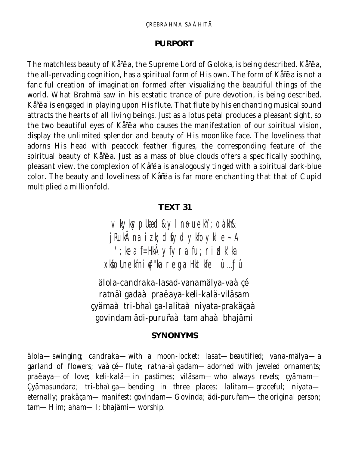### **PURPORT**

The matchless beauty of Kåñëa, the Supreme Lord of Goloka, is being described. Kåñëa, the all-pervading cognition, has a spiritual form of His own. The form of Kåñëa is not a fanciful creation of imagination formed after visualizing the beautiful things of the world. What Brahmä saw in his ecstatic trance of pure devotion, is being described. Kåñëa is engaged in playing upon His flute. That flute by his enchanting musical sound attracts the hearts of all living beings. Just as a lotus petal produces a pleasant sight, so the two beautiful eyes of Kåñëa who causes the manifestation of our spiritual vision, display the unlimited splendor and beauty of His moonlike face. The loveliness that adorns His head with peacock feather figures, the corresponding feature of the spiritual beauty of Kåñëa. Just as a mass of blue clouds offers a specifically soothing, pleasant view, the complexion of Kåñëa is analogously tinged with a spiritual dark-blue color. The beauty and loveliness of Kåñëa is far more enchanting that that of Cupid multiplied a millionfold.

### **TEXT 31**

# vkykypuæd&ylneuekY;oakk j RukÂna izlç d**iydylioykle~ A** '; lea f=HÂyfyra fu; ridkla **xlioUnelini q'la rega Hit lie û…** $f$ **û**

*älola-candraka-lasad-vanamälya-vaàçératnäìgadaà praëaya-keli-kalä-viläsam çyämaà tri-bhaìga-lalitaà niyata-prakäçaà govindam ädi-puruñaà tam ahaà bhajämi* 

### **SYNONYMS**

*älola—swinging; candraka—with a moon-locket; lasat—beautified; vana-mälya—a garland of flowers; vaàçé—flute; ratna-aìgadam—adorned with jeweled ornaments; praëaya—of love; keli-kalä—in pastimes; viläsam—who always revels; çyämam— Çyämasundara; tri-bhaìga—bending in three places; lalitam—graceful; niyata eternally; prakäçam—manifest; govindam—Govinda; ädi-puruñam—the original person; tam—Him; aham—I; bhajämi—worship.*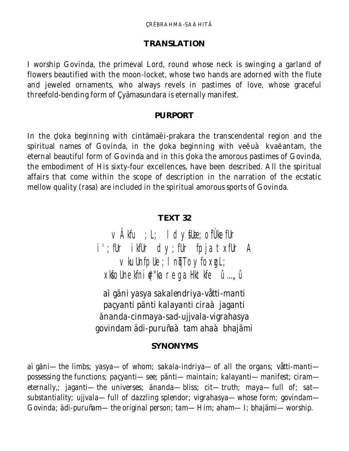### **TRANSLATION**

I worship Govinda, the primeval Lord, round whose neck is swinging a garland of flowers beautified with the moon-locket, whose two hands are adorned with the flute and jeweled ornaments, who always revels in pastimes of love, whose graceful threefold-bending form of Çyämasundara is eternally manifest.

## **PURPORT**

In the çloka beginning with cintämaëi-prakara the transcendental region and the spiritual names of Govinda, in the çloka beginning with veëuà kvaëantam, the eternal beautiful form of Govinda and in this çloka the amorous pastimes of Govinda, the embodiment of His sixty-four excellences, have been described. All the spiritual affairs that come within the scope of description in the narration of the ecstatic mellow quality (rasa) are included in the spiritual amorous sports of Govinda.

## **TEXT 32**

# vÂku ; l; Idytke; oïdetur i';fUr ikur dy;fur fpjatxfur A vluUnfpUe; InqToyfoxgL; **xlioUnelini <del>q'l</del>a rega Hit lie** û…, û

*aìgäni yasya sakalendriya-våtti-manti paçyanti pänti kalayanti ciraà jaganti änanda-cinmaya-sad-ujjvala-vigrahasya govindam ädi-puruñaà tam ahaà bhajämi* 

## **SYNONYMS**

*aìgäni—the limbs; yasya—of whom; sakala-indriya—of all the organs; våtti-manti possessing the functions; paçyanti—see; pänti—maintain; kalayanti—manifest; ciram eternally,; jaganti—the universes; änanda—bliss; cit—truth; maya—full of; sat substantiality; ujjvala—full of dazzling splendor; vigrahasya—whose form; govindam— Govinda; ädi-puruñam—the original person; tam—Him; aham—I; bhajämi—worship.*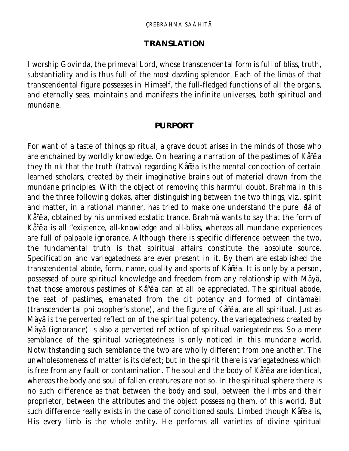### **TRANSLATION**

I worship Govinda, the primeval Lord, whose transcendental form is full of bliss, truth, substantiality and is thus full of the most dazzling splendor. Each of the limbs of that transcendental figure possesses in Himself, the full-fledged functions of all the organs, and eternally sees, maintains and manifests the infinite universes, both spiritual and mundane.

### **PURPORT**

For want of a taste of things spiritual, a grave doubt arises in the minds of those who are enchained by worldly knowledge. On hearing a narration of the pastimes of Kåñëa they think that the truth (tattva) regarding Kåñëa is the mental concoction of certain learned scholars, created by their imaginative brains out of material drawn from the mundane principles. With the object of removing this harmful doubt, Brahmä in this and the three following çlokas, after distinguishing between the two things, viz., spirit and matter, in a rational manner, has tried to make one understand the pure lélä of Kåñëa, obtained by his unmixed ecstatic trance. Brahmä wants to say that the form of Kåñëa is all "existence, all-knowledge and all-bliss, whereas all mundane experiences are full of palpable ignorance. Although there is specific difference between the two, the fundamental truth is that spiritual affairs constitute the absolute source. Specification and variegatedness are ever present in it. By them are established the transcendental abode, form, name, quality and sports of Kåñëa. It is only by a person, possessed of pure spiritual knowledge and freedom from any relationship with Mäyä, that those amorous pastimes of Kåñëa can at all be appreciated. The spiritual abode, the seat of pastimes, emanated from the cit potency and formed of cintämaëi (transcendental philosopher's stone), and the figure of Kåñëa, are all spiritual. Just as Mäyä is the perverted reflection of the spiritual potency. the variegatedness created by Mäyä (ignorance) is also a perverted reflection of spiritual variegatedness. So a mere semblance of the spiritual variegatedness is only noticed in this mundane world. Notwithstanding such semblance the two are wholly different from one another. The unwholesomeness of matter is its defect; but in the spirit there is variegatedness which is free from any fault or contamination. The soul and the body of Kåñëa are identical, whereas the body and soul of fallen creatures are not so. In the spiritual sphere there is no such difference as that between the body and soul, between the limbs and their proprietor, between the attributes and the object possessing them, of this world. But such difference really exists in the case of conditioned souls. Limbed though Kåñëa is, His every limb is the whole entity. He performs all varieties of divine spiritual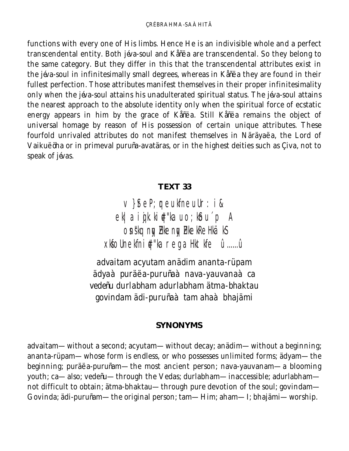functions with every one of His limbs. Hence He is an indivisible whole and a perfect transcendental entity. Both jéva-soul and Kåñëa are transcendental. So they belong to the same category. But they differ in this that the transcendental attributes exist in the jéva-soul in infinitesimally small degrees, whereas in Kånea they are found in their fullest perfection. Those attributes manifest themselves in their proper infinitesimality only when the jeva-soul attains his unadulterated spiritual status. The jeva-soul attains the nearest approach to the absolute identity only when the spiritual force of ecstatic energy appears in him by the grace of Kåñëa. Still Kåñëa remains the object of universal homage by reason of His possession of certain unique attributes. These fourfold unrivaled attributes do not manifest themselves in Näräyaëa, the Lord of Vaikuë on in primeval puruña-avataras, or in the highest deities such as Çiva, not to speak of jévas.

### TEXT<sub>33</sub>

# **v}SeP; qeulineully: i&** ek a iškličila uo; lou p A onsiq ny Heny Heiteliä is **xliothelini d'la rega Hit lie û....û**

advaitam acyutam anädim ananta-rüpam ädyaà puräëa-puruñaà nava-yauvanaà ca vedeñu durlabham adurlabham ätma-bhaktau govindam ädi-puruñaà tam ahaà bhajämi

### **SYNONYMS**

advaitam—without a second; acyutam—without decay; anädim—without a beginning; ananta-rüpam—whose form is endless, or who possesses unlimited forms; ädyam—the beginning; puräëa-puruñam—the most ancient person; nava-yauvanam—a blooming youth; ca-also; vedeñu-through the Vedas; durlabham-inaccessible; adurlabhamnot difficult to obtain; ätma-bhaktau—through pure devotion of the soul; govindam— Govinda; ädi-puruñam—the original person; tam—Him; aham—I; bhajämi—worship.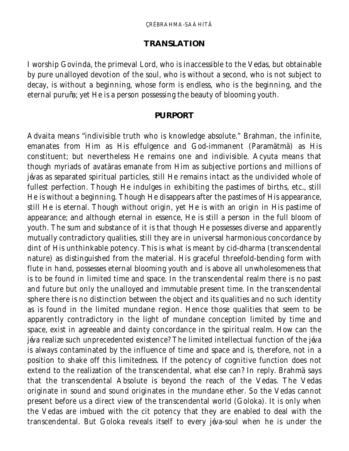### **TRANSLATION**

I worship Govinda, the primeval Lord, who is inaccessible to the Vedas, but obtainable by pure unalloyed devotion of the soul, who is without a second, who is not subject to decay, is without a beginning, whose form is endless, who is the beginning, and the eternal puruña; yet He is a person possessing the beauty of blooming youth.

### **PURPORT**

Advaita means "indivisible truth who is knowledge absolute." Brahman, the infinite, emanates from Him as His effulgence and God-immanent (Paramätmä) as His constituent; but nevertheless He remains one and indivisible. Acyuta means that though myriads of avatäras emanate from Him as subjective portions and millions of jévas as separated spiritual particles, still He remains intact as the undivided whole of fullest perfection. Though He indulges in exhibiting the pastimes of births, etc., still He is without a beginning. Though He disappears after the pastimes of His appearance, still He is eternal. Though without origin, yet He is with an origin in His pastime of appearance; and although eternal in essence, He is still a person in the full bloom of youth. The sum and substance of it is that though He possesses diverse and apparently mutually contradictory qualities, still they are in universal harmonious concordance by dint of His unthinkable potency. This is what is meant by cid-dharma (transcendental nature) as distinguished from the material. His graceful threefold-bending form with flute in hand, possesses eternal blooming youth and is above all unwholesomeness that is to be found in limited time and space. In the transcendental realm there is no past and future but only the unalloyed and immutable present time. In the transcendental sphere there is no distinction between the object and its qualities and no such identity as is found in the limited mundane region. Hence those qualities that seem to be apparently contradictory in the light of mundane conception limited by time and space, exist in agreeable and dainty concordance in the spiritual realm. How can the jéva realize such unprecedented existence? The limited intellectual function of the jéva is always contaminated by the influence of time and space and is, therefore, not in a position to shake off this limitedness. If the potency of cognitive function does not extend to the realization of the transcendental, what else can? In reply. Brahmä says that the transcendental Absolute is beyond the reach of the Vedas. The Vedas originate in sound and sound originates in the mundane ether. So the Vedas cannot present before us a direct view of the transcendental world (Goloka). It is only when the Vedas are imbued with the cit potency that they are enabled to deal with the transcendental. But Goloka reveals itself to every jéva-soul when he is under the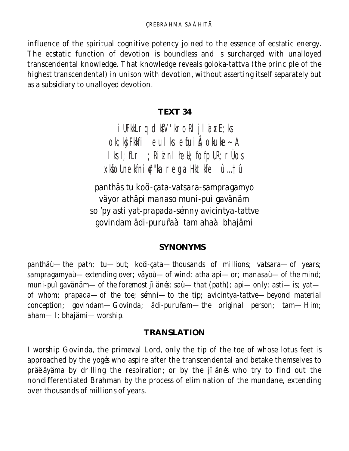influence of the spiritual cognitive potency joined to the essence of ecstatic energy. The ecstatic function of devotion is boundless and is surcharged with unalloyed transcendental knowledge. That knowledge reveals goloka-tattva (the principle of the highest transcendental) in unison with devotion, without asserting itself separately but as a subsidiary to unalloyed devotion.

### TEXT<sub>34</sub>

# iUltrq diW'lroNjl axE; ls ok **isflír** eu**l is efri Âolule**~ A **IIsI; Ar ; NiinI leU; fofpUR; rubs xlfolhelini d'la rega Ht lie û...; û**

panthäs tu koöi-çata-vatsara-sampragamyo väyor athäpi manaso muni-puì gavänäm so 'py asti yat-prapada-sémny avicintya-tattve govindam ädi-puruñaà tam ahaà bhajämi

### **SYNONYMS**

panthäù—the path; tu—but; koöl-çata—thousands of millions; vatsara—of years; sampragamyaù—extending over; väyoù—of wind; atha api—or; manasaù—of the mind; muni-puì gavänäm—of the foremost ji änés; saù—that (path); api—only; asti—is; yat of whom; prapada—of the toe; sémni—to the tip; avicintya-tattve—beyond material conception; govindam—Govinda; ädi-puruñam—the original person; tam—Him; aham-l; bhajämi-worship.

### **TRANSLATION**

I worship Govinda, the primeval Lord, only the tip of the toe of whose lotus feet is approached by the yoges who aspire after the transcendental and betake themselves to präëäyäma by drilling the respiration; or by the ji änes who try to find out the nondifferentiated Brahman by the process of elimination of the mundane, extending over thousands of millions of years.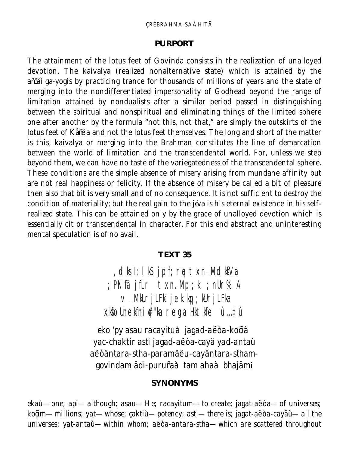#### ÇRÉ BRAHMA-SAÀHITÄ

### **PURPORT**

The attainment of the lotus feet of Govinda consists in the realization of unalloyed devotion. The kaivalya (realized nonalternative state) which is attained by the añoa) ga-yogis by practicing trance for thousands of millions of years and the state of merging into the nondifferentiated impersonality of Godhead beyond the range of limitation attained by nondualists after a similar period passed in distinguishing between the spiritual and nonspiritual and eliminating things of the limited sphere one after another by the formula "not this, not that," are simply the outskirts of the lotus feet of Kåñëa and not the lotus feet themselves. The long and short of the matter is this, kaivalya or merging into the Brahman constitutes the line of demarcation between the world of limitation and the transcendental world. For, unless we step beyond them, we can have no taste of the variegatedness of the transcendental sphere. These conditions are the simple absence of misery arising from mundane affinity but are not real happiness or felicity. If the absence of misery be called a bit of pleasure then also that bit is very small and of no consequence. It is not sufficient to destroy the condition of materiality; but the real gain to the jeva is his eternal existence in his selfrealized state. This can be attained only by the grace of unalloyed devotion which is essentially cit or transcendental in character. For this end abstract and uninteresting mental speculation is of no avail.

## TEXT<sub>35</sub>

# **, disi ; i iS jpf; rq t xn. MdiSJa** ;PNfäjfLr txn.Mp;k;nUr%A **v. Mtrj LF kijek Ing ; Itrj LF ka xlfolhelfni #'la rega Ht lfe** û..‡û

eko 'py asau racayituà jagad-aëòa-kooià yac-chaktir asti jagad-aëòa-caya yad-antaù aëòäntara-stha-paramäëu-cayäntara-sthamgovindam ädi-puruñaà tam ahaà bhajämi

### **SYNONYMS**

ekaù—one; api—although; asau—He; racayitum—to create; jagat-aëòa—of universes; koöim—millions; yat—whose; çaktiù—potency; asti—there is; jagat-aëòa-cayäù—all the universes; yat-antaù—within whom; aëòa-antara-stha—which are scattered throughout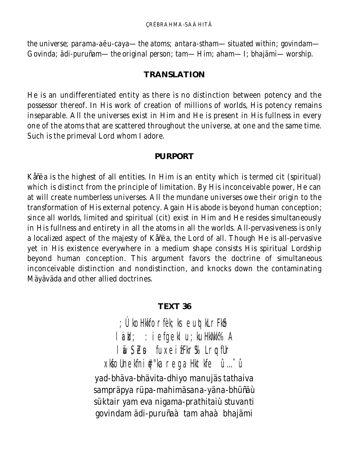#### ÇRÉ BRAHMA-SAÀHITÄ

the universe; parama-aëu-caya—the atoms; antara-stham—situated within; govindam— Govinda; ädi-puruñam—the original person; tam—Him; aham—I; bhajämi—worship.

### **TRANSLATION**

He is an undifferentiated entity as there is no distinction between potency and the possessor thereof. In His work of creation of millions of worlds, His potency remains inseparable. All the universes exist in Him and He is present in His fullness in every one of the atoms that are scattered throughout the universe, at one and the same time. Such is the primeval Lord whom I adore.

### **PURPORT**

Kåñëa is the highest of all entities. In Him is an entity which is termed cit (spiritual) which is distinct from the principle of limitation. By His inconceivable power, He can at will create numberless universes. All the mundane universes owe their origin to the transformation of His external potency. Again His abode is beyond human conception; since all worlds, limited and spiritual (cit) exist in Him and He resides simultaneously in His fullness and entirety in all the atoms in all the worlds. All-pervasiveness is only a localized aspect of the majesty of Kåñëa, the Lord of all. Though He is all-pervasive yet in His existence everywhere in a medium shape consists His spiritual Lordship beyond human conception. This argument favors the doctrine of simultaneous inconceivable distinction and nondistinction, and knocks down the contaminating Mäyäväda and other allied doctrines.

TEXT<sub>36</sub>

# ; Úlo**Hiorfel**; is eu**t Erfis liat; : iefgeldu; lulitik% A** lü\$2o fuxeifk%LrqfUr **xlfolhelini <del>q'l</del>a rega Hit lie û... û**

yad-bhäva-bhävita-dhiyo manujäs tathaiva sampräpya rüpa-mahimäsana-yäna-bhüñäù süktair yam eva nigama-prathitaiù stuvanti govindam ädi-puruñaà tam ahaà bhajämi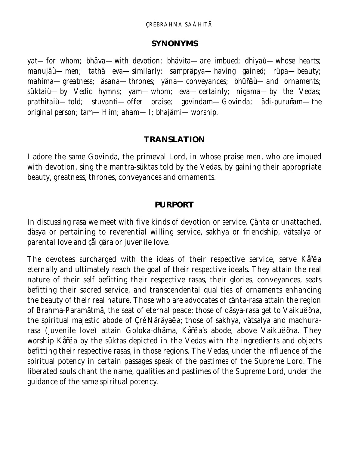#### **SYNONYMS**

*yat—for whom; bhäva—with devotion; bhävita—are imbued; dhiyaù—whose hearts; manujäù—men; tathä eva—similarly; sampräpya—having gained; rüpa—beauty; mahima—greatness; äsana—thrones; yäna—conveyances; bhüñäù—and ornaments; süktaiù—by Vedic hymns; yam—whom; eva—certainly; nigama—by the Vedas; prathitaiù—told; stuvanti—offer praise; govindam—Govinda; ädi-puruñam—the original person; tam—Him; aham—I; bhajämi—worship.* 

### **TRANSLATION**

I adore the same Govinda, the primeval Lord, in whose praise men, who are imbued with devotion, sing the mantra-süktas told by the Vedas, by gaining their appropriate beauty, greatness, thrones, conveyances and ornaments.

### **PURPORT**

In discussing rasa we meet with five kinds of devotion or service. Çänta or unattached, däsya or pertaining to reverential willing service, sakhya or friendship, vätsalya or parental love and çåì gära or juvenile love.

The devotees surcharged with the ideas of their respective service, serve Kåñëa eternally and ultimately reach the goal of their respective ideals. They attain the real nature of their self befitting their respective rasas, their glories, conveyances, seats befitting their sacred service, and transcendental qualities of ornaments enhancing the beauty of their real nature. Those who are advocates of çänta-rasa attain the region of Brahma-Paramätmä, the seat of eternal peace; those of däsya-rasa get to Vaikuëöha, the spiritual majestic abode of Çré Näräyaëa; those of sakhya, vätsalya and madhurarasa (juvenile love) attain Goloka-dhäma, Kåñëa's abode, above Vaikuëöha. They worship Kåñëa by the süktas depicted in the Vedas with the ingredients and objects befitting their respective rasas, in those regions. The Vedas, under the influence of the spiritual potency in certain passages speak of the pastimes of the Supreme Lord. The liberated souls chant the name, qualities and pastimes of the Supreme Lord, under the guidance of the same spiritual potency.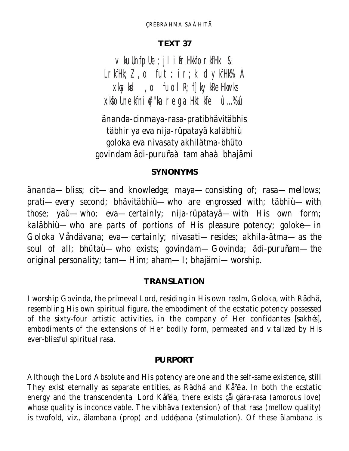## **TEXT 37**

# vluunfpue; jl i fr**Hitorisk &** Lrifficz, o fut: ir; k dylffic% A xkyksl, o fuolR;f[kylReHmls **xkoUnekhi q'la rega Hit ke û…%û**

*änanda-cinmaya-rasa-pratibhävitäbhis täbhir ya eva nija-rüpatayä kaläbhiù goloka eva nivasaty akhilätma-bhüto govindam ädi-puruñaà tam ahaà bhajämi* 

## **SYNONYMS**

*änanda—bliss; cit—and knowledge; maya—consisting of; rasa—mellows; prati—every second; bhävitäbhiù—who are engrossed with; täbhiù—with those; yaù—who; eva—certainly; nija-rüpatayä—with His own form; kaläbhiù—who are parts of portions of His pleasure potency; goloke—in Goloka Våndävana; eva—certainly; nivasati—resides; akhila-ätma—as the soul of all; bhütaù—who exists; govindam—Govinda; ädi-puruñam—the original personality; tam—Him; aham—I; bhajämi—worship.* 

## **TRANSLATION**

I worship Govinda, the primeval Lord, residing in His own realm, Goloka, with Rädhä, resembling His own spiritual figure, the embodiment of the ecstatic potency possessed of the sixty-four artistic activities, in the company of Her confidantes [sakhés], embodiments of the extensions of Her bodily form, permeated and vitalized by His ever-blissful spiritual rasa.

## **PURPORT**

Although the Lord Absolute and His potency are one and the self-same existence, still They exist eternally as separate entities, as Rädhä and Kåñëa. In both the ecstatic energy and the transcendental Lord Kåñëa, there exists çåìgära-rasa (amorous love) whose quality is inconceivable. The vibhäva (extension) of that rasa (mellow quality) is twofold, viz., älambana (prop) and uddépana (stimulation). Of these älambana is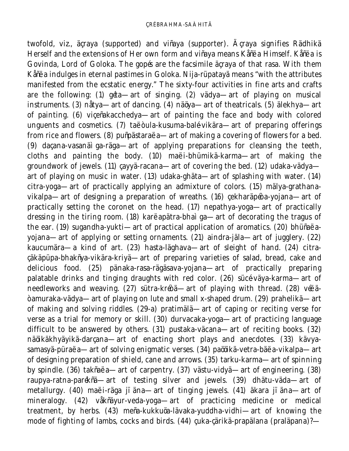twofold, viz., äçraya (supported) and viñaya (supporter). Äçraya signifies Rädhikä Herself and the extensions of Her own form and viñaya means Kåñëa Himself. Kåñëa is Govinda, Lord of Goloka. The gopés are the facsimile äçraya of that rasa. With them Kåñëa indulges in eternal pastimes in Goloka. Nija-rüpatayä means "with the attributes manifested from the ecstatic energy." The sixty-four activities in fine arts and crafts are the following: (1) géta—art of singing. (2) vädya—art of playing on musical instruments. (3) nåtya—art of dancing. (4) näöya—art of theatricals. (5) älekhya—art of painting. (6) viçeñakacchedya—art of painting the face and body with colored unguents and cosmetics. (7) taëòula-kusuma-balé-vikära—art of preparing offerings from rice and flowers. (8) puñpästaraëa—art of making a covering of flowers for a bed. (9) daçana-vasanäìga-räga—art of applying preparations for cleansing the teeth, cloths and painting the body. (10) maëi-bhümikä-karma—art of making the groundwork of jewels. (11) çayyä-racana—art of covering the bed. (12) udaka-vädya art of playing on music in water. (13) udaka-ghäta—art of splashing with water. (14) citra-yoga—art of practically applying an admixture of colors. (15) mälya-grathanavikalpa—art of designing a preparation of wreaths. (16) çekharäpéòa-yojana—art of practically setting the coronet on the head. (17) nepathya-yoga—art of practically dressing in the tiring room. (18) karëapätra-bhaìga—art of decorating the tragus of the ear. (19) sugandha-yukti—art of practical application of aromatics. (20) bhüñaëayojana—art of applying or setting ornaments. (21) aindra-jäla—art of jugglery. (22) kaucumära—a kind of art. (23) hasta-läghava—art of sleight of hand. (24) citraçäkäpüpa-bhakñya-vikära-kriyä—art of preparing varieties of salad, bread, cake and delicious food. (25) pänaka-rasa-rägäsava-yojana—art of practically preparing palatable drinks and tinging draughts with red color. (26) sücé-väya-karma—art of needleworks and weaving. (27) sütra-kréòä—art of playing with thread. (28) véëäòamuraka-vädya—art of playing on lute and small x-shaped drum. (29) prahelikä—art of making and solving riddles. (29-a) pratimälä—art of caping or reciting verse for verse as a trial for memory or skill. (30) durvacaka-yoga—art of practicing language difficult to be answered by others. (31) pustaka-väcana—art of reciting books. (32) näöikäkhyäyikä-darçana—art of enacting short plays and anecdotes. (33) kävyasamasyä-püraëa—art of solving enigmatic verses. (34) paööikä-vetra-bäëa-vikalpa—art of designing preparation of shield, cane and arrows. (35) tarku-karma—art of spinning by spindle. (36) takñaëa—art of carpentry. (37) västu-vidyä—art of engineering. (38) raupya-ratna-parékñä—art of testing silver and jewels. (39) dhätu-väda—art of metallurgy. (40) maëi-räga jïäna—art of tinging jewels. (41) äkara jïäna—art of mineralogy. (42) våkñäyur-veda-yoga—art of practicing medicine or medical treatment, by herbs. (43) meña-kukkuöa-lävaka-yuddha-vidhi—art of knowing the mode of fighting of lambs, cocks and birds. (44) çuka-çärikä-prapälana (praläpana)?—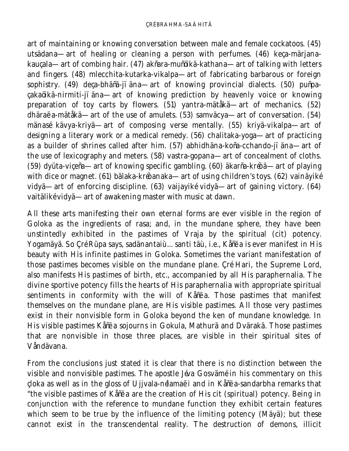art of maintaining or knowing conversation between male and female cockatoos. (45) utsädana—art of healing or cleaning a person with perfumes. (46) keça-märjanakauçala—art of combing hair. (47) akñara-muñöikä-kathana—art of talking with letters and fingers. (48) mlecchita-kutarka-vikalpa—art of fabricating barbarous or foreign sophistry. (49) deça-bhäñä-jïäna—art of knowing provincial dialects. (50) puñpaçakaöikä-nirmiti-jïäna—art of knowing prediction by heavenly voice or knowing preparation of toy carts by flowers. (51) yantra-mätåkä—art of mechanics. (52) dhäraëa-mätåkä—art of the use of amulets. (53) samväcya—art of conversation. (54) mänasé kävya-kriyä—art of composing verse mentally. (55) kriyä-vikalpa—art of designing a literary work or a medical remedy. (56) chalitaka-yoga—art of practicing as a builder of shrines called after him. (57) abhidhäna-koña-cchando-jïäna—art of the use of lexicography and meters. (58) vastra-gopana—art of concealment of cloths. (59) dyüta-viçeña—art of knowing specific gambling. (60) äkarña-kréòä—art of playing with dice or magnet. (61) bälaka-kréòanaka—art of using children's toys. (62) vainäyiké vidyä—art of enforcing discipline. (63) vaijayiké vidyä—art of gaining victory. (64) vaitäliké vidyä—art of awakening master with music at dawn.

All these arts manifesting their own eternal forms are ever visible in the region of Goloka as the ingredients of rasa; and, in the mundane sphere, they have been unstintedly exhibited in the pastimes of Vraja by the spiritual (cit) potency. Yogamäyä. So Çré Rüpa says, sadänantaiù... santi täù, i.e., Kåñëa is ever manifest in His beauty with His infinite pastimes in Goloka. Sometimes the variant manifestation of those pastimes becomes visible on the mundane plane. Çré Hari, the Supreme Lord, also manifests His pastimes of birth, etc., accompanied by all His paraphernalia. The divine sportive potency fills the hearts of His paraphernalia with appropriate spiritual sentiments in conformity with the will of Kåñëa. Those pastimes that manifest themselves on the mundane plane, are His visible pastimes. All those very pastimes exist in their nonvisible form in Goloka beyond the ken of mundane knowledge. In His visible pastimes Kåñëa sojourns in Gokula, Mathurä and Dvärakä. Those pastimes that are nonvisible in those three places, are visible in their spiritual sites of Våndävana.

From the conclusions just stated it is clear that there is no distinction between the visible and nonvisible pastimes. The apostle Jéva Gosvämé in his commentary on this çloka as well as in the gloss of Ujjvala-nélamaëi and in Kåñëa-sandarbha remarks that "the visible pastimes of Kåñëa are the creation of His cit (spiritual) potency. Being in conjunction with the reference to mundane function they exhibit certain features which seem to be true by the influence of the limiting potency (Mäyä); but these cannot exist in the transcendental reality. The destruction of demons, illicit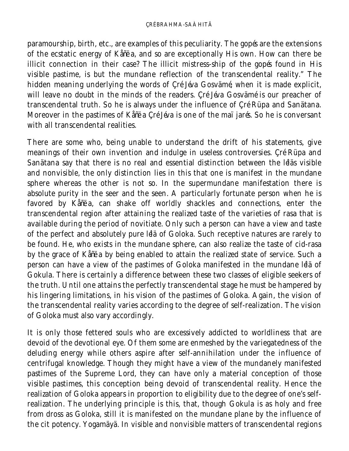paramourship, birth, etc., are examples of this peculiarity. The gopés are the extensions of the ecstatic energy of Kåñëa, and so are exceptionally His own. How can there be illicit connection in their case? The illicit mistress-ship of the gopés found in His visible pastime, is but the mundane reflection of the transcendental reality." The hidden meaning underlying the words of Çré Jéva Gosvämé, when it is made explicit, will leave no doubt in the minds of the readers. Çré Jéva Gosvämé is our preacher of transcendental truth. So he is always under the influence of Çré Rüpa and Sanätana. Moreover in the pastimes of Kåñëa Çré Jéva is one of the maï jarés. So he is conversant with all transcendental realities.

There are some who, being unable to understand the drift of his statements, give meanings of their own invention and indulge in useless controversies. Çré Rüpa and Sanätana say that there is no real and essential distinction between the léläs visible and nonvisible, the only distinction lies in this that one is manifest in the mundane sphere whereas the other is not so. In the supermundane manifestation there is absolute purity in the seer and the seen. A particularly fortunate person when he is favored by Kåñëa, can shake off worldly shackles and connections, enter the transcendental region after attaining the realized taste of the varieties of rasa that is available during the period of novitiate. Only such a person can have a view and taste of the perfect and absolutely pure lélä of Goloka. Such receptive natures are rarely to be found. He, who exists in the mundane sphere, can also realize the taste of cid-rasa by the grace of Kåñëa by being enabled to attain the realized state of service. Such a person can have a view of the pastimes of Goloka manifested in the mundane lélä of Gokula. There is certainly a difference between these two classes of eligible seekers of the truth. Until one attains the perfectly transcendental stage he must be hampered by his lingering limitations, in his vision of the pastimes of Goloka. Again, the vision of the transcendental reality varies according to the degree of self-realization. The vision of Goloka must also vary accordingly.

It is only those fettered souls who are excessively addicted to worldliness that are devoid of the devotional eye. Of them some are enmeshed by the variegatedness of the deluding energy while others aspire after self-annihilation under the influence of centrifugal knowledge. Though they might have a view of the mundanely manifested pastimes of the Supreme Lord, they can have only a material conception of those visible pastimes, this conception being devoid of transcendental reality. Hence the realization of Goloka appears in proportion to eligibility due to the degree of one's selfrealization. The underlying principle is this, that, though Gokula is as holy and free from dross as Goloka, still it is manifested on the mundane plane by the influence of the cit potency. Yogamäyä. In visible and nonvisible matters of transcendental regions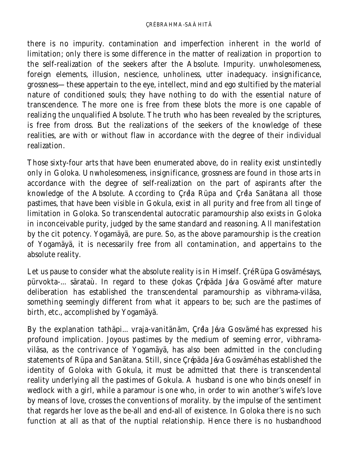there is no impurity. contamination and imperfection inherent in the world of limitation; only there is some difference in the matter of realization in proportion to the self-realization of the seekers after the Absolute. Impurity. unwholesomeness, foreign elements, illusion, nescience, unholiness, utter inadequacy. insignificance, grossness—these appertain to the eye, intellect, mind and ego stultified by the material nature of conditioned souls; they have nothing to do with the essential nature of transcendence. The more one is free from these blots the more is one capable of realizing the unqualified Absolute. The truth who has been revealed by the scriptures, is free from dross. But the realizations of the seekers of the knowledge of these realities, are with or without flaw in accordance with the degree of their individual realization.

Those sixty-four arts that have been enumerated above, do in reality exist unstintedly only in Goloka. Unwholesomeness, insignificance, grossness are found in those arts in accordance with the degree of self-realization on the part of aspirants after the knowledge of the Absolute. According to Çréla Rüpa and Çréla Sanätana all those pastimes, that have been visible in Gokula, exist in all purity and free from all tinge of limitation in Goloka. So transcendental autocratic paramourship also exists in Goloka in inconceivable purity, judged by the same standard and reasoning. All manifestation by the cit potency. Yogamäyä, are pure. So, as the above paramourship is the creation of Yogamäyä, it is necessarily free from all contamination, and appertains to the absolute reality.

Let us pause to consider what the absolute reality is in Himself. Çré Rüpa Gosvämé says, pürvokta-... särataù. In regard to these çlokas Çrépäda Jéva Gosvämé after mature deliberation has established the transcendental paramourship as vibhrama-viläsa, something seemingly different from what it appears to be; such are the pastimes of birth, etc., accomplished by Yogamäyä.

By the explanation tathäpi... vraja-vanitänäm, Çréla Jéva Gosvämé has expressed his profound implication. Joyous pastimes by the medium of seeming error, vibhramaviläsa, as the contrivance of Yogamäyä, has also been admitted in the concluding statements of Rüpa and Sanätana. Still, since Çrépäda Jéva Gosvämé has established the identity of Goloka with Gokula, it must be admitted that there is transcendental reality underlying all the pastimes of Gokula. A husband is one who binds oneself in wedlock with a girl, while a paramour is one who, in order to win another's wife's love by means of love, crosses the conventions of morality. by the impulse of the sentiment that regards her love as the be-all and end-all of existence. In Goloka there is no such function at all as that of the nuptial relationship. Hence there is no husbandhood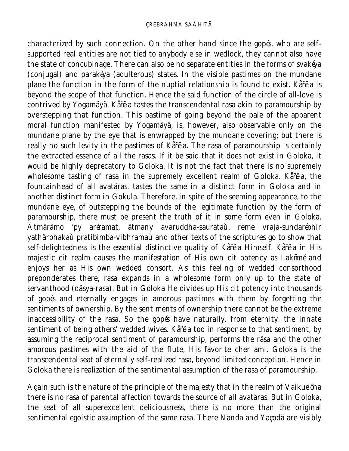characterized by such connection. On the other hand since the gopés, who are selfsupported real entities are not tied to anybody else in wedlock, they cannot also have the state of concubinage. There can also be no separate entities in the forms of svakéya (conjugal) and parakéya (adulterous) states. In the visible pastimes on the mundane plane the function in the form of the nuptial relationship is found to exist. Kåñëa is beyond the scope of that function. Hence the said function of the circle of all-love is contrived by Yogamäyä. Kåñëa tastes the transcendental rasa akin to paramourship by overstepping that function. This pastime of going beyond the pale of the apparent moral function manifested by Yogamäyä, is, however, also observable only on the mundane plane by the eye that is enwrapped by the mundane covering; but there is really no such levity in the pastimes of Kåñëa. The rasa of paramourship is certainly the extracted essence of all the rasas. If it be said that it does not exist in Goloka, it would be highly deprecatory to Goloka. It is not the fact that there is no supremely wholesome tasting of rasa in the supremely excellent realm of Goloka. Kåñëa, the fountainhead of all avatäras. tastes the same in a distinct form in Goloka and in another distinct form in Gokula. Therefore, in spite of the seeming appearance, to the mundane eye, of outstepping the bounds of the legitimate function by the form of paramourship, there must be present the truth of it in some form even in Goloka. Ätmärämo 'py aréramat, ätmany avaruddha-saurataù, reme vraja-sundarébhir yathärbhakaù pratibimba-vibhramaù and other texts of the scriptures go to show that self-delightedness is the essential distinctive quality of Kåñëa Himself. Kåñëa in His majestic cit realm causes the manifestation of His own cit potency as Lakñmé and enjoys her as His own wedded consort. As this feeling of wedded consorthood preponderates there, rasa expands in a wholesome form only up to the state of servanthood (däsya-rasa). But in Goloka He divides up His cit potency into thousands of gopés and eternally engages in amorous pastimes with them by forgetting the sentiments of ownership. By the sentiments of ownership there cannot be the extreme inaccessibility of the rasa. So the gopes have naturally. from eternity, the innate sentiment of being others' wedded wives. Kåñëa too in response to that sentiment, by assuming the reciprocal sentiment of paramourship, performs the räsa and the other amorous pastimes with the aid of the flute, His favorite cher ami. Goloka is the transcendental seat of eternally self-realized rasa, beyond limited conception. Hence in Goloka there is realization of the sentimental assumption of the rasa of paramourship.

Again such is the nature of the principle of the majesty that in the realm of Vaikuëöha there is no rasa of parental affection towards the source of all avatäras. But in Goloka, the seat of all superexcellent deliciousness, there is no more than the original sentimental egoistic assumption of the same rasa. There Nanda and Yaçodä are visibly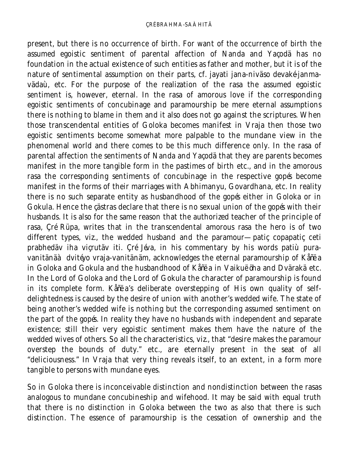present, but there is no occurrence of birth. For want of the occurrence of birth the assumed egoistic sentiment of parental affection of Nanda and Yaçodä has no foundation in the actual existence of such entities as father and mother, but it is of the nature of sentimental assumption on their parts, cf. jayati jana-niväso devaké-janmavädaù, etc. For the purpose of the realization of the rasa the assumed egoistic sentiment is, however, eternal. In the rasa of amorous love if the corresponding egoistic sentiments of concubinage and paramourship be mere eternal assumptions there is nothing to blame in them and it also does not go against the scriptures. When those transcendental entities of Goloka becomes manifest in Vraja then those two egoistic sentiments become somewhat more palpable to the mundane view in the phenomenal world and there comes to be this much difference only. In the rasa of parental affection the sentiments of Nanda and Yaçodä that they are parents becomes manifest in the more tangible form in the pastimes of birth etc., and in the amorous rasa the corresponding sentiments of concubinage in the respective gopés become manifest in the forms of their marriages with Abhimanyu, Govardhana, etc. In reality there is no such separate entity as husbandhood of the gopés either in Goloka or in Gokula. Hence the çästras declare that there is no sexual union of the gopés with their husbands. It is also for the same reason that the authorized teacher of the principle of rasa, Çré Rüpa, writes that in the transcendental amorous rasa the hero is of two different types, viz., the wedded husband and the paramour—patiç copapatiç ceti prabhedäv iha viçrutäv iti. Çré Jéva, in his commentary by his words patiù puravanitänäà dvitéyo vraja-vanitänäm, acknowledges the eternal paramourship of Kåñëa in Goloka and Gokula and the husbandhood of Kåñëa in Vaikuëöha and Dvärakä etc. In the Lord of Goloka and the Lord of Gokula the character of paramourship is found in its complete form. Kåñëa's deliberate overstepping of His own quality of selfdelightedness is caused by the desire of union with another's wedded wife. The state of being another's wedded wife is nothing but the corresponding assumed sentiment on the part of the gopés. In reality they have no husbands with independent and separate existence; still their very egoistic sentiment makes them have the nature of the wedded wives of others. So all the characteristics, viz., that "desire makes the paramour overstep the bounds of duty." etc., are eternally present in the seat of all "deliciousness." In Vraja that very thing reveals itself, to an extent, in a form more tangible to persons with mundane eyes.

So in Goloka there is inconceivable distinction and nondistinction between the rasas analogous to mundane concubineship and wifehood. It may be said with equal truth that there is no distinction in Goloka between the two as also that there is such distinction. The essence of paramourship is the cessation of ownership and the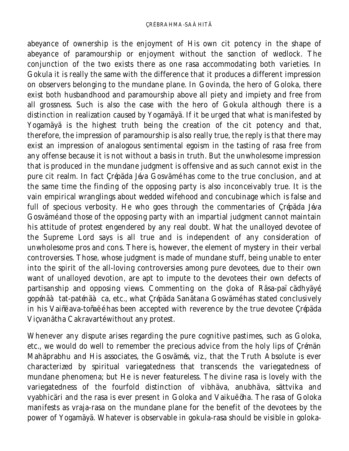abeyance of ownership is the enjoyment of His own cit potency in the shape of abeyance of paramourship or enjoyment without the sanction of wedlock. The conjunction of the two exists there as one rasa accommodating both varieties. In Gokula it is really the same with the difference that it produces a different impression on observers belonging to the mundane plane. In Govinda, the hero of Goloka, there exist both husbandhood and paramourship above all piety and impiety and free from all grossness. Such is also the case with the hero of Gokula although there is a distinction in realization caused by Yogamäyä. If it be urged that what is manifested by Yogamäyä is the highest truth being the creation of the cit potency and that, therefore, the impression of paramourship is also really true, the reply is that there may exist an impression of analogous sentimental egoism in the tasting of rasa free from any offense because it is not without a basis in truth. But the unwholesome impression that is produced in the mundane judgment is offensive and as such cannot exist in the pure cit realm. In fact Çrépäda Jéva Gosvämé has come to the true conclusion, and at the same time the finding of the opposing party is also inconceivably true. It is the vain empirical wranglings about wedded wifehood and concubinage which is false and full of specious verbosity. He who goes through the commentaries of Çrépäda Jéva Gosvämé and those of the opposing party with an impartial judgment cannot maintain his attitude of protest engendered by any real doubt. What the unalloyed devotee of the Supreme Lord says is all true and is independent of any consideration of unwholesome pros and cons. There is, however, the element of mystery in their verbal controversies. Those, whose judgment is made of mundane stuff, being unable to enter into the spirit of the all-loving controversies among pure devotees, due to their own want of unalloyed devotion, are apt to impute to the devotees their own defects of partisanship and opposing views. Commenting on the çloka of Räsa-païcädhyäyé, gopénäà tat-paténäà ca, etc., what Çrépäda Sanätana Gosvämé has stated conclusively in his Vaiñëava-toñaëé has been accepted with reverence by the true devotee Çrépäda Viçvanätha Cakravarté without any protest.

Whenever any dispute arises regarding the pure cognitive pastimes, such as Goloka, etc., we would do well to remember the precious advice from the holy lips of Çrémän Mahäprabhu and His associates, the Gosvämés, viz., that the Truth Absolute is ever characterized by spiritual variegatedness that transcends the variegatedness of mundane phenomena; but He is never featureless. The divine rasa is lovely with the variegatedness of the fourfold distinction of vibhäva, anubhäva, sättvika and vyabhicäri and the rasa is ever present in Goloka and Vaikuëöha. The rasa of Goloka manifests as vraja-rasa on the mundane plane for the benefit of the devotees by the power of Yogamäyä. Whatever is observable in gokula-rasa should be visible in goloka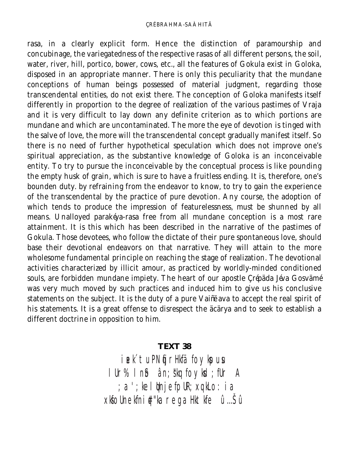rasa, in a clearly explicit form. Hence the distinction of paramourship and concubinage, the variegatedness of the respective rasas of all different persons, the soil, water, river, hill, portico, bower, cows, etc., all the features of Gokula exist in Goloka, disposed in an appropriate manner. There is only this peculiarity that the mundane conceptions of human beings possessed of material judgment, regarding those transcendental entities, do not exist there. The conception of Goloka manifests itself differently in proportion to the degree of realization of the various pastimes of Vraja and it is very difficult to lay down any definite criterion as to which portions are mundane and which are uncontaminated. The more the eye of devotion is tinged with the salve of love, the more will the transcendental concept gradually manifest itself. So there is no need of further hypothetical speculation which does not improve one's spiritual appreciation, as the substantive knowledge of Goloka is an inconceivable entity. To try to pursue the inconceivable by the conceptual process is like pounding the empty husk of grain, which is sure to have a fruitless ending. It is, therefore, one's bounden duty. by refraining from the endeavor to know, to try to gain the experience of the transcendental by the practice of pure devotion. Any course, the adoption of which tends to produce the impression of featurelessness, must be shunned by all means. Unalloyed parakéya-rasa free from all mundane conception is a most rare attainment. It is this which has been described in the narrative of the pastimes of Gokula. Those devotees, who follow the dictate of their pure spontaneous love, should base their devotional endeavors on that narrative. They will attain to the more wholesome fundamental principle on reaching the stage of realization. The devotional activities characterized by illicit amour, as practiced by worldly-minded conditioned souls, are forbidden mundane impiety. The heart of our apostle Çrépäda Jéva Gosvämé was very much moved by such practices and induced him to give us his conclusive statements on the subject. It is the duty of a pure Vaiñëava to accept the real spirit of his statements. It is a great offense to disrespect the äcärya and to seek to establish a different doctrine in opposition to him.

#### **TEXT 38**

iskt uPNG rHfäfoylpus **lur% inS** an; **Sq foykd;fUr A** ; a '; le l thjefpuR; xqlto: i a **xlioUnelini q'la rega Ht lie û…Šû**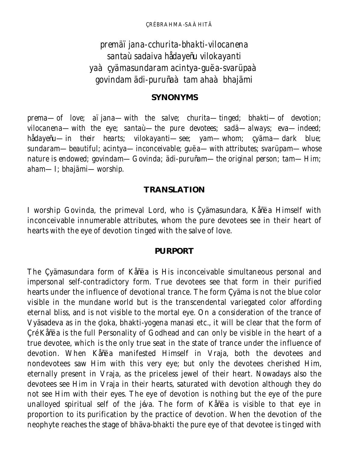#### ÇRÉ BRAHMA-SAÀHITÄ

*premäïjana-cchurita-bhakti-vilocanena santaù sadaiva hådayeñu vilokayanti yaà çyämasundaram acintya-guëa-svarüpaà govindam ädi-puruñaà tam ahaà bhajämi* 

#### **SYNONYMS**

*prema—of love; aïjana—with the salve; churita—tinged; bhakti—of devotion; vilocanena—with the eye; santaù—the pure devotees; sadä—always; eva—indeed; hådayeñu—in their hearts; vilokayanti—see; yam—whom; çyäma—dark blue; sundaram—beautiful; acintya—inconceivable; guëa—with attributes; svarüpam—whose nature is endowed; govindam—Govinda; ädi-puruñam—the original person; tam—Him; aham—I; bhajämi—worship.* 

### **TRANSLATION**

I worship Govinda, the primeval Lord, who is Çyämasundara, Kåñëa Himself with inconceivable innumerable attributes, whom the pure devotees see in their heart of hearts with the eye of devotion tinged with the salve of love.

### **PURPORT**

The Çyämasundara form of Kåñëa is His inconceivable simultaneous personal and impersonal self-contradictory form. True devotees see that form in their purified hearts under the influence of devotional trance. The form Çyäma is not the blue color visible in the mundane world but is the transcendental variegated color affording eternal bliss, and is not visible to the mortal eye. On a consideration of the trance of Vyäsadeva as in the çloka, bhakti-yogena manasi etc., it will be clear that the form of Çré Kåñëa is the full Personality of Godhead and can only be visible in the heart of a true devotee, which is the only true seat in the state of trance under the influence of devotion. When Kåñëa manifested Himself in Vraja, both the devotees and nondevotees saw Him with this very eye; but only the devotees cherished Him, eternally present in Vraja, as the priceless jewel of their heart. Nowadays also the devotees see Him in Vraja in their hearts, saturated with devotion although they do not see Him with their eyes. The eye of devotion is nothing but the eye of the pure unalloyed spiritual self of the jéva. The form of Kåñëa is visible to that eye in proportion to its purification by the practice of devotion. When the devotion of the neophyte reaches the stage of bhäva-bhakti the pure eye of that devotee is tinged with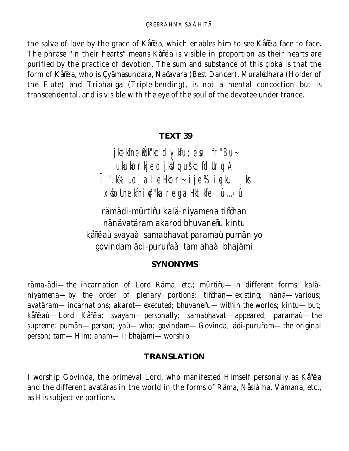the salve of love by the grace of Kåñëa, which enables him to see Kåñëa face to face. The phrase "in their hearts" means Kåñëa is visible in proportion as their hearts are purified by the practice of devotion. The sum and substance of this çloka is that the form of Kåñëa, who is Çyämasundara, Naöavara (Best Dancer), Muralédhara (Holder of the Flute) and Tribhaìga (Triple-bending), is not a mental concoction but is transcendental, and is visible with the eye of the soul of the devotee under trance.

### **TEXT 39**

# jleline fiklq dyliu;eu fr'Bu~ ululorljed jl**équšq fdUrq A i** ".k% Lo;a leHor~ ije% iqlu; ks **xlioUnelini <del>q'la</del> rega Ht lie** û…<û

*rämädi-mürtiñu kalä-niyamena tiñöhan nänävatäram akarod bhuvaneñu kintu kåñëaù svayaà samabhavat paramaù pumän yo govindam ädi-puruñaà tam ahaà bhajämi* 

### **SYNONYMS**

*räma-ädi—the incarnation of Lord Räma, etc.; mürtiñu—in different forms; kaläniyamena—by the order of plenary portions; tiñöhan—existing; nänä—various; avatäram—incarnations; akarot—executed; bhuvaneñu—within the worlds; kintu—but; kåñëaù—Lord Kåñëa; svayam—personally; samabhavat—appeared; paramaù—the supreme; pumän—person; yaù—who; govindam—Govinda; ädi-puruñam—the original person; tam—Him; aham—I; bhajämi—worship.* 

### **TRANSLATION**

I worship Govinda, the primeval Lord, who manifested Himself personally as Kåñëa and the different avatäras in the world in the forms of Räma, Nåsiàha, Vämana, etc., as His subjective portions.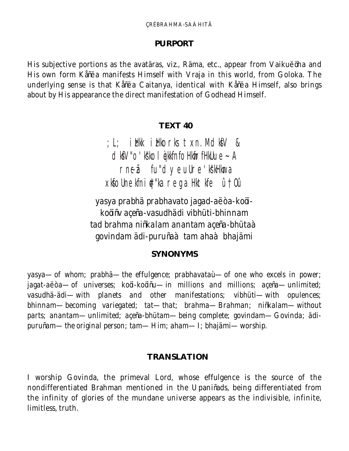### **PURPORT**

His subjective portions as the avatäras, viz., Räma, etc., appear from Vaikuëöha and His own form Kåñëa manifests Himself with Vraja in this world, from Goloka. The underlying sense is that Kåñëa Caitanya, identical with Kåñëa Himself, also brings about by His appearance the direct manifestation of Godhead Himself.

## **TEXT 40**

# ;  $l$ ; in the intertwo texn. Modial  $\alpha$ d**ky''o'klo lèkhfoHfrfHtue~ A** rne**ä fu"dyeuure'kalma xkoUnekhiq"ka rega Hit ke û† ûû**

*yasya prabhä prabhavato jagad-aëòa-koöikoöiñv açeña-vasudhädi vibhüti-bhinnam tad brahma niñkalam anantam açeña-bhütaà govindam ädi-puruñaà tam ahaà bhajämi* 

### **SYNONYMS**

*yasya—of whom; prabhä—the effulgence; prabhavataù—of one who excels in power; jagat-aëòa—of universes; koöi-koöiñu—in millions and millions; açeña—unlimited; vasudhä-ädi—with planets and other manifestations; vibhüti—with opulences; bhinnam—becoming variegated; tat—that; brahma—Brahman; niñkalam—without parts; anantam—unlimited; açeña-bhütam—being complete; govindam—Govinda; ädipuruñam—the original person; tam—Him; aham—I; bhajämi—worship.* 

### **TRANSLATION**

I worship Govinda, the primeval Lord, whose effulgence is the source of the nondifferentiated Brahman mentioned in the Upaniñads, being differentiated from the infinity of glories of the mundane universe appears as the indivisible, infinite, limitless, truth.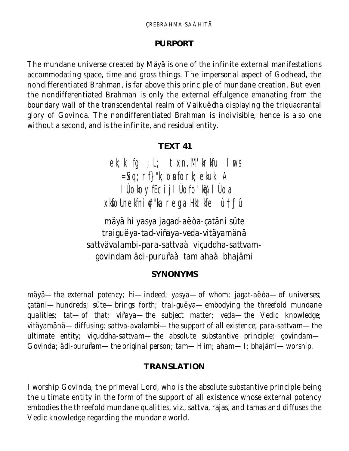### **PURPORT**

The mundane universe created by Mäyä is one of the infinite external manifestations accommodating space, time and gross things. The impersonal aspect of Godhead, the nondifferentiated Brahman, is far above this principle of mundane creation. But even the nondifferentiated Brahman is only the external effulgence emanating from the boundary wall of the transcendental realm of Vaikuë oha displaying the triquadrantal glory of Govinda. The nondifferentiated Brahman is indivisible, hence is also one without a second, and is the infinite, and residual entity.

### TFXT<sub>41</sub>

# ekk fg ; l; txn. M'Irlfu I ws  $=$ **2q;** rf}'iç o**nfori**ç eluk A I Übloyfici j I Übio'li4 Üba **xliothelini d'la rega Hit lie û t** $f$ **û**

mäyä hi yasya jagad-aëòa-çatäni süte traiguëya-tad-viñaya-veda-vitäyamänä sattvävalambi-para-sattvaà viçuddha-sattvamgovindam ädi-puruñaà tam ahaà bhajämi

### **SYNONYMS**

mäyä—the external potency; hi—indeed; yasya—of whom; jagat-aëòa—of universes; catäni—hundreds; süte—brings forth; trai-guëya—embodying the threefold mundane qualities; tat—of that; viñaya—the subject matter; veda—the Vedic knowledge; vitäyamänä—diffusing; sattva-avalambi—the support of all existence; para-sattvam—the ultimate entity; viçuddha-sattvam—the absolute substantive principle; govindam— Govinda; ädi-puruñam—the original person; tam—Him; aham—I; bhajämi—worship.

### **TRANSLATION**

I worship Govinda, the primeval Lord, who is the absolute substantive principle being the ultimate entity in the form of the support of all existence whose external potency embodies the threefold mundane qualities, viz., sattva, rajas, and tamas and diffuses the Vedic knowledge regarding the mundane world.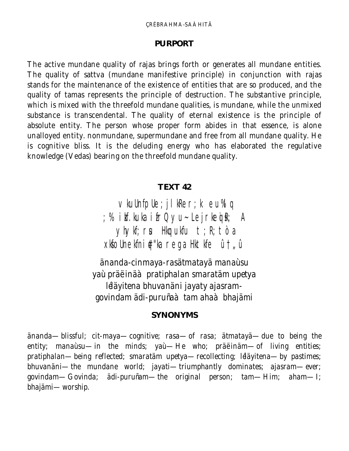### **PURPORT**

The active mundane quality of rajas brings forth or generates all mundane entities. The quality of sattva (mundane manifestive principle) in conjunction with rajas stands for the maintenance of the existence of entities that are so produced, and the quality of tamas represents the principle of destruction. The substantive principle, which is mixed with the threefold mundane qualities, is mundane, while the unmixed substance is transcendental. The quality of eternal existence is the principle of absolute entity. The person whose proper form abides in that essence, is alone unalloyed entity. nonmundane, supermundane and free from all mundane quality. He is cognitive bliss. It is the deluding energy who has elaborated the regulative knowledge (Vedas) bearing on the threefold mundane quality.

## TFXT<sub>42</sub>

# **vlutiple;jl Rer;k eu%q** ;% ilf.lula ifrQyu~ Lejrleqk; A ylylf;ru Hqulfu t; R; tòa **xliothelini d'la rega Ht lie** ût, û

änanda-cinmaya-rasätmatayä manaùsu yaù präëinäà pratiphalan smaratäm upetya léläyitena bhuvanäni jayaty ajasramgovindam ädi-puruñaà tam ahaà bhajämi

### **SYNONYMS**

änanda-blissful; cit-maya-cognitive; rasa-of rasa; ätmatayä-due to being the entity; manaùsu—in the minds; yaù—He who; präëinäm—of living entities; pratiphalan—being reflected; smaratäm upetya—recollecting; léläyitena—by pastimes; bhuvanäni—the mundane world; jayati—triumphantly dominates; ajasram—ever; govindam—Govinda; ädi-puruñam—the original person; tam—Him; aham—I; bhajämi-worship.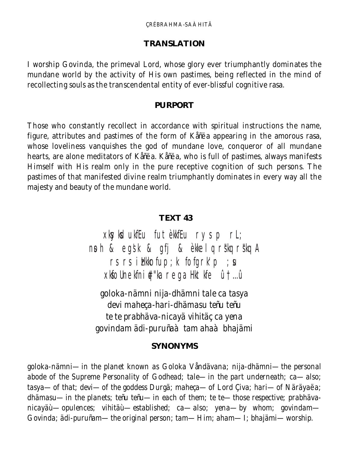I worship Govinda, the primeval Lord, whose glory ever triumphantly dominates the mundane world by the activity of His own pastimes, being reflected in the mind of recollecting souls as the transcendental entity of ever-blissful cognitive rasa.

### **PURPORT**

Those who constantly recollect in accordance with spiritual instructions the name, figure, attributes and pastimes of the form of Kanea appearing in the amorous rasa, whose loveliness vanguishes the god of mundane love, conqueror of all mundane hearts, are alone meditators of Kåñëa. Kåñëa, who is full of pastimes, always manifests Himself with His realm only in the pure receptive cognition of such persons. The pastimes of that manifested divine realm triumphantly dominates in every way all the majesty and beauty of the mundane world.

### TEXT<sub>43</sub>

## xiyisluiffu futdiffu rysp rl; **neh & egsk & gfj & elle i q r siq r siq A** rs rs illiofup; k fofgrkp; a **xliothelini d'la rega Hit lie û †..û**

goloka-nämni nija-dhämni tale ca tasya devi maheça-hari-dhämasu teñu teñu te te prabhäva-nicayä vihitäç ca yena govindam ädi-puruñaà tam ahaà bhajämi

### **SYNONYMS**

goloka-nämni—in the planet known as Goloka Våndävana; nija-dhämni—the personal abode of the Supreme Personality of Godhead; tale-in the part underneath; ca-also; tasya—of that; devi—of the goddess Durgä; maheça—of Lord Çiva; hari—of Näräyaëa; dhämasu—in the planets; teñu teñu—in each of them; te te—those respective; prabhävanicayäù—opulences; vihitäù—established; ca—also; yena—by whom; govindam— Govinda; ädi-puruñam—the original person; tam—Him; aham—I; bhajämi—worship.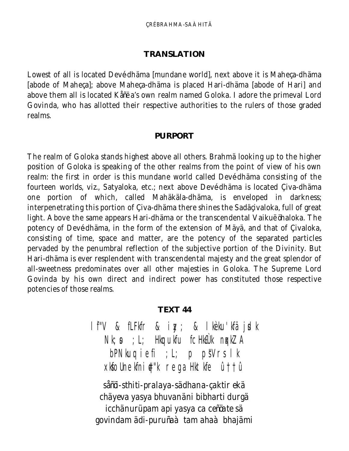Lowest of all is located Devé-dhäma [mundane world], next above it is Maheça-dhäma [abode of Maheça]; above Maheça-dhäma is placed Hari-dhäma [abode of Hari] and above them all is located Kåñëa's own realm named Goloka. I adore the primeval Lord Govinda, who has allotted their respective authorities to the rulers of those graded realms.

### **PURPORT**

The realm of Goloka stands highest above all others. Brahmä looking up to the higher position of Goloka is speaking of the other realms from the point of view of his own realm: the first in order is this mundane world called Devé-dhäma consisting of the fourteen worlds, viz., Satyaloka, etc.; next above Devé-dhäma is located Çiva-dhäma one portion of which, called Mahäkäla-dhäma, is enveloped in darkness; interpenetrating this portion of Çiva-dhäma there shines the Sadäçivaloka, full of great light. Above the same appears Hari-dhäma or the transcendental Vaikuëöhaloka. The potency of Devé-dhäma, in the form of the extension of Mäyä, and that of Çivaloka, consisting of time, space and matter, are the potency of the separated particles pervaded by the penumbral reflection of the subjective portion of the Divinity. But Hari-dhäma is ever resplendent with transcendental majesty and the great splendor of all-sweetness predominates over all other majesties in Goloka. The Supreme Lord Govinda by his own direct and indirect power has constituted those respective potencies of those realms.

### **TEXT 44**

## lit'v & fliftr & iy; & lièku'käjsik Nk;so ;L; Hquitu fcHtÈk nqiz A  $b$ PNkuqiefi ;  $l$ ; p pSVrs Ik **xkoUnekhiq'k rega Hitke û††û**

*såñöi-sthiti-pralaya-sädhana-çaktir ekä chäyeva yasya bhuvanäni bibharti durgä icchänurüpam api yasya ca ceñöate sä govindam ädi-puruñaà tam ahaà bhajämi*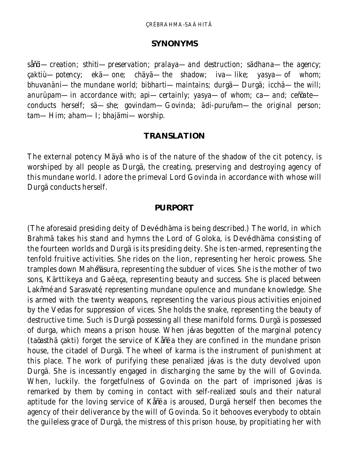### **SYNONYMS**

*såñöi—creation; sthiti—preservation; pralaya—and destruction; sädhana—the agency; çaktiù—potency; ekä—one; chäyä—the shadow; iva—like; yasya—of whom; bhuvanäni—the mundane world; bibharti—maintains; durgä—Durgä; icchä—the will; anurüpam—in accordance with; api—certainly; yasya—of whom; ca—and; ceñöate conducts herself; sä—she; govindam—Govinda; ädi-puruñam—the original person; tam—Him; aham—I; bhajämi—worship.* 

### **TRANSLATION**

The external potency Mäyä who is of the nature of the shadow of the cit potency, is worshiped by all people as Durgä, the creating, preserving and destroying agency of this mundane world. I adore the primeval Lord Govinda in accordance with whose will Durgä conducts herself.

### **PURPORT**

(The aforesaid presiding deity of Devé-dhäma is being described.) The world, in which Brahmä takes his stand and hymns the Lord of Goloka, is Devé-dhäma consisting of the fourteen worlds and Durgä is its presiding deity. She is ten-armed, representing the tenfold fruitive activities. She rides on the lion, representing her heroic prowess. She tramples down Mahéñäsura, representing the subduer of vices. She is the mother of two sons, Kärttikeya and Gaëeça, representing beauty and success. She is placed between Lakñmé and Sarasvaté, representing mundane opulence and mundane knowledge. She is armed with the twenty weapons, representing the various pious activities enjoined by the Vedas for suppression of vices. She holds the snake, representing the beauty of destructive time. Such is Durgä possessing all these manifold forms. Durgä is possessed of durga, which means a prison house. When jévas begotten of the marginal potency (taöasthä çakti) forget the service of Kåñëa they are confined in the mundane prison house, the citadel of Durgä. The wheel of karma is the instrument of punishment at this place. The work of purifying these penalized jévas is the duty devolved upon Durgä. She is incessantly engaged in discharging the same by the will of Govinda. When, luckily. the forgetfulness of Govinda on the part of imprisoned jévas is remarked by them by coming in contact with self-realized souls and their natural aptitude for the loving service of Kåñëa is aroused, Durgä herself then becomes the agency of their deliverance by the will of Govinda. So it behooves everybody to obtain the guileless grace of Durgä, the mistress of this prison house, by propitiating her with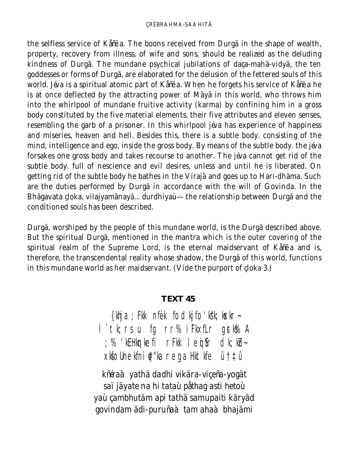the selfless service of Kåñëa. The boons received from Durgä in the shape of wealth, property, recovery from illness, of wife and sons, should be realized as the deluding kindness of Durgä. The mundane psychical jubilations of daça-mahä-vidyä, the ten goddesses or forms of Durgä, are elaborated for the delusion of the fettered souls of this world. Jéva is a spiritual atomic part of Kåñëa. When he forgets his service of Kåñëa he is at once deflected by the attracting power of Mäyä in this world, who throws him into the whirlpool of mundane fruitive activity (karma) by confining him in a gross body constituted by the five material elements, their five attributes and eleven senses, resembling the garb of a prisoner. In this whirlpool jéva has experience of happiness and miseries, heaven and hell. Besides this, there is a subtle body. consisting of the mind, intelligence and ego, inside the gross body. By means of the subtle body. the jéva forsakes one gross body and takes recourse to another. The jéva cannot get rid of the subtle body. full of nescience and evil desires, unless and until he is liberated. On getting rid of the subtle body he bathes in the Virajä and goes up to Hari-dhäma. Such are the duties performed by Durgä in accordance with the will of Govinda. In the Bhägavata çloka, vilajyamänayä... durdhiyaù—the relationship between Durgä and the conditioned souls has been described.

Durgä, worshiped by the people of this mundane world, is the Durgä described above. But the spiritual Durgä, mentioned in the mantra which is the outer covering of the spiritual realm of the Supreme Lord, is the eternal maidservant of Kåñëa and is, therefore, the transcendental reality whose shadow, the Durgä of this world, functions in this mundane world as her maidservant. (Vide the purport of çloka 3.)

### **TEXT 45**

## ${k}$ ja ; Fik nfèk fodljfo'kk; kur $\sim$ **I** tk; rs u fg rr% i Fhat r gsl% A **;% 'EHqlefi rFk leith dk; Browner xkolhelini q'la rega Ht lie** û†‡û

*kñéraà yathä dadhi vikära-viçeña-yogät saïjäyate na hi tataù påthag asti hetoù yaù çambhutäm api tathä samupaiti käryäd govindam ädi-puruñaà tam ahaà bhajämi*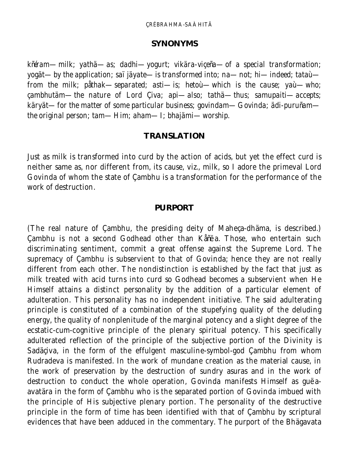#### ÇRÉ BRAHMA-SAÀHITÄ

#### **SYNONYMS**

*kñéram—milk; yathä—as; dadhi—yogurt; vikära-viçeña—of a special transformation; yogät—by the application; saïjäyate—is transformed into; na—not; hi—indeed; tataù from the milk; påthak—separated; asti—is; hetoù—which is the cause; yaù—who; çambhutäm—the nature of Lord Çiva; api—also; tathä—thus; samupaiti—accepts; käryät—for the matter of some particular business; govindam—Govinda; ädi-puruñam the original person; tam—Him; aham—I; bhajämi—worship.* 

### **TRANSLATION**

Just as milk is transformed into curd by the action of acids, but yet the effect curd is neither same as, nor different from, its cause, viz., milk, so I adore the primeval Lord Govinda of whom the state of Çambhu is a transformation for the performance of the work of destruction.

### **PURPORT**

(The real nature of Çambhu, the presiding deity of Maheça-dhäma, is described.) Çambhu is not a second Godhead other than Kåñëa. Those, who entertain such discriminating sentiment, commit a great offense against the Supreme Lord. The supremacy of Çambhu is subservient to that of Govinda; hence they are not really different from each other. The nondistinction is established by the fact that just as milk treated with acid turns into curd so Godhead becomes a subservient when He Himself attains a distinct personality by the addition of a particular element of adulteration. This personality has no independent initiative. The said adulterating principle is constituted of a combination of the stupefying quality of the deluding energy, the quality of nonplenitude of the marginal potency and a slight degree of the ecstatic-cum-cognitive principle of the plenary spiritual potency. This specifically adulterated reflection of the principle of the subjective portion of the Divinity is Sadäçiva, in the form of the effulgent masculine-symbol-god Çambhu from whom Rudradeva is manifested. In the work of mundane creation as the material cause, in the work of preservation by the destruction of sundry asuras and in the work of destruction to conduct the whole operation, Govinda manifests Himself as guëaavatära in the form of Çambhu who is the separated portion of Govinda imbued with the principle of His subjective plenary portion. The personality of the destructive principle in the form of time has been identified with that of Çambhu by scriptural evidences that have been adduced in the commentary. The purport of the Bhägavata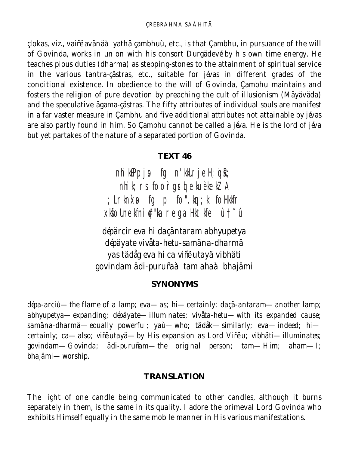clokas, viz., vaine avana a yatha cambhuù, etc., is that Cambhu, in pursuance of the will of Govinda, works in union with his consort Durgädeve by his own time energy. He teaches pious duties (dharma) as stepping-stones to the attainment of spiritual service in the various tantra-çästras, etc., suitable for jevas in different grades of the conditional existence. In obedience to the will of Govinda, Cambhu maintains and fosters the religion of pure devotion by preaching the cult of illusionism (Mäyäväda) and the speculative ägama-cästras. The fifty attributes of individual souls are manifest in a far vaster measure in Çambhu and five additional attributes not attainable by jévas are also partly found in him. So Çambhu cannot be called a jéva. He is the lord of jéva but yet partakes of the nature of a separated portion of Govinda.

TEXT<sub>46</sub>

## **nii liep jo fg n'iltrjeh; qib;** nhik; rs foorgsdeluelel A ; Lrinxe fg p fo". lq; k foldir **xliothelini d'la rega Hit lie û t^û**

dépärcir eva hi daçäntaram abhyupetya dépäyate vivåta-hetu-samäna-dharmä yas tädåg eva hi ca viñëutayä vibhäti govindam ädi-puruñaà tam ahaà bhajämi

## **SYNONYMS**

dépa-arciù—the flame of a lamp; eva—as; hi—certainly; daçä-antaram—another lamp; abhyupetya—expanding; dépäyate—illuminates; vivåta-hetu—with its expanded cause; samäna-dharmä—equally powerful; yaù—who; tädåk—similarly; eva—indeed; hi certainly; ca—also; viñëutayä—by His expansion as Lord Viñëu; vibhäti—illuminates; govindam—Govinda; ädi-puruñam—the original person; tam—Him; aham—I; bhajämi-worship.

### **TRANSLATION**

The light of one candle being communicated to other candles, although it burns separately in them, is the same in its quality. I adore the primeval Lord Govinda who exhibits Himself equally in the same mobile manner in His various manifestations.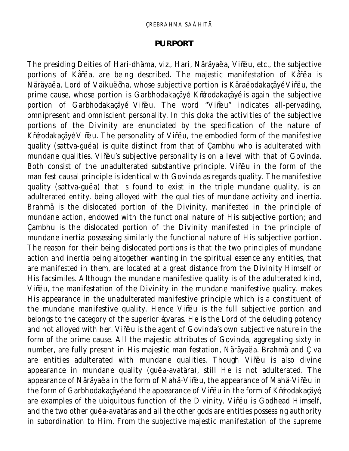### **PURPORT**

The presiding Deities of Hari-dhäma, viz., Hari, Näräyaëa, Viñëu, etc., the subjective portions of Kåñëa, are being described. The majestic manifestation of Kåñëa is Näräyaëa, Lord of Vaikuëöha, whose subjective portion is Käraëodakaçäyé Viñëu, the prime cause, whose portion is Garbhodakaçäyé. Kñérodakaçäyé is again the subjective portion of Garbhodakaçäyé Viñëu. The word "Viñëu" indicates all-pervading, omnipresent and omniscient personality. In this çloka the activities of the subjective portions of the Divinity are enunciated by the specification of the nature of Kñérodakaçäyé Viñëu. The personality of Viñëu, the embodied form of the manifestive quality (sattva-guëa) is quite distinct from that of Çambhu who is adulterated with mundane qualities. Viñëu's subjective personality is on a level with that of Govinda. Both consist of the unadulterated substantive principle. Viñëu in the form of the manifest causal principle is identical with Govinda as regards quality. The manifestive quality (sattva-guëa) that is found to exist in the triple mundane quality, is an adulterated entity. being alloyed with the qualities of mundane activity and inertia. Brahmä is the dislocated portion of the Divinity. manifested in the principle of mundane action, endowed with the functional nature of His subjective portion; and Çambhu is the dislocated portion of the Divinity manifested in the principle of mundane inertia possessing similarly the functional nature of His subjective portion. The reason for their being dislocated portions is that the two principles of mundane action and inertia being altogether wanting in the spiritual essence any entities, that are manifested in them, are located at a great distance from the Divinity Himself or His facsimiles. Although the mundane manifestive quality is of the adulterated kind, Viñëu, the manifestation of the Divinity in the mundane manifestive quality. makes His appearance in the unadulterated manifestive principle which is a constituent of the mundane manifestive quality. Hence Viñëu is the full subjective portion and belongs to the category of the superior éçvaras. He is the Lord of the deluding potency and not alloyed with her. Viñëu is the agent of Govinda's own subjective nature in the form of the prime cause. All the majestic attributes of Govinda, aggregating sixty in number, are fully present in His majestic manifestation, Näräyaëa. Brahmä and Çiva are entities adulterated with mundane qualities. Though Viñëu is also divine appearance in mundane quality (guëa-avatära), still He is not adulterated. The appearance of Näräyaëa in the form of Mahä-Viñëu, the appearance of Mahä-Viñëu in the form of Garbhodakaçäyé and the appearance of Viñëu in the form of Kñérodakaçäyé, are examples of the ubiquitous function of the Divinity. Viñëu is Godhead Himself, and the two other guëa-avatäras and all the other gods are entities possessing authority in subordination to Him. From the subjective majestic manifestation of the supreme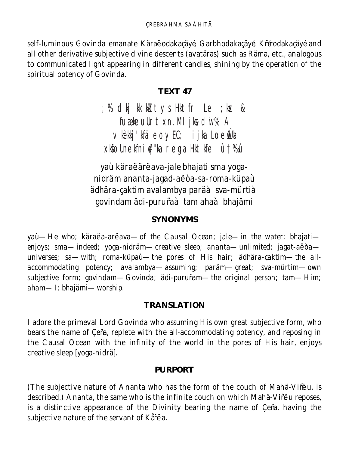self-luminous Govinda emanate Käraëodakaçäyé, Garbhodakaçäyé, Kñérodakaçäyé and all other derivative subjective divine descents (avatäras) such as Räma, etc., analogous to communicated light appearing in different candles, shining by the operation of the spiritual potency of Govinda.

### TFXT<sub>47</sub>

## ;%dij.kbtyshtfr le ;k & **fualeulrt xn. Mi jledii%A vidij "KäeoyEC; i jie Loefila xliothelini d'la rega Hit lie û †%**

yaù käraëärëava-jale bhajati sma yoganidräm ananta-jagad-aëòa-sa-roma-küpaù ädhära-çaktim avalambya paräà sva-mürtià govindam ädi-puruñaà tam ahaà bhajämi

### **SYNONYMS**

yaù—He who; käraëa-arëava—of the Causal Ocean; jale—in the water; bhajati enjoys; sma—indeed; yoga-nidräm—creative sleep; ananta—unlimited; jagat-aëòa universes; sa—with; roma-küpaù—the pores of His hair; ädhära-çaktim—the allaccommodating potency; avalambya—assuming; paräm—great; sva-mürtim—own subjective form; govindam—Govinda; ädi-puruñam—the original person; tam—Him; aham—I; bhajämi—worship.

### **TRANSLATION**

I adore the primeval Lord Govinda who assuming His own great subjective form, who bears the name of Çeña, replete with the all-accommodating potency, and reposing in the Causal Ocean with the infinity of the world in the pores of His hair, enjoys creative sleep [yoga-nidrä].

### **PURPORT**

(The subjective nature of Ananta who has the form of the couch of Mahä-Viñeu, is described.) Ananta, the same who is the infinite couch on which Mahä-Viñeu reposes, is a distinctive appearance of the Divinity bearing the name of Çeña, having the subjective nature of the servant of Kåñëa.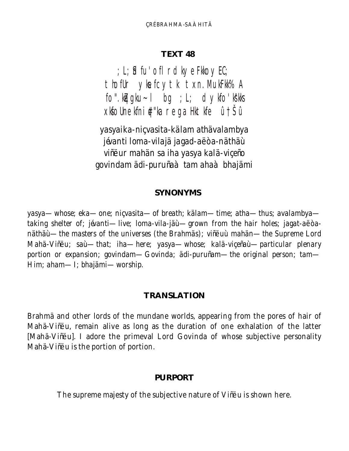## **TEXT 48**

## ; L; Sifu' of I rdlyeFkoyEC; thofur yleicytk txn.Mulfik% A fo". **lagku~ l** bg ; l; dylio'kiks **xlioUnelini <del>q'l</del>a rega Hit lie** û†Šû

*yasyaika-niçvasita-kälam athävalambya jévanti loma-vilajä jagad-aëòa-näthäù viñëur mahän sa iha yasya kalä-viçeño govindam ädi-puruñaà tam ahaà bhajämi* 

### **SYNONYMS**

*yasya—whose; eka—one; niçvasita—of breath; kälam—time; atha—thus; avalambya taking shelter of; jévanti—live; loma-vila-jäù—grown from the hair holes; jagat-aëòanäthäù—the masters of the universes (the Brahmäs); viñëuù mahän—the Supreme Lord Mahä-Viñëu; saù—that; iha—here; yasya—whose; kalä-viçeñaù—particular plenary portion or expansion; govindam—Govinda; ädi-puruñam—the original person; tam— Him; aham—I; bhajämi—worship.* 

### **TRANSLATION**

Brahmä and other lords of the mundane worlds, appearing from the pores of hair of Mahä-Viñëu, remain alive as long as the duration of one exhalation of the latter [Mahä-Viñëu]. I adore the primeval Lord Govinda of whose subjective personality Mahä-Viñëu is the portion of portion.

### **PURPORT**

The supreme majesty of the subjective nature of Viñëu is shown here.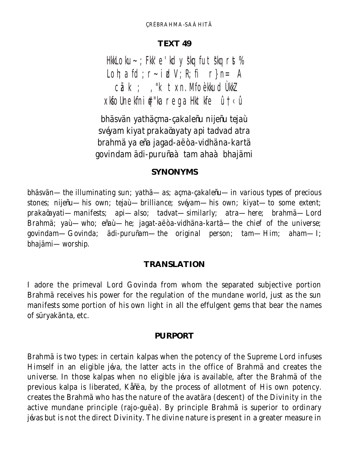## TEXT<sub>49</sub>

# **Hitolu~; Fike 'kdyšq futšqrt%**  $\text{Lok}$  a fd;  $r$  ~ idV; R; fi r} n= A cák ; "'k txn. Modudù **xliothelini d'la rega Ht lie û † <û**

bhäsvän vathäcma-cakaleñu nijeñu tejaù svéyam kiyat prakaöayaty api tadvad atra brahmä ya eña jagad-aëòa-vidhäna-kartä govindam ädi-puruñaà tam ahaà bhajämi

### **SYNONYMS**

bhäsvän—the illuminating sun; yathä—as; açma-çakaleñu—in various types of precious stones; nijenu—his own; tejaù—brilliance; svéyam—his own; kiyat—to some extent; prakaŭayati—manifests; api—also; tadvat—similarly; atra—here; brahmä—Lord Brahmä; yaù—who; eñaù—he; jagat-aëòa-vidhäna-kartä—the chief of the universe; govindam—Govinda; ädi-puruñam—the original person; tam—Him; aham—I; bhajämi-worship.

### **TRANSI ATION**

I adore the primeval Lord Govinda from whom the separated subjective portion Brahmä receives his power for the regulation of the mundane world, just as the sun manifests some portion of his own light in all the effulgent gems that bear the names of süryakänta, etc.

### **PURPORT**

Brahmä is two types: in certain kalpas when the potency of the Supreme Lord infuses Himself in an eligible jéva, the latter acts in the office of Brahmä and creates the universe. In those kalpas when no eligible jeva is available, after the Brahmä of the previous kalpa is liberated, Kåñëa, by the process of allotment of His own potency. creates the Brahmä who has the nature of the avatära (descent) of the Divinity in the active mundane principle (rajo-guëa). By principle Brahmä is superior to ordinary jévas but is not the direct Divinity. The divine nature is present in a greater measure in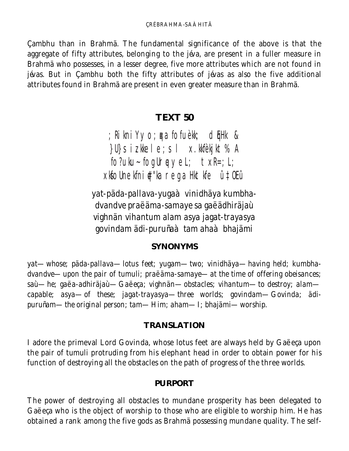Çambhu than in Brahmä. The fundamental significance of the above is that the aggregate of fifty attributes, belonging to the jéva, are present in a fuller measure in Brahmä who possesses, in a lesser degree, five more attributes which are not found in jévas. But in Çambhu both the fifty attributes of jévas as also the five additional attributes found in Brahmä are present in even greater measure than in Brahmä.

## **TEXT 50**

# **; RikniYyo; ya fofuèlk; dilik &** }U}s iz.kkele;s l x.kkfèkjkt% A fo?uku~ fogUrqeyeL; txR=;L; **xlfoUnelfniq"la rega Ht lie û‡Cû**

*yat-päda-pallava-yugaà vinidhäya kumbhadvandve praëäma-samaye sa gaëädhiräjaù vighnän vihantum alam asya jagat-trayasya govindam ädi-puruñaà tam ahaà bhajämi* 

## **SYNONYMS**

*yat—whose; päda-pallava—lotus feet; yugam—two; vinidhäya—having held; kumbhadvandve—upon the pair of tumuli; praëäma-samaye—at the time of offering obeisances; saù—he; gaëa-adhiräjaù—Gaëeça; vighnän—obstacles; vihantum—to destroy; alam capable; asya—of these; jagat-trayasya—three worlds; govindam—Govinda; ädipuruñam—the original person; tam—Him; aham—I; bhajämi—worship.* 

### **TRANSLATION**

I adore the primeval Lord Govinda, whose lotus feet are always held by Gaëeça upon the pair of tumuli protruding from his elephant head in order to obtain power for his function of destroying all the obstacles on the path of progress of the three worlds.

### **PURPORT**

The power of destroying all obstacles to mundane prosperity has been delegated to Gaëeça who is the object of worship to those who are eligible to worship him. He has obtained a rank among the five gods as Brahmä possessing mundane quality. The self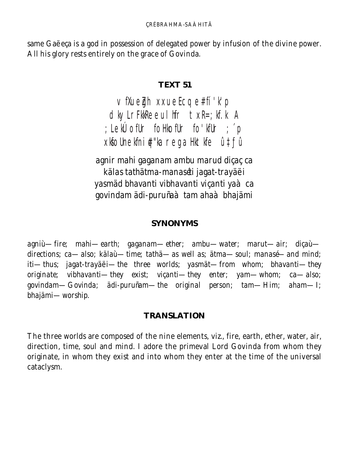same Gaeeça is a god in possession of delegated power by infusion of the divine power. All his glory rests entirely on the grace of Govinda.

### TEXT<sub>51</sub>

## **villegh xxuelcq e#fi 'kp** dlylrflieeul lir txR: ; If.k A ; Leituofur follofur fo'iflir; p **xliothelini d'la rega Hit lie**  $\hat{u}$ **t fû**

agnir mahi gaganam ambu marud diçaç ca kälas tathätma-manaséti jagat-trayäëi yasmäd bhavanti vibhavanti viçanti yaà ca govindam ädi-puruñaà tam ahaà bhajämi

### **SYNONYMS**

agniù—fire; mahi—earth; gaganam—ether; ambu—water; marut—air; diçaù directions; ca—also; kälaù—time; tathä—as well as; ätma—soul; manasé—and mind; iti—thus; jagat-trayäëi—the three worlds; yasmät—from whom; bhavanti—they originate; vibhavanti—they exist; viçanti—they enter; yam—whom; ca—also; govindam—Govinda; ädi-puruñam—the original person; tam—Him;  $aham—l$ : bhajämi—worship.

### **TRANSLATION**

The three worlds are composed of the nine elements, viz., fire, earth, ether, water, air, direction, time, soul and mind. I adore the primeval Lord Govinda from whom they originate, in whom they exist and into whom they enter at the time of the universal cataclysm.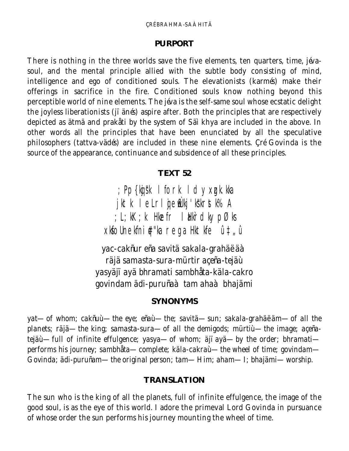#### ÇRÉ BRAHMA-SAÀHITÄ

### **PURPORT**

There is nothing in the three worlds save the five elements, ten quarters, time, jevasoul, and the mental principle allied with the subtle body consisting of mind, intelligence and ego of conditioned souls. The elevationists (karmés) make their offerings in sacrifice in the fire. Conditioned souls know nothing beyond this perceptible world of nine elements. The jeva is the self-same soul whose ecstatic delight the joyless liberationists (ji änés) aspire after. Both the principles that are respectively depicted as ätmä and prakåti by the system of Säi khya are included in the above. In other words all the principles that have been enunciated by all the speculative philosophers (tattva-vädés) are included in these nine elements. Cré Govinda is the source of the appearance, continuance and subsidence of all these principles.

TEXT<sub>52</sub>

# **; Pp (ligk liork ldyxgklia** jitk leiri jeilij Krti‰A ;1; K; k Hefr l Urdlypøls **xliothelini q'la rega Hit lie** û‡<sub>n</sub>û

yac-cakñur eña savitä sakala-grahäëäà räjä samasta-sura-mürtir açeña-tejäù yasyäji ayä bhramati sambhåta-käla-cakro govindam ädi-puruñaà tam ahaà bhajämi

### **SYNONYMS**

yat—of whom; cakñuù—the eye; eñaù—the; savitä—sun; sakala-grahäëäm—of all the planets; räjä—the king; samasta-sura—of all the demigods; mürtiù—the image; açeñatejäù—full of infinite effulgence; yasya—of whom; äji ayä—by the order; bhramati performs his journey; sambhåta—complete; käla-cakraù—the wheel of time; govindam— Govinda; ädi-puruñam—the original person; tam—Him; aham—I; bhajämi—worship.

### **TRANSLATION**

The sun who is the king of all the planets, full of infinite effulgence, the image of the good soul, is as the eye of this world. I adore the primeval Lord Govinda in pursuance of whose order the sun performs his journey mounting the wheel of time.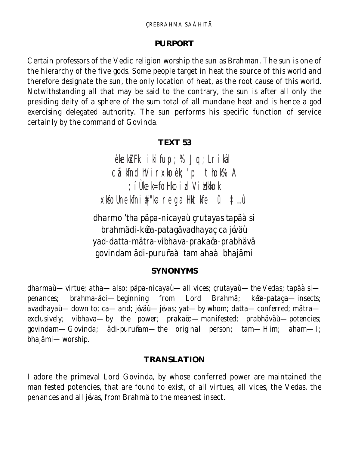### **PURPORT**

Certain professors of the Vedic religion worship the sun as Brahman. The sun is one of the hierarchy of the five gods. Some people target in heat the source of this world and therefore designate the sun, the only location of heat, as the root cause of this world. Notwithstanding all that may be said to the contrary, the sun is after all only the presiding deity of a sphere of the sum total of all mundane heat and is hence a god exercising delegated authority. The sun performs his specific function of service certainly by the command of Govinda.

### **TEXT 53**

## èleksik ikifup;% Jq;Lrika cãlindiVirxloèk; 'p thok% A ; íÙekfoHoizlVi**Hkok xkoUnekhiq"ka rega Ht ke û ‡…û**

*dharmo 'tha päpa-nicayaù çrutayas tapäàsi brahmädi-kéöa-patagävadhayaç ca jéväù yad-datta-mätra-vibhava-prakaöa-prabhävä govindam ädi-puruñaà tam ahaà bhajämi* 

### **SYNONYMS**

*dharmaù—virtue; atha—also; päpa-nicayaù—all vices; çrutayaù—the Vedas; tapäàsi penances; brahma-ädi—beginning from Lord Brahmä; kéöa-pataga—insects; avadhayaù—down to; ca—and; jéväù—jévas; yat—by whom; datta—conferred; mätra exclusively; vibhava—by the power; prakaöa—manifested; prabhäväù—potencies; govindam—Govinda; ädi-puruñam—the original person; tam—Him; aham—I; bhajämi—worship.* 

### **TRANSLATION**

I adore the primeval Lord Govinda, by whose conferred power are maintained the manifested potencies, that are found to exist, of all virtues, all vices, the Vedas, the penances and all jévas, from Brahmä to the meanest insect.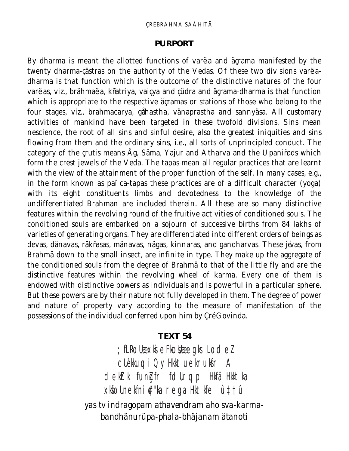#### ÇRÉ BRAHMA-SAÀHITÄ

### **PURPORT**

By dharma is meant the allotted functions of varëa and äçrama manifested by the twenty dharma-çästras on the authority of the Vedas. Of these two divisions varëadharma is that function which is the outcome of the distinctive natures of the four varëas, viz., brähmaëa, kñatriya, vaiçya and çüdra and äçrama-dharma is that function which is appropriate to the respective äçramas or stations of those who belong to the four stages, viz., brahmacarya, gåhastha, vänaprastha and sannyäsa. All customary activities of mankind have been targeted in these twofold divisions. Sins mean nescience, the root of all sins and sinful desire, also the greatest iniquities and sins flowing from them and the ordinary sins, i.e., all sorts of unprincipled conduct. The category of the çrutis means Åg, Säma, Yajur and Atharva and the Upaniñads which form the crest jewels of the Veda. The tapas mean all regular practices that are learnt with the view of the attainment of the proper function of the self. In many cases, e.g., in the form known as païca-tapas these practices are of a difficult character (yoga) with its eight constituents limbs and devotedness to the knowledge of the undifferentiated Brahman are included therein. All these are so many distinctive features within the revolving round of the fruitive activities of conditioned souls. The conditioned souls are embarked on a sojourn of successive births from 84 lakhs of varieties of generating organs. They are differentiated into different orders of beings as devas, dänavas, räkñasas, mänavas, nägas, kinnaras, and gandharvas. These jévas, from Brahmä down to the small insect, are infinite in type. They make up the aggregate of the conditioned souls from the degree of Brahmä to that of the little fly and are the distinctive features within the revolving wheel of karma. Every one of them is endowed with distinctive powers as individuals and is powerful in a particular sphere. But these powers are by their nature not fully developed in them. The degree of power and nature of property vary according to the measure of manifestation of the possessions of the individual conferred upon him by Çré Govinda.

## **TEXT 54**

## ; fLRoubex liseFloubægds LodeZ cuekuq iQyHktuekrukr A dek k fungfr fdurq p HkäHktla **xlioUnelini q'la rega Hit lie û‡†û**

*yas tv indragopam athavendram aho sva-karmabandhänurüpa-phala-bhäjanam ätanoti*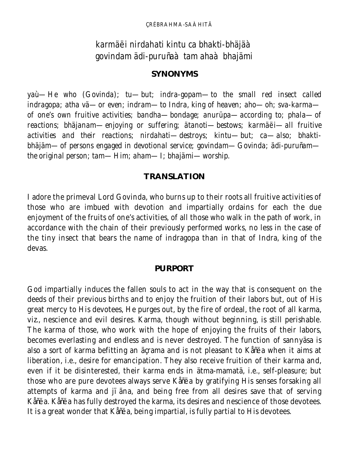#### ÇRÉ BRAHMA-SAÀHITÄ

## *karmäëi nirdahati kintu ca bhakti-bhäjäà govindam ädi-puruñaà tam ahaà bhajämi*

### **SYNONYMS**

*yaù—He who (Govinda); tu—but; indra-gopam—to the small red insect called indragopa; atha vä—or even; indram—to Indra, king of heaven; aho—oh; sva-karma of one's own fruitive activities; bandha—bondage; anurüpa—according to; phala—of reactions; bhäjanam—enjoying or suffering; ätanoti—bestows; karmäëi—all fruitive activities and their reactions; nirdahati—destroys; kintu—but; ca—also; bhaktibhäjäm—of persons engaged in devotional service; govindam—Govinda; ädi-puruñam the original person; tam—Him; aham—I; bhajämi—worship.* 

### **TRANSLATION**

I adore the primeval Lord Govinda, who burns up to their roots all fruitive activities of those who are imbued with devotion and impartially ordains for each the due enjoyment of the fruits of one's activities, of all those who walk in the path of work, in accordance with the chain of their previously performed works, no less in the case of the tiny insect that bears the name of indragopa than in that of Indra, king of the devas.

### **PURPORT**

God impartially induces the fallen souls to act in the way that is consequent on the deeds of their previous births and to enjoy the fruition of their labors but, out of His great mercy to His devotees, He purges out, by the fire of ordeal, the root of all karma, viz., nescience and evil desires. Karma, though without beginning, is still perishable. The karma of those, who work with the hope of enjoying the fruits of their labors, becomes everlasting and endless and is never destroyed. The function of sannyäsa is also a sort of karma befitting an äçrama and is not pleasant to Kåñëa when it aims at liberation, i.e., desire for emancipation. They also receive fruition of their karma and, even if it be disinterested, their karma ends in ätma-mamatä, i.e., self-pleasure; but those who are pure devotees always serve Kåñëa by gratifying His senses forsaking all attempts of karma and jïäna, and being free from all desires save that of serving Kåñëa. Kåñëa has fully destroyed the karma, its desires and nescience of those devotees. It is a great wonder that Kåñëa, being impartial, is fully partial to His devotees.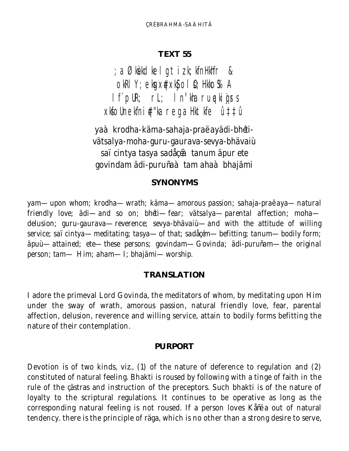### **TFXT 55**

## **; a Ølddle I gt i z k linhlir & olid Y; eigxtxifo I &; Hlo % A** If put; rl; In'in rueligs **xliothelini d'la rega Hit lie û ‡‡û**

yaà krodha-käma-sahaja-praëayädi-bhétivätsalya-moha-guru-gaurava-sevya-bhävaiù saï cintya tasya sadåçéà tanum äpur ete govindam ädi-puruñaà tam ahaà bhajämi

### **SYNONYMS**

yam—upon whom; krodha—wrath; käma—amorous passion; sahaja-praëaya—natural friendly love; ädi—and so on; bhéti—fear; vätsalya—parental affection; moha delusion; guru-gaurava—reverence; sevya-bhävaiù—and with the attitude of willing service; saï cintya—meditating; tasya—of that; sadåçém—befitting; tanum—bodily form; äpuù—attained; ete—these persons; govindam—Govinda; ädi-puruñam—the original person; tam— Him; aham—I; bhajämi—worship.

### **TRANSLATION**

I adore the primeval Lord Govinda, the meditators of whom, by meditating upon Him under the sway of wrath, amorous passion, natural friendly love, fear, parental affection, delusion, reverence and willing service, attain to bodily forms befitting the nature of their contemplation.

### **PURPORT**

Devotion is of two kinds, viz., (1) of the nature of deference to regulation and (2) constituted of natural feeling. Bhakti is roused by following with a tinge of faith in the rule of the çästras and instruction of the preceptors. Such bhakti is of the nature of loyalty to the scriptural regulations. It continues to be operative as long as the corresponding natural feeling is not roused. If a person loves Kanea out of natural tendency. there is the principle of räga, which is no other than a strong desire to serve,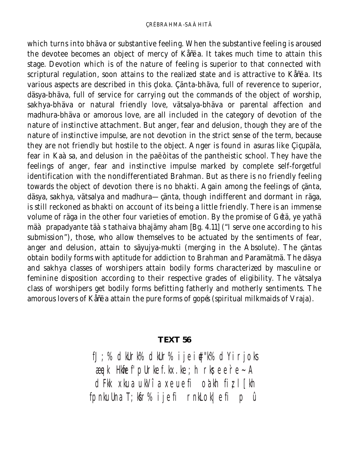which turns into bhäva or substantive feeling. When the substantive feeling is aroused the devotee becomes an object of mercy of Kåñëa. It takes much time to attain this stage. Devotion which is of the nature of feeling is superior to that connected with scriptural regulation, soon attains to the realized state and is attractive to Kåñëa. Its various aspects are described in this çloka. Çänta-bhäva, full of reverence to superior, däsya-bhäva, full of service for carrying out the commands of the object of worship, sakhya-bhäva or natural friendly love, vätsalya-bhäva or parental affection and madhura-bhäva or amorous love, are all included in the category of devotion of the nature of instinctive attachment. But anger, fear and delusion, though they are of the nature of instinctive impulse, are not devotion in the strict sense of the term, because they are not friendly but hostile to the object. Anger is found in asuras like Çiçupäla, fear in Kaàsa, and delusion in the paëòitas of the pantheistic school. They have the feelings of anger, fear and instinctive impulse marked by complete self-forgetful identification with the nondifferentiated Brahman. But as there is no friendly feeling towards the object of devotion there is no bhakti. Again among the feelings of çänta, däsya, sakhya, vätsalya and madhura—çänta, though indifferent and dormant in räga, is still reckoned as bhakti on account of its being a little friendly. There is an immense volume of räga in the other four varieties of emotion. By the promise of Gétä, ye yathä mäà prapadyante täàs tathaiva bhajämy aham [Bg. 4.11] ("I serve one according to his submission"), those, who allow themselves to be actuated by the sentiments of fear, anger and delusion, attain to säyujya-mukti (merging in the Absolute). The çäntas obtain bodily forms with aptitude for addiction to Brahman and Paramätmä. The däsya and sakhya classes of worshipers attain bodily forms characterized by masculine or feminine disposition according to their respective grades of eligibility. The vätsalya class of worshipers get bodily forms befitting fatherly and motherly sentiments. The amorous lovers of Kåñëa attain the pure forms of gopés (spiritual milkmaids of Vraja).

### **TEXT 56**

fJ;% ditrk% ditr% ijei q"k% dYirjols ægk Hief'pUrlef.kx.le;h rksee`re~ A dFk xlua ulVîa xeuefi oalh fiz I [lh fpnluUna T;Kr% ijefi rnlLok|efi p û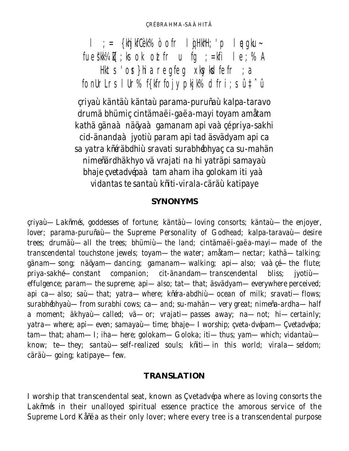# l ;=  $\{$ lijk $Cek$ % òofr lij<del>jikh</del>;'p lqglu~ fues  $M$ , is ok ot fru fg ;=ki le;% A Hits 'os}hia regieg xkyksliefr ; a fonUrLrs lUr% f{kfrfojypkjk% dfri;s û‡ˆû

*çriyaù käntäù käntaù parama-puruñaù kalpa-taravo drumä bhümiç cintämaëi-gaëa-mayi toyam amåtam kathä gänaà näöyaà gamanam api vaàçé priya-sakhi cid-änandaà jyotiù param api tad äsvädyam api ca sa yatra kñéräbdhiù sravati surabhébhyaç ca su-mahän nimeñärdhäkhyo vä vrajati na hi yaträpi samayaù bhaje çvetadvépaà tam aham iha golokam iti yaà vidantas te santaù kñiti-virala-cäräù katipaye* 

### **SYNONYMS**

*çriyaù—Lakñmés, goddesses of fortune; käntäù—loving consorts; käntaù—the enjoyer, lover; parama-puruñaù—the Supreme Personality of Godhead; kalpa-taravaù—desire trees; drumäù—all the trees; bhümiù—the land; cintämaëi-gaëa-mayi—made of the transcendental touchstone jewels; toyam—the water; amåtam—nectar; kathä—talking; gänam—song; näöyam—dancing; gamanam—walking; api—also; vaàçé—the flute; priya-sakhé—constant companion; cit-änandam—transcendental bliss; jyotiù effulgence; param—the supreme; api—also; tat—that; äsvädyam—everywhere perceived; api ca—also; saù—that; yatra—where; kñéra-abdhiù—ocean of milk; sravati—flows; surabhébhyaù—from surabhi cows; ca—and; su-mahän—very great; nimeña-ardha—half a moment; äkhyaù—called; vä—or; vrajati—passes away; na—not; hi—certainly; yatra—where; api—even; samayaù—time; bhaje—I worship; çveta-dvépam—Çvetadvépa; tam—that; aham—I; iha—here; golokam—Goloka; iti—thus; yam—which; vidantaù know; te—they; santaù—self-realized souls; kñiti—in this world; virala—seldom; cäräù—going; katipaye—few.* 

### **TRANSLATION**

I worship that transcendental seat, known as Çvetadvépa where as loving consorts the Lakñmés in their unalloyed spiritual essence practice the amorous service of the Supreme Lord Kåñëa as their only lover; where every tree is a transcendental purpose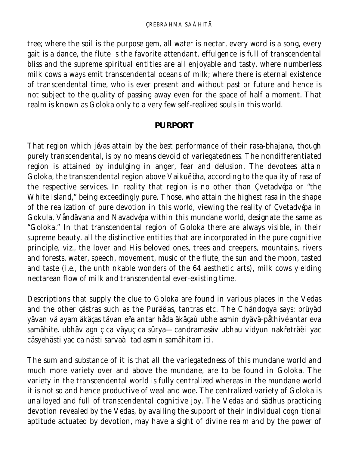tree; where the soil is the purpose gem, all water is nectar, every word is a song, every gait is a dance, the flute is the favorite attendant, effulgence is full of transcendental bliss and the supreme spiritual entities are all enjoyable and tasty, where numberless milk cows always emit transcendental oceans of milk; where there is eternal existence of transcendental time, who is ever present and without past or future and hence is not subject to the quality of passing away even for the space of half a moment. That realm is known as Goloka only to a very few self-realized souls in this world.

### **PURPORT**

That region which jévas attain by the best performance of their rasa-bhajana, though purely transcendental, is by no means devoid of variegatedness. The nondifferentiated region is attained by indulging in anger, fear and delusion. The devotees attain Goloka, the transcendental region above Vaikuëöha, according to the quality of rasa of the respective services. In reality that region is no other than Çvetadvépa or "the White Island," being exceedingly pure. Those, who attain the highest rasa in the shape of the realization of pure devotion in this world, viewing the reality of Çvetadvépa in Gokula, Våndävana and Navadvépa within this mundane world, designate the same as "Goloka." In that transcendental region of Goloka there are always visible, in their supreme beauty. all the distinctive entities that are incorporated in the pure cognitive principle, viz., the lover and His beloved ones, trees and creepers, mountains, rivers and forests, water, speech, movement, music of the flute, the sun and the moon, tasted and taste (i.e., the unthinkable wonders of the 64 aesthetic arts), milk cows yielding nectarean flow of milk and transcendental ever-existing time.

Descriptions that supply the clue to Goloka are found in various places in the Vedas and the other çästras such as the Puräëas, tantras etc. The Chändogya says: brüyäd yävan vä ayam äkäças tävan eña antar håda äkäçaù ubhe asmin dyävä-påthivé antar eva samähite. ubhäv agniç ca väyuç ca sürya—candramasäv ubhau vidyun nakñaträëi yac cäsyehästi yac ca nästi sarvaà tad asmin samähitam iti.

The sum and substance of it is that all the variegatedness of this mundane world and much more variety over and above the mundane, are to be found in Goloka. The variety in the transcendental world is fully centralized whereas in the mundane world it is not so and hence productive of weal and woe. The centralized variety of Goloka is unalloyed and full of transcendental cognitive joy. The Vedas and sädhus practicing devotion revealed by the Vedas, by availing the support of their individual cognitional aptitude actuated by devotion, may have a sight of divine realm and by the power of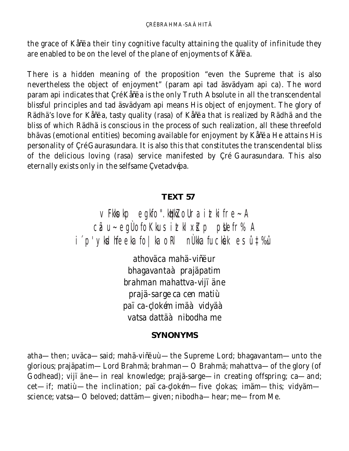the grace of Kåñëa their tiny cognitive faculty attaining the quality of infinitude they are enabled to be on the level of the plane of enjoyments of Kåñëa.

There is a hidden meaning of the proposition "even the Supreme that is also nevertheless the object of enjoyment" (param api tad asvadyam api ca). The word param api indicates that Cré Kåñëa is the only Truth Absolute in all the transcendental blissful principles and tad äsvädyam api means His object of enjoyment. The glory of Rädhä's love for Kåñëa, tasty quality (rasa) of Kåñëa that is realized by Rädhä and the bliss of which Rädhä is conscious in the process of such realization, all these threefold bhävas (emotional entities) becoming available for enjoyment by Kanesa He attains His personality of Cré Gaurasundara. It is also this that constitutes the transcendental bliss of the delicious loving (rasa) service manifested by Cré Gaurasundara. This also eternally exists only in the selfsame Cvetadvépa.

### TEXT<sub>57</sub>

# **vFileip** eglio". Li**tta della italiane-A** cãu-eglofoklus it li xi p plefr%A **i** p'y**klieela fo | la o Rivalia fuclisk** es û ‡%**i**

athoväca mahä-viñëur bhagavantaà prajäpatim brahman mahattva-viji äne prajä-sarge ca cen matiù paï ca-clokém imäà vidyäà vatsa dattäà nibodha me

### **SYNONYMS**

atha-then; uväca-said; mahä-viñëuù-the Supreme Lord; bhagavantam-unto the glorious; prajäpatim—Lord Brahmä; brahman—O Brahmä; mahattva—of the glory (of Godhead); viji äne—in real knowledge; prajä-sarge—in creating offspring; ca—and; cet-if; matiù-the inclination; paï ca-clokém-five clokas; imäm-this; vidyämscience; vatsa-O beloved; dattäm-given; nibodha-hear; me-from Me.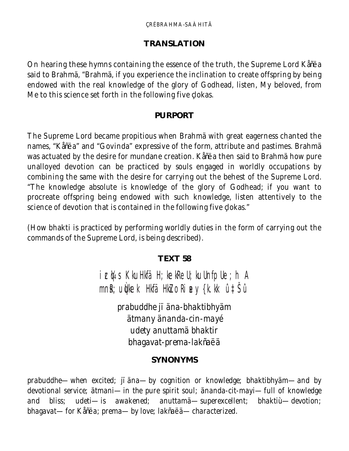On hearing these hymns containing the essence of the truth, the Supreme Lord Kåñëa said to Brahmä, "Brahmä, if you experience the inclination to create offspring by being endowed with the real knowledge of the glory of Godhead, listen, My beloved, from Me to this science set forth in the following five çlokas.

## **PURPORT**

The Supreme Lord became propitious when Brahmä with great eagerness chanted the names, "Kåñëa" and "Govinda" expressive of the form, attribute and pastimes. Brahmä was actuated by the desire for mundane creation. Kåñëa then said to Brahmä how pure unalloyed devotion can be practiced by souls engaged in worldly occupations by combining the same with the desire for carrying out the behest of the Supreme Lord. "The knowledge absolute is knowledge of the glory of Godhead; if you want to procreate offspring being endowed with such knowledge, listen attentively to the science of devotion that is contained in the following five çlokas."

(How bhakti is practiced by performing worldly duties in the form of carrying out the commands of the Supreme Lord, is being described).

## **TEXT 58**

# **izt/s KluHfäH; leifeU; luUnfpUe; h A mns;uğek HíäHkoNisy{k.k**k û‡Šû

*prabuddhe jïäna-bhaktibhyäm ätmany änanda-cin-mayé udety anuttamä bhaktir bhagavat-prema-lakñaëä* 

### **SYNONYMS**

*prabuddhe—when excited; jïäna—by cognition or knowledge; bhaktibhyäm—and by devotional service; ätmani—in the pure spirit soul; änanda-cit-mayi—full of knowledge and bliss; udeti—is awakened; anuttamä—superexcellent; bhaktiù—devotion; bhagavat—for Kåñëa; prema—by love; lakñaëä—characterize*d.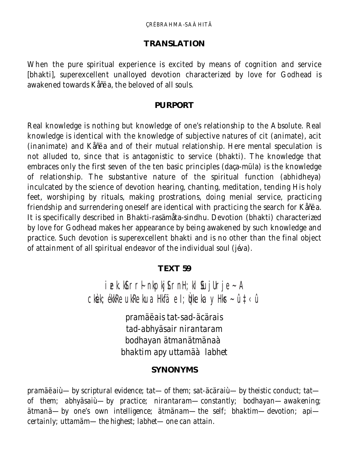When the pure spiritual experience is excited by means of cognition and service [bhakti], superexcellent unalloyed devotion characterized by love for Godhead is awakened towards Kåñëa, the beloved of all souls.

### **PURPORT**

Real knowledge is nothing but knowledge of one's relationship to the Absolute. Real knowledge is identical with the knowledge of subjective natures of cit (animate), acit (inanimate) and Kåñëa and of their mutual relationship. Here mental speculation is not alluded to, since that is antagonistic to service (bhakti). The knowledge that embraces only the first seven of the ten basic principles (daça-müla) is the knowledge of relationship. The substantive nature of the spiritual function (abhidheya) inculcated by the science of devotion hearing, chanting, meditation, tending His holy feet, worshiping by rituals, making prostrations, doing menial service, practicing friendship and surrendering oneself are identical with practicing the search for Kåñëa. It is specifically described in Bhakti-rasämåta-sindhu. Devotion (bhakti) characterized by love for Godhead makes her appearance by being awakened by such knowledge and practice. Such devotion is superexcellent bhakti and is no other than the final object of attainment of all spiritual endeavor of the individual soul (jéva).

### **TEXT 59**

## iek. ISrrin Inplj SrnH; Ki SujUrje~ A **ckk; dileulielua HíaeI; yela yHs~ û‡<û**

*pramäëais tat-sad-äcärais tad-abhyäsair nirantaram bodhayan ätmanätmänaà bhaktim apy uttamäà labhet* 

### **SYNONYMS**

*pramäëaiù—by scriptural evidence; tat—of them; sat-äcäraiù—by theistic conduct; tat of them; abhyäsaiù—by practice; nirantaram—constantly; bodhayan—awakening; ätmanä—by one's own intelligence; ätmänam—the self; bhaktim—devotion; api certainly; uttamäm—the highest; labhet—one can attain.*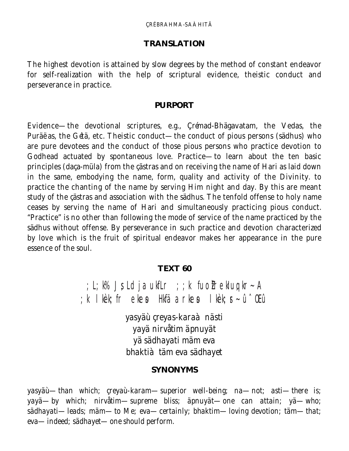The highest devotion is attained by slow degrees by the method of constant endeavor for self-realization with the help of scriptural evidence, theistic conduct and perseverance in practice.

### **PURPORT**

Evidence—the devotional scriptures, e.g., Çrémad-Bhägavatam, the Vedas, the Puräëas, the Gétä, etc. Theistic conduct—the conduct of pious persons (sädhus) who are pure devotees and the conduct of those pious persons who practice devotion to Godhead actuated by spontaneous love. Practice—to learn about the ten basic principles (daça-müla) from the çästras and on receiving the name of Hari as laid down in the same, embodying the name, form, quality and activity of the Divinity. to practice the chanting of the name by serving Him night and day. By this are meant study of the çästras and association with the sädhus. The tenfold offense to holy name ceases by serving the name of Hari and simultaneously practicing pious conduct. "Practice" is no other than following the mode of service of the name practiced by the sädhus without offense. By perseverance in such practice and devotion characterized by love which is the fruit of spiritual endeavor makes her appearance in the pure essence of the soul.

### **TEXT 60**

## $;$ l; $\mathcal{R}_0$ Js $ldja$ ulik $r$ ;k fuo $\mathbf{r}$ ellug $\mathbf{r}$ ~ A **;k lièk;fr eles Hiläa ries lièk; s~ û^Œû**

*yasyäù çreyas-karaà nästi yayä nirvåtim äpnuyät yä sädhayati mäm eva bhaktià täm eva sädhayet* 

### **SYNONYMS**

*yasyäù—than which; çreyaù-karam—superior well-being; na—not; asti—there is; yayä—by which; nirvåtim—supreme bliss; äpnuyät—one can attain; yä—who; sädhayati—leads; mäm—to Me; eva—certainly; bhaktim—loving devotion; täm—that; eva—indeed; sädhayet—one should perform.*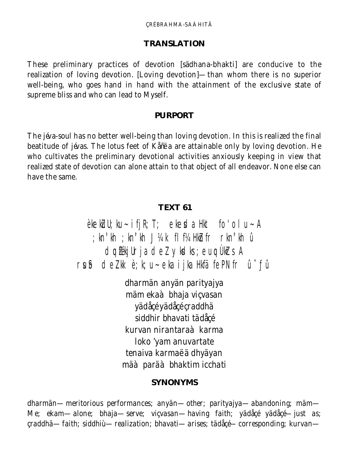These preliminary practices of devotion [sädhana-bhakti] are conducive to the realization of loving devotion. [Loving devotion]—than whom there is no superior well-being, who goes hand in hand with the attainment of the exclusive state of supreme bliss and who can lead to Myself.

### **PURPORT**

The jeva-soul has no better well-being than loving devotion. In this is realized the final beatitude of jévas. The lotus feet of Kåñëa are attainable only by loving devotion. He who cultivates the preliminary devotional activities anxiously keeping in view that realized state of devotion can alone attain to that object of all endeavor. None else can have the same.

### TFXT<sub>61</sub>

# delation  $\sim$  if  $\sim$  T; electable for our A ; h'h ; h'h j¼ fif⁄#bír rh'h û doliju ja de Zykls; euours A **ru\$ deZk è; k, u~ ela i jla HiäfePNfr** û^fû

dharmän anyän parityajya mäm ekaà bhaja viçvasan yädåçé yädåçé çraddhä siddhir bhavati tädåcé kurvan nirantaraà karma loko 'yam anuvartate tenaiva karmaëä dhyäyan mäà paräà bhaktim icchati

### **SYNONYMS**

dharmän—meritorious performances; anyän—other; parityajya—abandoning; mäm— Me; ekam—alone; bhaja—serve; vicvasan—having faith; vädåcé vädåcé—just as; craddhä—faith; siddhiù—realization; bhavati—arises; tädåcé—corresponding; kurvan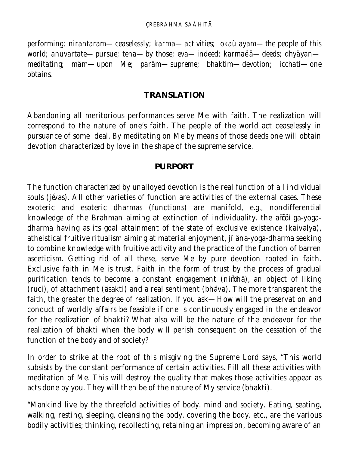*performing; nirantaram—ceaselessly; karma—activities; lokaù ayam—the people of this world; anuvartate—pursue; tena—by those; eva—indeed; karmaëä—deeds; dhyäyan meditating; mäm—upon Me; paräm—supreme; bhaktim—devotion; icchati—one obtains.* 

### **TRANSLATION**

Abandoning all meritorious performances serve Me with faith. The realization will correspond to the nature of one's faith. The people of the world act ceaselessly in pursuance of some ideal. By meditating on Me by means of those deeds one will obtain devotion characterized by love in the shape of the supreme service.

### **PURPORT**

The function characterized by unalloyed devotion is the real function of all individual souls (jévas). All other varieties of function are activities of the external cases. These exoteric and esoteric dharmas (functions) are manifold, e.g., nondifferential knowledge of the Brahman aiming at extinction of individuality. the añoai ga-yogadharma having as its goal attainment of the state of exclusive existence (kaivalya), atheistical fruitive ritualism aiming at material enjoyment, jïäna-yoga-dharma seeking to combine knowledge with fruitive activity and the practice of the function of barren asceticism. Getting rid of all these, serve Me by pure devotion rooted in faith. Exclusive faith in Me is trust. Faith in the form of trust by the process of gradual purification tends to become a constant engagement (niñöhä), an object of liking (ruci), of attachment (äsakti) and a real sentiment (bhäva). The more transparent the faith, the greater the degree of realization. If you ask—How will the preservation and conduct of worldly affairs be feasible if one is continuously engaged in the endeavor for the realization of bhakti? What also will be the nature of the endeavor for the realization of bhakti when the body will perish consequent on the cessation of the function of the body and of society?

In order to strike at the root of this misgiving the Supreme Lord says, "This world subsists by the constant performance of certain activities. Fill all these activities with meditation of Me. This will destroy the quality that makes those activities appear as acts done by you. They will then be of the nature of My service (bhakti).

"Mankind live by the threefold activities of body. mind and society. Eating, seating, walking, resting, sleeping, cleansing the body. covering the body. etc., are the various bodily activities; thinking, recollecting, retaining an impression, becoming aware of an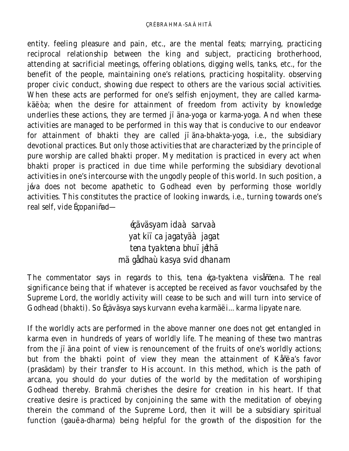entity. feeling pleasure and pain, etc., are the mental feats; marrying, practicing reciprocal relationship between the king and subject, practicing brotherhood, attending at sacrificial meetings, offering oblations, digging wells, tanks, etc., for the benefit of the people, maintaining one's relations, practicing hospitality. observing proper civic conduct, showing due respect to others are the various social activities. When these acts are performed for one's selfish enjoyment, they are called karmakäëòa; when the desire for attainment of freedom from activity by knowledge underlies these actions, they are termed jï äna-yoga or karma-yoga. And when these activities are managed to be performed in this way that is conducive to our endeavor for attainment of bhakti they are called jïäna-bhakta-yoga, i.e., the subsidiary devotional practices. But only those activities that are characterized by the principle of pure worship are called bhakti proper. My meditation is practiced in every act when bhakti proper is practiced in due time while performing the subsidiary devotional activities in one's intercourse with the ungodly people of this world. In such position, a jéva does not become apathetic to Godhead even by performing those worldly activities. This constitutes the practice of looking inwards, i.e., turning towards one's real self, vide Éçopaniñad—

> *éçäväsyam idaà sarvaà yat kiïca jagatyäà jagat tena tyaktena bhuïjéthä mä gådhaù kasya svid dhanam*

The commentator says in regards to this, tena éça-tyaktena visåñöena. The real significance being that if whatever is accepted be received as favor vouchsafed by the Supreme Lord, the worldly activity will cease to be such and will turn into service of Godhead (bhakti). So Éçäväsya says kurvann eveha karmäëi... karma lipyate nare.

If the worldly acts are performed in the above manner one does not get entangled in karma even in hundreds of years of worldly life. The meaning of these two mantras from the ji äna point of view is renouncement of the fruits of one's worldly actions; but from the bhakti point of view they mean the attainment of Kåñëa's favor (prasädam) by their transfer to His account. In this method, which is the path of arcana, you should do your duties of the world by the meditation of worshiping Godhead thereby. Brahmä cherishes the desire for creation in his heart. If that creative desire is practiced by conjoining the same with the meditation of obeying therein the command of the Supreme Lord, then it will be a subsidiary spiritual function (gauëa-dharma) being helpful for the growth of the disposition for the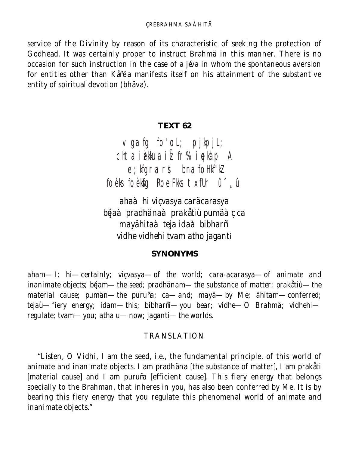service of the Divinity by reason of its characteristic of seeking the protection of Godhead. It was certainly proper to instruct Brahmä in this manner. There is no occasion for such instruction in the case of a jéva in whom the spontaneous aversion for entities other than Kåñëa manifests itself on his attainment of the substantive entity of spiritual devotion (bhäva).

### **TEXT 62**

# vgafg fo'ol; pjlpjl; chta izhua izi fr% iqko A e; ligra rst bna foHiflZ foèls foèlig RoeFlis txfUr  $\hat{\mathbf{u}}^*$   $\hat{\mathbf{u}}^*$

*ahaà hi viçvasya caräcarasya béjaà pradhänaà prakåtiù pumäàç ca mayähitaà teja idaà bibharñi vidhe vidhehi tvam atho jagant*i

### **SYNONYMS**

*aham—I; hi—certainly; viçvasya—of the world; cara-acarasya—of animate and inanimate objects; béjam—the seed; pradhänam—the substance of matter; prakåtiù—the material cause; pumän—the puruña; ca—and; mayä—by Me; ähitam—conferred; tejaù—fiery energy; idam—this; bibharñi—you bear; vidhe—O Brahmä; vidhehi regulate; tvam—you; atha u—now; jaganti—the worlds.* 

### TRANSLATION

"Listen, O Vidhi, I am the seed, i.e., the fundamental principle, of this world of animate and inanimate objects. I am pradhäna [the substance of matter], I am prakåti [material cause] and I am puruña [efficient cause]. This fiery energy that belongs specially to the Brahman, that inheres in you, has also been conferred by Me. It is by bearing this fiery energy that you regulate this phenomenal world of animate and inanimate objects."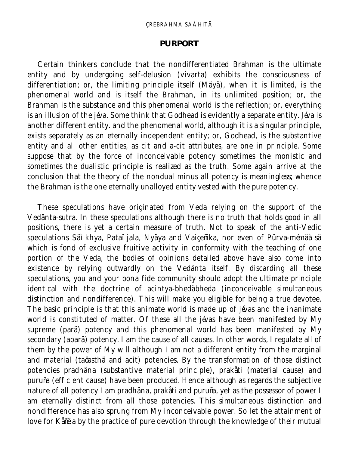### **PURPORT**

Certain thinkers conclude that the nondifferentiated Brahman is the ultimate entity and by undergoing self-delusion (vivarta) exhibits the consciousness of differentiation; or, the limiting principle itself (Mäyä), when it is limited, is the phenomenal world and is itself the Brahman, in its unlimited position; or, the Brahman is the substance and this phenomenal world is the reflection; or, everything is an illusion of the jéva. Some think that Godhead is evidently a separate entity. Jéva is another different entity. and the phenomenal world, although it is a singular principle, exists separately as an eternally independent entity; or, Godhead, is the substantive entity and all other entities, as cit and a-cit attributes, are one in principle. Some suppose that by the force of inconceivable potency sometimes the monistic and sometimes the dualistic principle is realized as the truth. Some again arrive at the conclusion that the theory of the nondual minus all potency is meaningless; whence the Brahman is the one eternally unalloyed entity vested with the pure potency.

These speculations have originated from Veda relying on the support of the Vedänta-sutra. In these speculations although there is no truth that holds good in all positions, there is yet a certain measure of truth. Not to speak of the anti-Vedic speculations Säi khya, Pataï jala, Nyäya and Vaiceñika, nor even of Pürva-mémäàsä which is fond of exclusive fruitive activity in conformity with the teaching of one portion of the Veda, the bodies of opinions detailed above have also come into existence by relying outwardly on the Vedänta itself. By discarding all these speculations, you and your bona fide community should adopt the ultimate principle identical with the doctrine of acintya-bhedäbheda (inconceivable simultaneous distinction and nondifference). This will make you eligible for being a true devotee. The basic principle is that this animate world is made up of jévas and the inanimate world is constituted of matter. Of these all the jévas have been manifested by My supreme (parä) potency and this phenomenal world has been manifested by My secondary (aparä) potency. I am the cause of all causes. In other words, I regulate all of them by the power of My will although I am not a different entity from the marginal and material (taöasthä and acit) potencies. By the transformation of those distinct potencies pradhäna (substantive material principle), prakåti (material cause) and puruña (efficient cause) have been produced. Hence although as regards the subjective nature of all potency I am pradhäna, prakåti and puruña, yet as the possessor of power I am eternally distinct from all those potencies. This simultaneous distinction and nondifference has also sprung from My inconceivable power. So let the attainment of love for Kåñëa by the practice of pure devotion through the knowledge of their mutual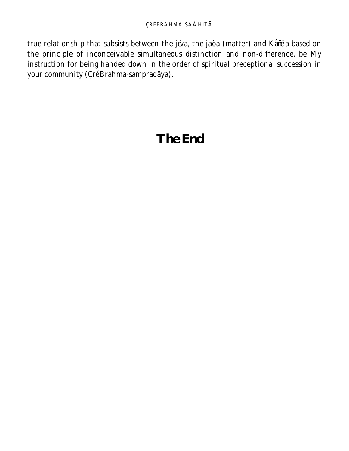true relationship that subsists between the jeva, the jaòa (matter) and Kåñëa based on the principle of inconceivable simultaneous distinction and non-difference, be My instruction for being handed down in the order of spiritual preceptional succession in your community (Çré Brahma-sampradäya).

# The End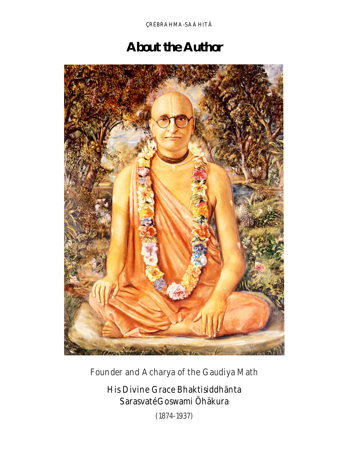# **About the Author**



Founder and Acharya of the Gaudiya Math

His Divine Grace Bhaktisiddhänta Sarasvaté Goswami Öhäkura  $(1874 - 1937)$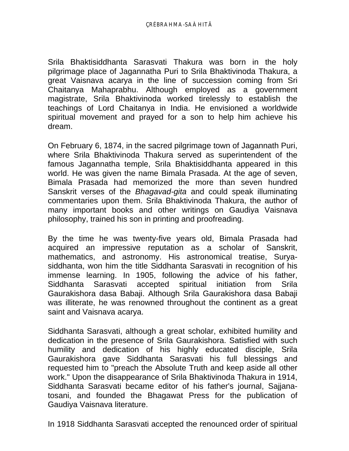Srila Bhaktisiddhanta Sarasvati Thakura was born in the holy pilgrimage place of Jagannatha Puri to Srila Bhaktivinoda Thakura, a great Vaisnava acarya in the line of succession coming from Sri Chaitanya Mahaprabhu. Although employed as a government magistrate, Srila Bhaktivinoda worked tirelessly to establish the teachings of Lord Chaitanya in India. He envisioned a worldwide spiritual movement and prayed for a son to help him achieve his dream.

On February 6, 1874, in the sacred pilgrimage town of Jagannath Puri, where Srila Bhaktivinoda Thakura served as superintendent of the famous Jagannatha temple, Srila Bhaktisiddhanta appeared in this world. He was given the name Bimala Prasada. At the age of seven, Bimala Prasada had memorized the more than seven hundred Sanskrit verses of the *Bhagavad-gita* and could speak illuminating commentaries upon them. Srila Bhaktivinoda Thakura, the author of many important books and other writings on Gaudiya Vaisnava philosophy, trained his son in printing and proofreading.

By the time he was twenty-five years old, Bimala Prasada had acquired an impressive reputation as a scholar of Sanskrit, mathematics, and astronomy. His astronomical treatise, Suryasiddhanta, won him the title Siddhanta Sarasvati in recognition of his immense learning. In 1905, following the advice of his father, Siddhanta Sarasvati accepted spiritual initiation from Srila Gaurakishora dasa Babaji. Although Srila Gaurakishora dasa Babaji was illiterate, he was renowned throughout the continent as a great saint and Vaisnava acarya.

Siddhanta Sarasvati, although a great scholar, exhibited humility and dedication in the presence of Srila Gaurakishora. Satisfied with such humility and dedication of his highly educated disciple, Srila Gaurakishora gave Siddhanta Sarasvati his full blessings and requested him to "preach the Absolute Truth and keep aside all other work." Upon the disappearance of Srila Bhaktivinoda Thakura in 1914, Siddhanta Sarasvati became editor of his father's journal, Sajjanatosani, and founded the Bhagawat Press for the publication of Gaudiya Vaisnava literature.

In 1918 Siddhanta Sarasvati accepted the renounced order of spiritual